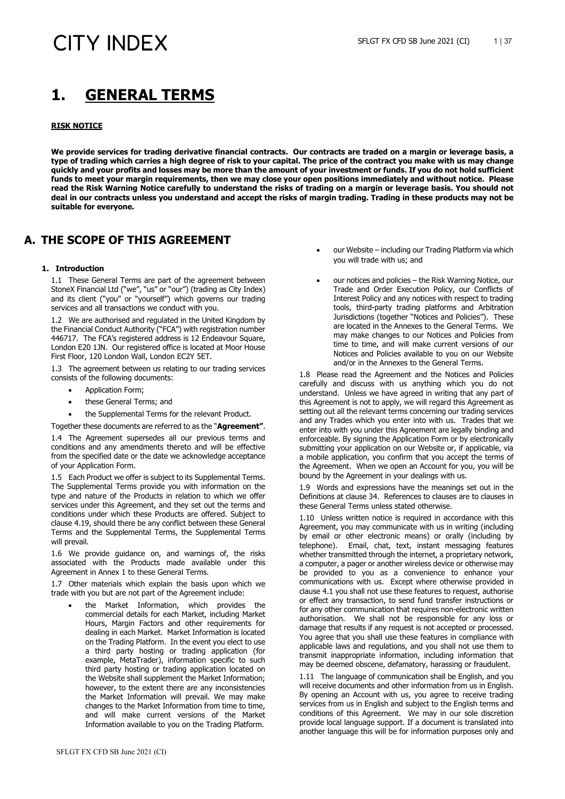### **1. GENERAL TERMS**

### **RISK NOTICE**

**We provide services for trading derivative financial contracts. Our contracts are traded on a margin or leverage basis, a type of trading which carries a high degree of risk to your capital. The price of the contract you make with us may change quickly and your profits and losses may be more than the amount of your investment or funds. If you do not hold sufficient funds to meet your margin requirements, then we may close your open positions immediately and without notice. Please read the Risk Warning Notice carefully to understand the risks of trading on a margin or leverage basis. You should not deal in our contracts unless you understand and accept the risks of margin trading. Trading in these products may not be suitable for everyone.** 

### **A. THE SCOPE OF THIS AGREEMENT**

#### **1. Introduction**

1.1 These General Terms are part of the agreement between StoneX Financial Ltd ("we", "us" or "our") (trading as City Index) and its client ("you" or "yourself") which governs our trading services and all transactions we conduct with you.

1.2 We are authorised and regulated in the United Kingdom by the Financial Conduct Authority ("FCA") with registration number 446717. The FCA's registered address is 12 Endeavour Square, London E20 1JN. Our registered office is located at Moor House First Floor, 120 London Wall, London EC2Y 5ET.

1.3 The agreement between us relating to our trading services consists of the following documents:

- Application Form;
- these General Terms; and
- the Supplemental Terms for the relevant Product.

Together these documents are referred to as the "**Agreement"**.

1.4 The Agreement supersedes all our previous terms and conditions and any amendments thereto and will be effective from the specified date or the date we acknowledge acceptance of your Application Form.

1.5 Each Product we offer is subject to its Supplemental Terms. The Supplemental Terms provide you with information on the type and nature of the Products in relation to which we offer services under this Agreement, and they set out the terms and conditions under which these Products are offered. Subject to clause [4.19,](#page-3-0) should there be any conflict between these General Terms and the Supplemental Terms, the Supplemental Terms will prevail.

1.6 We provide guidance on, and warnings of, the risks associated with the Products made available under this Agreement in Annex 1 to these General Terms.

1.7 Other materials which explain the basis upon which we trade with you but are not part of the Agreement include:

• the Market Information, which provides the commercial details for each Market, including Market Hours, Margin Factors and other requirements for dealing in each Market. Market Information is located on the Trading Platform. In the event you elect to use a third party hosting or trading application (for example, MetaTrader), information specific to such third party hosting or trading application located on the Website shall supplement the Market Information; however, to the extent there are any inconsistencies the Market Information will prevail. We may make changes to the Market Information from time to time, and will make current versions of the Market Information available to you on the Trading Platform.

- our Website including our Trading Platform via which you will trade with us; and
- our notices and policies the Risk Warning Notice, our Trade and Order Execution Policy, our Conflicts of Interest Policy and any notices with respect to trading tools, third-party trading platforms and Arbitration Jurisdictions (together "Notices and Policies"). These are located in the Annexes to the General Terms. We may make changes to our Notices and Policies from time to time, and will make current versions of our Notices and Policies available to you on our Website and/or in the Annexes to the General Terms.

1.8 Please read the Agreement and the Notices and Policies carefully and discuss with us anything which you do not understand. Unless we have agreed in writing that any part of this Agreement is not to apply, we will regard this Agreement as setting out all the relevant terms concerning our trading services and any Trades which you enter into with us. Trades that we enter into with you under this Agreement are legally binding and enforceable. By signing the Application Form or by electronically submitting your application on our Website or, if applicable, via a mobile application, you confirm that you accept the terms of the Agreement. When we open an Account for you, you will be bound by the Agreement in your dealings with us.

1.9 Words and expressions have the meanings set out in the Definitions at clause 34. References to clauses are to clauses in these General Terms unless stated otherwise.

1.10 Unless written notice is required in accordance with this Agreement, you may communicate with us in writing (including by email or other electronic means) or orally (including by telephone). Email, chat, text, instant messaging features whether transmitted through the internet, a proprietary network, a computer, a pager or another wireless device or otherwise may be provided to you as a convenience to enhance your communications with us. Except where otherwise provided in clause 4.1 you shall not use these features to request, authorise or effect any transaction, to send fund transfer instructions or for any other communication that requires non-electronic written authorisation. We shall not be responsible for any loss or damage that results if any request is not accepted or processed. You agree that you shall use these features in compliance with applicable laws and regulations, and you shall not use them to transmit inappropriate information, including information that may be deemed obscene, defamatory, harassing or fraudulent.

1.11 The language of communication shall be English, and you will receive documents and other information from us in English. By opening an Account with us, you agree to receive trading services from us in English and subject to the English terms and conditions of this Agreement. We may in our sole discretion provide local language support. If a document is translated into another language this will be for information purposes only and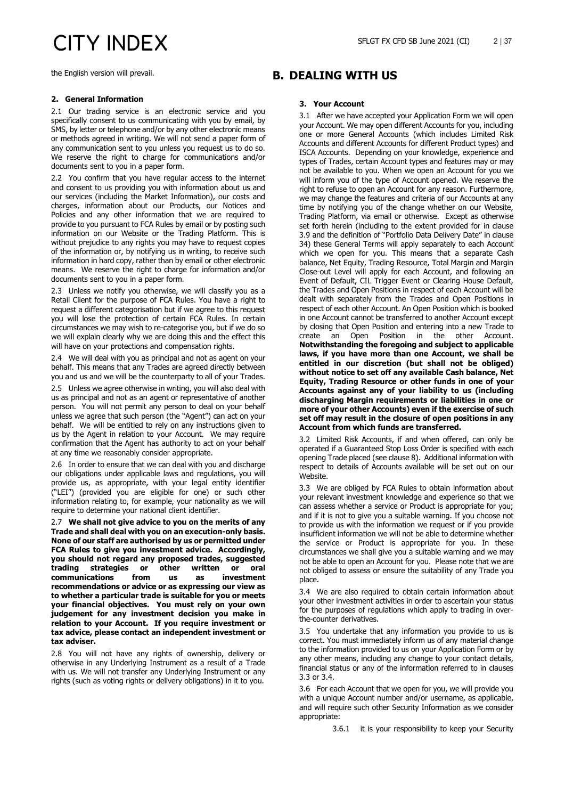the English version will prevail.

### **2. General Information**

2.1 Our trading service is an electronic service and you specifically consent to us communicating with you by email, by SMS, by letter or telephone and/or by any other electronic means or methods agreed in writing. We will not send a paper form of any communication sent to you unless you request us to do so. We reserve the right to charge for communications and/or documents sent to you in a paper form.

2.2 You confirm that you have regular access to the internet and consent to us providing you with information about us and our services (including the Market Information), our costs and charges, information about our Products, our Notices and Policies and any other information that we are required to provide to you pursuant to FCA Rules by email or by posting such information on our Website or the Trading Platform. This is without prejudice to any rights you may have to request copies of the information or, by notifying us in writing, to receive such information in hard copy, rather than by email or other electronic means. We reserve the right to charge for information and/or documents sent to you in a paper form.

2.3 Unless we notify you otherwise, we will classify you as a Retail Client for the purpose of FCA Rules. You have a right to request a different categorisation but if we agree to this request you will lose the protection of certain FCA Rules. In certain circumstances we may wish to re-categorise you, but if we do so we will explain clearly why we are doing this and the effect this will have on your protections and compensation rights.

2.4 We will deal with you as principal and not as agent on your behalf. This means that any Trades are agreed directly between you and us and we will be the counterparty to all of your Trades.

2.5 Unless we agree otherwise in writing, you will also deal with us as principal and not as an agent or representative of another person. You will not permit any person to deal on your behalf unless we agree that such person (the "Agent") can act on your behalf. We will be entitled to rely on any instructions given to us by the Agent in relation to your Account. We may require confirmation that the Agent has authority to act on your behalf at any time we reasonably consider appropriate.

2.6 In order to ensure that we can deal with you and discharge our obligations under applicable laws and regulations, you will provide us, as appropriate, with your legal entity identifier ("LEI") (provided you are eligible for one) or such other information relating to, for example, your nationality as we will require to determine your national client identifier.

2.7 **We shall not give advice to you on the merits of any Trade and shall deal with you on an execution-only basis. None of our staff are authorised by us or permitted under FCA Rules to give you investment advice. Accordingly, you should not regard any proposed trades, suggested trading strategies or other written or oral**  communications **recommendations or advice or as expressing our view as to whether a particular trade is suitable for you or meets your financial objectives. You must rely on your own judgement for any investment decision you make in relation to your Account. If you require investment or tax advice, please contact an independent investment or tax adviser.**

2.8 You will not have any rights of ownership, delivery or otherwise in any Underlying Instrument as a result of a Trade with us. We will not transfer any Underlying Instrument or any rights (such as voting rights or delivery obligations) in it to you.

### **B. DEALING WITH US**

### **3. Your Account**

3.1 After we have accepted your Application Form we will open your Account. We may open different Accounts for you, including one or more General Accounts (which includes Limited Risk Accounts and different Accounts for different Product types) and ISCA Accounts. Depending on your knowledge, experience and types of Trades, certain Account types and features may or may not be available to you. When we open an Account for you we will inform you of the type of Account opened. We reserve the right to refuse to open an Account for any reason. Furthermore, we may change the features and criteria of our Accounts at any time by notifying you of the change whether on our Website, Trading Platform, via email or otherwise. Except as otherwise set forth herein (including to the extent provided for in clause [3.9](#page-2-0) and the definition of "Portfolio Data Delivery Date" in clause [34\)](#page-17-0) these General Terms will apply separately to each Account which we open for you. This means that a separate Cash balance, Net Equity, Trading Resource, Total Margin and Margin Close-out Level will apply for each Account, and following an Event of Default, CIL Trigger Event or Clearing House Default, the Trades and Open Positions in respect of each Account will be dealt with separately from the Trades and Open Positions in respect of each other Account. An Open Position which is booked in one Account cannot be transferred to another Account except by closing that Open Position and entering into a new Trade to create an Open Position in the other Account. **Notwithstanding the foregoing and subject to applicable laws, if you have more than one Account, we shall be entitled in our discretion (but shall not be obliged) without notice to set off any available Cash balance, Net Equity, Trading Resource or other funds in one of your Accounts against any of your liability to us (including discharging Margin requirements or liabilities in one or more of your other Accounts) even if the exercise of such set off may result in the closure of open positions in any Account from which funds are transferred.**

3.2 Limited Risk Accounts, if and when offered, can only be operated if a Guaranteed Stop Loss Order is specified with each opening Trade placed (see clause 8). Additional information with respect to details of Accounts available will be set out on our Website.

<span id="page-1-0"></span>3.3 We are obliged by FCA Rules to obtain information about your relevant investment knowledge and experience so that we can assess whether a service or Product is appropriate for you; and if it is not to give you a suitable warning. If you choose not to provide us with the information we request or if you provide insufficient information we will not be able to determine whether the service or Product is appropriate for you. In these circumstances we shall give you a suitable warning and we may not be able to open an Account for you. Please note that we are not obliged to assess or ensure the suitability of any Trade you place.

<span id="page-1-1"></span>3.4 We are also required to obtain certain information about your other investment activities in order to ascertain your status for the purposes of regulations which apply to trading in overthe-counter derivatives.

<span id="page-1-2"></span>3.5 You undertake that any information you provide to us is correct. You must immediately inform us of any material change to the information provided to us on your Application Form or by any other means, including any change to your contact details, financial status or any of the information referred to in clauses [3.3](#page-1-0) or [3.4.](#page-1-1)

3.6 For each Account that we open for you, we will provide you with a unique Account number and/or username, as applicable, and will require such other Security Information as we consider appropriate:

3.6.1 it is your responsibility to keep your Security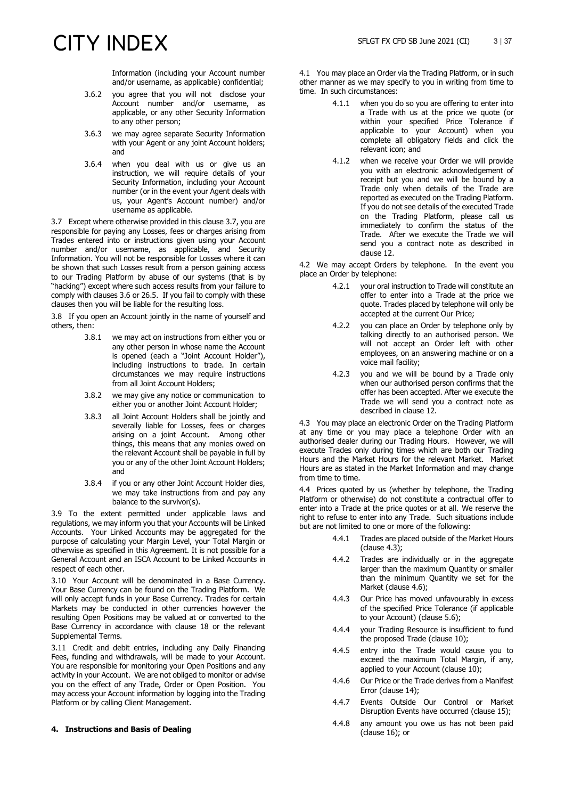Information (including your Account number and/or username, as applicable) confidential;

- 3.6.2 you agree that you will not disclose your Account number and/or username, as applicable, or any other Security Information to any other person;
- 3.6.3 we may agree separate Security Information with your Agent or any joint Account holders; and
- 3.6.4 when you deal with us or give us an instruction, we will require details of your Security Information, including your Account number (or in the event your Agent deals with us, your Agent's Account number) and/or username as applicable.

<span id="page-2-1"></span>3.7 Except where otherwise provided in this clause [3.7,](#page-2-1) you are responsible for paying any Losses, fees or charges arising from Trades entered into or instructions given using your Account number and/or username, as applicable, and Security Information. You will not be responsible for Losses where it can be shown that such Losses result from a person gaining access to our Trading Platform by abuse of our systems (that is by "hacking") except where such access results from your failure to comply with clauses [3.6](#page-1-2) or 26.5. If you fail to comply with these clauses then you will be liable for the resulting loss.

<span id="page-2-3"></span>3.8 If you open an Account jointly in the name of yourself and others, then:

- 3.8.1 we may act on instructions from either you or any other person in whose name the Account is opened (each a "Joint Account Holder"), including instructions to trade. In certain circumstances we may require instructions from all Joint Account Holders;
- 3.8.2 we may give any notice or communication to either you or another Joint Account Holder;
- 3.8.3 all Joint Account Holders shall be jointly and severally liable for Losses, fees or charges arising on a joint Account. Among other things, this means that any monies owed on the relevant Account shall be payable in full by you or any of the other Joint Account Holders; and
- 3.8.4 if you or any other Joint Account Holder dies, we may take instructions from and pay any balance to the survivor(s).

<span id="page-2-0"></span>3.9 To the extent permitted under applicable laws and regulations, we may inform you that your Accounts will be Linked Accounts. Your Linked Accounts may be aggregated for the purpose of calculating your Margin Level, your Total Margin or otherwise as specified in this Agreement. It is not possible for a General Account and an ISCA Account to be Linked Accounts in respect of each other.

3.10 Your Account will be denominated in a Base Currency. Your Base Currency can be found on the Trading Platform. We will only accept funds in your Base Currency. Trades for certain Markets may be conducted in other currencies however the resulting Open Positions may be valued at or converted to the Base Currency in accordance with clause 18 or the relevant Supplemental Terms.

3.11 Credit and debit entries, including any Daily Financing Fees, funding and withdrawals, will be made to your Account. You are responsible for monitoring your Open Positions and any activity in your Account. We are not obliged to monitor or advise you on the effect of any Trade, Order or Open Position. You may access your Account information by logging into the Trading Platform or by calling Client Management.

### **4. Instructions and Basis of Dealing**

4.1 You may place an Order via the Trading Platform, or in such other manner as we may specify to you in writing from time to time. In such circumstances:

- 4.1.1 when you do so you are offering to enter into a Trade with us at the price we quote (or within your specified Price Tolerance if applicable to your Account) when you complete all obligatory fields and click the relevant icon; and
- 4.1.2 when we receive your Order we will provide you with an electronic acknowledgement of receipt but you and we will be bound by a Trade only when details of the Trade are reported as executed on the Trading Platform. If you do not see details of the executed Trade on the Trading Platform, please call us immediately to confirm the status of the Trade. After we execute the Trade we will send you a contract note as described in clause 12.

4.2 We may accept Orders by telephone. In the event you place an Order by telephone:

- 4.2.1 your oral instruction to Trade will constitute an offer to enter into a Trade at the price we quote. Trades placed by telephone will only be accepted at the current Our Price;
- 4.2.2 you can place an Order by telephone only by talking directly to an authorised person. We will not accept an Order left with other employees, on an answering machine or on a voice mail facility;
- 4.2.3 you and we will be bound by a Trade only when our authorised person confirms that the offer has been accepted. After we execute the Trade we will send you a contract note as described in clause 12.

4.3 You may place an electronic Order on the Trading Platform at any time or you may place a telephone Order with an authorised dealer during our Trading Hours. However, we will execute Trades only during times which are both our Trading Hours and the Market Hours for the relevant Market. Market Hours are as stated in the Market Information and may change from time to time.

<span id="page-2-2"></span>4.4 Prices quoted by us (whether by telephone, the Trading Platform or otherwise) do not constitute a contractual offer to enter into a Trade at the price quotes or at all. We reserve the right to refuse to enter into any Trade. Such situations include but are not limited to one or more of the following:

- 4.4.1 Trades are placed outside of the Market Hours (clause 4.3);
- 4.4.2 Trades are individually or in the aggregate larger than the maximum Quantity or smaller than the minimum Quantity we set for the Market (clause 4.6);
- 4.4.3 Our Price has moved unfavourably in excess of the specified Price Tolerance (if applicable to your Account) (clause 5.6);
- 4.4.4 your Trading Resource is insufficient to fund the proposed Trade (clause 10);
- 4.4.5 entry into the Trade would cause you to exceed the maximum Total Margin, if any, applied to your Account (clause 10);
- 4.4.6 Our Price or the Trade derives from a Manifest Error (clause 14);
- 4.4.7 Events Outside Our Control or Market Disruption Events have occurred (clause 15);
- 4.4.8 any amount you owe us has not been paid (clause 16); or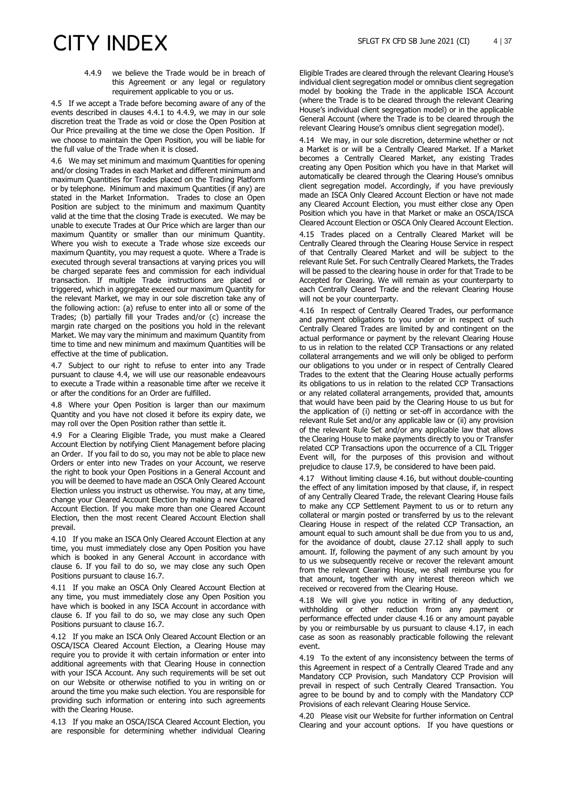4.4.9 we believe the Trade would be in breach of this Agreement or any legal or regulatory requirement applicable to you or us.

4.5 If we accept a Trade before becoming aware of any of the events described in clauses 4.4.1 to 4.4.9, we may in our sole discretion treat the Trade as void or close the Open Position at Our Price prevailing at the time we close the Open Position. If we choose to maintain the Open Position, you will be liable for the full value of the Trade when it is closed.

4.6 We may set minimum and maximum Quantities for opening and/or closing Trades in each Market and different minimum and maximum Quantities for Trades placed on the Trading Platform or by telephone. Minimum and maximum Quantities (if any) are stated in the Market Information. Trades to close an Open Position are subject to the minimum and maximum Quantity valid at the time that the closing Trade is executed. We may be unable to execute Trades at Our Price which are larger than our maximum Quantity or smaller than our minimum Quantity. Where you wish to execute a Trade whose size exceeds our maximum Quantity, you may request a quote. Where a Trade is executed through several transactions at varying prices you will be charged separate fees and commission for each individual transaction. If multiple Trade instructions are placed or triggered, which in aggregate exceed our maximum Quantity for the relevant Market, we may in our sole discretion take any of the following action: (a) refuse to enter into all or some of the Trades; (b) partially fill your Trades and/or (c) increase the margin rate charged on the positions you hold in the relevant Market. We may vary the minimum and maximum Quantity from time to time and new minimum and maximum Quantities will be effective at the time of publication.

4.7 Subject to our right to refuse to enter into any Trade pursuant to clause [4.4,](#page-2-2) we will use our reasonable endeavours to execute a Trade within a reasonable time after we receive it or after the conditions for an Order are fulfilled.

4.8 Where your Open Position is larger than our maximum Quantity and you have not closed it before its expiry date, we may roll over the Open Position rather than settle it.

<span id="page-3-3"></span>4.9 For a Clearing Eligible Trade, you must make a Cleared Account Election by notifying Client Management before placing an Order. If you fail to do so, you may not be able to place new Orders or enter into new Trades on your Account, we reserve the right to book your Open Positions in a General Account and you will be deemed to have made an OSCA Only Cleared Account Election unless you instruct us otherwise. You may, at any time, change your Cleared Account Election by making a new Cleared Account Election. If you make more than one Cleared Account Election, then the most recent Cleared Account Election shall prevail.

<span id="page-3-5"></span>4.10 If you make an ISCA Only Cleared Account Election at any time, you must immediately close any Open Position you have which is booked in any General Account in accordance with clause [6.](#page-4-0) If you fail to do so, we may close any such Open Positions pursuant to clause [16.7.](#page-9-0)

<span id="page-3-6"></span>4.11 If you make an OSCA Only Cleared Account Election at any time, you must immediately close any Open Position you have which is booked in any ISCA Account in accordance with clause [6.](#page-4-0) If you fail to do so, we may close any such Open Positions pursuant to clause [16.7.](#page-9-0)

4.12 If you make an ISCA Only Cleared Account Election or an OSCA/ISCA Cleared Account Election, a Clearing House may require you to provide it with certain information or enter into additional agreements with that Clearing House in connection with your ISCA Account. Any such requirements will be set out on our Website or otherwise notified to you in writing on or around the time you make such election. You are responsible for providing such information or entering into such agreements with the Clearing House.

4.13 If you make an OSCA/ISCA Cleared Account Election, you are responsible for determining whether individual Clearing

Eligible Trades are cleared through the relevant Clearing House's individual client segregation model or omnibus client segregation model by booking the Trade in the applicable ISCA Account (where the Trade is to be cleared through the relevant Clearing House's individual client segregation model) or in the applicable General Account (where the Trade is to be cleared through the relevant Clearing House's omnibus client segregation model).

<span id="page-3-4"></span>4.14 We may, in our sole discretion, determine whether or not a Market is or will be a Centrally Cleared Market. If a Market becomes a Centrally Cleared Market, any existing Trades creating any Open Position which you have in that Market will automatically be cleared through the Clearing House's omnibus client segregation model. Accordingly, if you have previously made an ISCA Only Cleared Account Election or have not made any Cleared Account Election, you must either close any Open Position which you have in that Market or make an OSCA/ISCA Cleared Account Election or OSCA Only Cleared Account Election.

4.15 Trades placed on a Centrally Cleared Market will be Centrally Cleared through the Clearing House Service in respect of that Centrally Cleared Market and will be subject to the relevant Rule Set. For such Centrally Cleared Markets, the Trades will be passed to the clearing house in order for that Trade to be Accepted for Clearing. We will remain as your counterparty to each Centrally Cleared Trade and the relevant Clearing House will not be your counterparty.

<span id="page-3-1"></span>4.16 In respect of Centrally Cleared Trades, our performance and payment obligations to you under or in respect of such Centrally Cleared Trades are limited by and contingent on the actual performance or payment by the relevant Clearing House to us in relation to the related CCP Transactions or any related collateral arrangements and we will only be obliged to perform our obligations to you under or in respect of Centrally Cleared Trades to the extent that the Clearing House actually performs its obligations to us in relation to the related CCP Transactions or any related collateral arrangements, provided that, amounts that would have been paid by the Clearing House to us but for the application of (i) netting or set-off in accordance with the relevant Rule Set and/or any applicable law or (ii) any provision of the relevant Rule Set and/or any applicable law that allows the Clearing House to make payments directly to you or Transfer related CCP Transactions upon the occurrence of a CIL Trigger Event will, for the purposes of this provision and without prejudice to claus[e 17.9,](#page-10-0) be considered to have been paid.

<span id="page-3-2"></span>4.17 Without limiting clause [4.16,](#page-3-1) but without double-counting the effect of any limitation imposed by that clause, if, in respect of any Centrally Cleared Trade, the relevant Clearing House fails to make any CCP Settlement Payment to us or to return any collateral or margin posted or transferred by us to the relevant Clearing House in respect of the related CCP Transaction, an amount equal to such amount shall be due from you to us and, for the avoidance of doubt, clause 27.12 shall apply to such amount. If, following the payment of any such amount by you to us we subsequently receive or recover the relevant amount from the relevant Clearing House, we shall reimburse you for that amount, together with any interest thereon which we received or recovered from the Clearing House.

4.18 We will give you notice in writing of any deduction, withholding or other reduction from any payment or performance effected under clause [4.16](#page-3-1) or any amount payable by you or reimbursable by us pursuant to clause [4.17,](#page-3-2) in each case as soon as reasonably practicable following the relevant event.

<span id="page-3-0"></span>4.19 To the extent of any inconsistency between the terms of this Agreement in respect of a Centrally Cleared Trade and any Mandatory CCP Provision, such Mandatory CCP Provision will prevail in respect of such Centrally Cleared Transaction. You agree to be bound by and to comply with the Mandatory CCP Provisions of each relevant Clearing House Service.

4.20 Please visit our Website for further information on Central Clearing and your account options. If you have questions or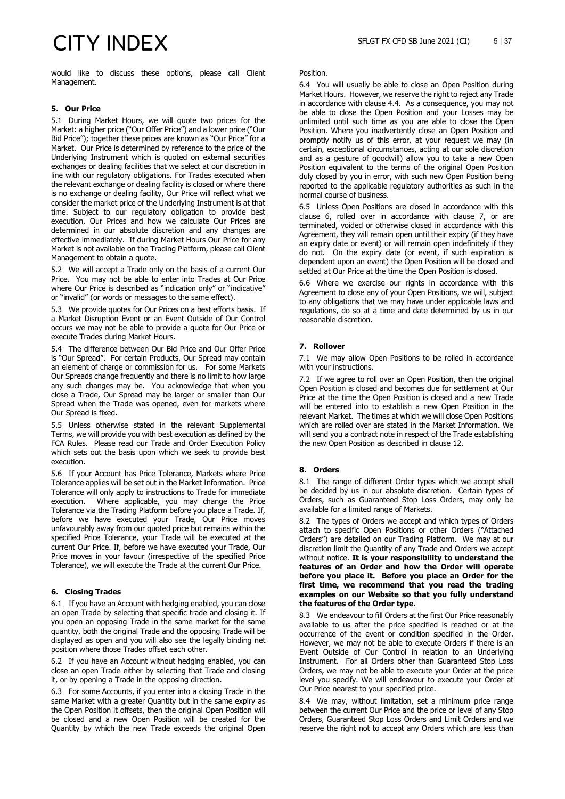would like to discuss these options, please call Client Management.

### **5. Our Price**

5.1 During Market Hours, we will quote two prices for the Market: a higher price ("Our Offer Price") and a lower price ("Our Bid Price"); together these prices are known as "Our Price" for a Market. Our Price is determined by reference to the price of the Underlying Instrument which is quoted on external securities exchanges or dealing facilities that we select at our discretion in line with our regulatory obligations. For Trades executed when the relevant exchange or dealing facility is closed or where there is no exchange or dealing facility, Our Price will reflect what we consider the market price of the Underlying Instrument is at that time. Subject to our regulatory obligation to provide best execution, Our Prices and how we calculate Our Prices are determined in our absolute discretion and any changes are effective immediately. If during Market Hours Our Price for any Market is not available on the Trading Platform, please call Client Management to obtain a quote.

5.2 We will accept a Trade only on the basis of a current Our Price. You may not be able to enter into Trades at Our Price where Our Price is described as "indication only" or "indicative" or "invalid" (or words or messages to the same effect).

5.3 We provide quotes for Our Prices on a best efforts basis. If a Market Disruption Event or an Event Outside of Our Control occurs we may not be able to provide a quote for Our Price or execute Trades during Market Hours.

5.4 The difference between Our Bid Price and Our Offer Price is "Our Spread". For certain Products, Our Spread may contain an element of charge or commission for us. For some Markets Our Spreads change frequently and there is no limit to how large any such changes may be. You acknowledge that when you close a Trade, Our Spread may be larger or smaller than Our Spread when the Trade was opened, even for markets where Our Spread is fixed.

5.5 Unless otherwise stated in the relevant Supplemental Terms, we will provide you with best execution as defined by the FCA Rules. Please read our Trade and Order Execution Policy which sets out the basis upon which we seek to provide best execution.

5.6 If your Account has Price Tolerance, Markets where Price Tolerance applies will be set out in the Market Information. Price Tolerance will only apply to instructions to Trade for immediate Where applicable, you may change the Price Tolerance via the Trading Platform before you place a Trade. If, before we have executed your Trade, Our Price moves unfavourably away from our quoted price but remains within the specified Price Tolerance, your Trade will be executed at the current Our Price. If, before we have executed your Trade, Our Price moves in your favour (irrespective of the specified Price Tolerance), we will execute the Trade at the current Our Price.

### <span id="page-4-0"></span>**6. Closing Trades**

6.1 If you have an Account with hedging enabled, you can close an open Trade by selecting that specific trade and closing it. If you open an opposing Trade in the same market for the same quantity, both the original Trade and the opposing Trade will be displayed as open and you will also see the legally binding net position where those Trades offset each other.

6.2 If you have an Account without hedging enabled, you can close an open Trade either by selecting that Trade and closing it, or by opening a Trade in the opposing direction.

6.3 For some Accounts, if you enter into a closing Trade in the same Market with a greater Quantity but in the same expiry as the Open Position it offsets, then the original Open Position will be closed and a new Open Position will be created for the Quantity by which the new Trade exceeds the original Open

#### Position.

6.4 You will usually be able to close an Open Position during Market Hours. However, we reserve the right to reject any Trade in accordance with clause 4.4. As a consequence, you may not be able to close the Open Position and your Losses may be unlimited until such time as you are able to close the Open Position. Where you inadvertently close an Open Position and promptly notify us of this error, at your request we may (in certain, exceptional circumstances, acting at our sole discretion and as a gesture of goodwill) allow you to take a new Open Position equivalent to the terms of the original Open Position duly closed by you in error, with such new Open Position being reported to the applicable regulatory authorities as such in the normal course of business.

6.5 Unless Open Positions are closed in accordance with this clause 6, rolled over in accordance with clause 7, or are terminated, voided or otherwise closed in accordance with this Agreement, they will remain open until their expiry (if they have an expiry date or event) or will remain open indefinitely if they do not. On the expiry date (or event, if such expiration is dependent upon an event) the Open Position will be closed and settled at Our Price at the time the Open Position is closed.

6.6 Where we exercise our rights in accordance with this Agreement to close any of your Open Positions, we will, subject to any obligations that we may have under applicable laws and regulations, do so at a time and date determined by us in our reasonable discretion.

### <span id="page-4-1"></span>**7. Rollover**

7.1 We may allow Open Positions to be rolled in accordance with your instructions.

7.2 If we agree to roll over an Open Position, then the original Open Position is closed and becomes due for settlement at Our Price at the time the Open Position is closed and a new Trade will be entered into to establish a new Open Position in the relevant Market. The times at which we will close Open Positions which are rolled over are stated in the Market Information. We will send you a contract note in respect of the Trade establishing the new Open Position as described in clause 12.

### **8. Orders**

8.1 The range of different Order types which we accept shall be decided by us in our absolute discretion. Certain types of Orders, such as Guaranteed Stop Loss Orders, may only be available for a limited range of Markets.

8.2 The types of Orders we accept and which types of Orders attach to specific Open Positions or other Orders ("Attached Orders") are detailed on our Trading Platform. We may at our discretion limit the Quantity of any Trade and Orders we accept without notice. **It is your responsibility to understand the features of an Order and how the Order will operate before you place it. Before you place an Order for the first time, we recommend that you read the trading examples on our Website so that you fully understand the features of the Order type.** 

8.3 We endeavour to fill Orders at the first Our Price reasonably available to us after the price specified is reached or at the occurrence of the event or condition specified in the Order. However, we may not be able to execute Orders if there is an Event Outside of Our Control in relation to an Underlying Instrument. For all Orders other than Guaranteed Stop Loss Orders, we may not be able to execute your Order at the price level you specify. We will endeavour to execute your Order at Our Price nearest to your specified price.

8.4 We may, without limitation, set a minimum price range between the current Our Price and the price or level of any Stop Orders, Guaranteed Stop Loss Orders and Limit Orders and we reserve the right not to accept any Orders which are less than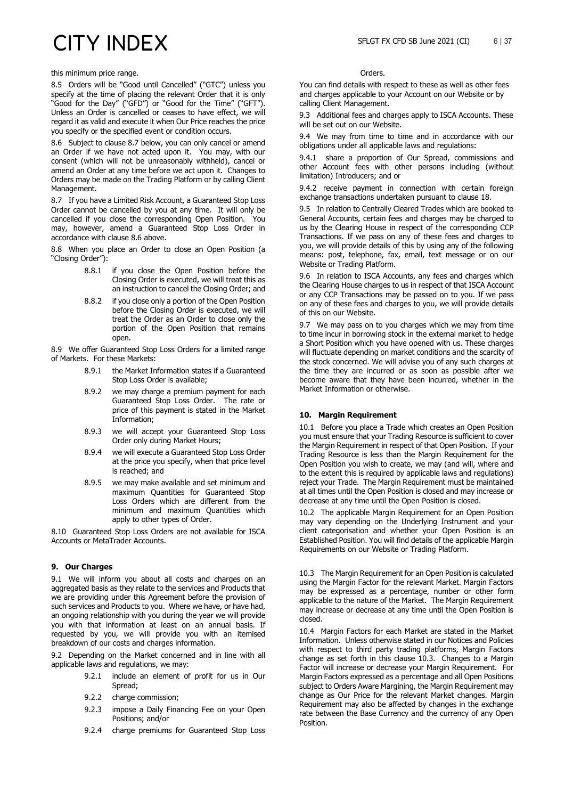this minimum price range.

8.5 Orders will be "Good until Cancelled" ("GTC") unless you specify at the time of placing the relevant Order that it is only "Good for the Day" ("GFD") or "Good for the Time" ("GFT"). Unless an Order is cancelled or ceases to have effect, we will regard it as valid and execute it when Our Price reaches the price you specify or the specified event or condition occurs.

8.6 Subject to clause 8.7 below, you can only cancel or amend an Order if we have not acted upon it. You may, with our consent (which will not be unreasonably withheld), cancel or amend an Order at any time before we act upon it. Changes to Orders may be made on the Trading Platform or by calling Client Management.

8.7 If you have a Limited Risk Account, a Guaranteed Stop Loss Order cannot be cancelled by you at any time. It will only be cancelled if you close the corresponding Open Position. You may, however, amend a Guaranteed Stop Loss Order in accordance with clause 8.6 above.

8.8 When you place an Order to close an Open Position (a "Closing Order"):

- 8.8.1 if you close the Open Position before the Closing Order is executed, we will treat this as an instruction to cancel the Closing Order; and
- 8.8.2 if you close only a portion of the Open Position before the Closing Order is executed, we will treat the Order as an Order to close only the portion of the Open Position that remains open.

8.9 We offer Guaranteed Stop Loss Orders for a limited range of Markets. For these Markets:

- 8.9.1 the Market Information states if a Guaranteed Stop Loss Order is available;
- 8.9.2 we may charge a premium payment for each Guaranteed Stop Loss Order. The rate or price of this payment is stated in the Market Information;
- 8.9.3 we will accept your Guaranteed Stop Loss Order only during Market Hours;
- 8.9.4 we will execute a Guaranteed Stop Loss Order at the price you specify, when that price level is reached; and
- 8.9.5 we may make available and set minimum and maximum Quantities for Guaranteed Stop Loss Orders which are different from the minimum and maximum Quantities which apply to other types of Order.

8.10 Guaranteed Stop Loss Orders are not available for ISCA Accounts or MetaTrader Accounts.

### **9. Our Charges**

9.1 We will inform you about all costs and charges on an aggregated basis as they relate to the services and Products that we are providing under this Agreement before the provision of such services and Products to you. Where we have, or have had, an ongoing relationship with you during the year we will provide you with that information at least on an annual basis. If requested by you, we will provide you with an itemised breakdown of our costs and charges information.

9.2 Depending on the Market concerned and in line with all applicable laws and regulations, we may:

- 9.2.1 include an element of profit for us in Our Spread;
- 9.2.2 charge commission;
- 9.2.3 impose a Daily Financing Fee on your Open Positions; and/or
- 9.2.4 charge premiums for Guaranteed Stop Loss

#### Orders.

You can find details with respect to these as well as other fees and charges applicable to your Account on our Website or by calling Client Management.

9.3 Additional fees and charges apply to ISCA Accounts. These will be set out on our Website.

9.4 We may from time to time and in accordance with our obligations under all applicable laws and regulations:

9.4.1 share a proportion of Our Spread, commissions and other Account fees with other persons including (without limitation) Introducers; and or

9.4.2 receive payment in connection with certain foreign exchange transactions undertaken pursuant to clause 18.

9.5 In relation to Centrally Cleared Trades which are booked to General Accounts, certain fees and charges may be charged to us by the Clearing House in respect of the corresponding CCP Transactions. If we pass on any of these fees and charges to you, we will provide details of this by using any of the following means: post, telephone, fax, email, text message or on our Website or Trading Platform.

9.6 In relation to ISCA Accounts, any fees and charges which the Clearing House charges to us in respect of that ISCA Account or any CCP Transactions may be passed on to you. If we pass on any of these fees and charges to you, we will provide details of this on our Website.

9.7 We may pass on to you charges which we may from time to time incur in borrowing stock in the external market to hedge a Short Position which you have opened with us. These charges will fluctuate depending on market conditions and the scarcity of the stock concerned. We will advise you of any such charges at the time they are incurred or as soon as possible after we become aware that they have been incurred, whether in the Market Information or otherwise.

### **10. Margin Requirement**

10.1 Before you place a Trade which creates an Open Position you must ensure that your Trading Resource is sufficient to cover the Margin Requirement in respect of that Open Position. If your Trading Resource is less than the Margin Requirement for the Open Position you wish to create, we may (and will, where and to the extent this is required by applicable laws and regulations) reject your Trade. The Margin Requirement must be maintained at all times until the Open Position is closed and may increase or decrease at any time until the Open Position is closed.

10.2 The applicable Margin Requirement for an Open Position may vary depending on the Underlying Instrument and your client categorisation and whether your Open Position is an Established Position. You will find details of the applicable Margin Requirements on our Website or Trading Platform.

10.3 The Margin Requirement for an Open Position is calculated using the Margin Factor for the relevant Market. Margin Factors may be expressed as a percentage, number or other form applicable to the nature of the Market. The Margin Requirement may increase or decrease at any time until the Open Position is closed.

10.4 Margin Factors for each Market are stated in the Market Information. Unless otherwise stated in our Notices and Policies with respect to third party trading platforms, Margin Factors change as set forth in this clause 10.3. Changes to a Margin Factor will increase or decrease your Margin Requirement. For Margin Factors expressed as a percentage and all Open Positions subject to Orders Aware Margining, the Margin Requirement may change as Our Price for the relevant Market changes. Margin Requirement may also be affected by changes in the exchange rate between the Base Currency and the currency of any Open Position.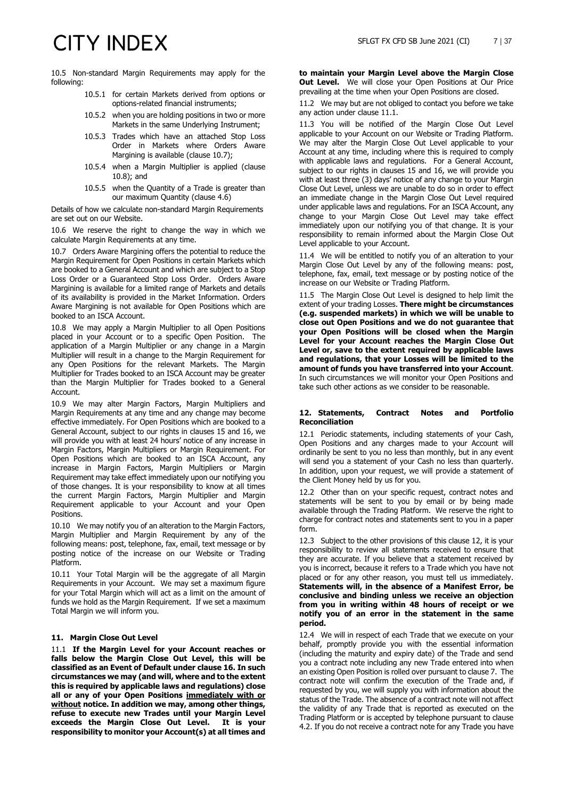10.5 Non-standard Margin Requirements may apply for the following:

- 10.5.1 for certain Markets derived from options or options-related financial instruments;
- 10.5.2 when you are holding positions in two or more Markets in the same Underlying Instrument;
- 10.5.3 Trades which have an attached Stop Loss Order in Markets where Orders Aware Margining is available (clause 10.7);
- 10.5.4 when a Margin Multiplier is applied (clause 10.8); and
- 10.5.5 when the Quantity of a Trade is greater than our maximum Quantity (clause 4.6)

Details of how we calculate non-standard Margin Requirements are set out on our Website.

10.6 We reserve the right to change the way in which we calculate Margin Requirements at any time.

10.7 Orders Aware Margining offers the potential to reduce the Margin Requirement for Open Positions in certain Markets which are booked to a General Account and which are subject to a Stop Loss Order or a Guaranteed Stop Loss Order. Orders Aware Margining is available for a limited range of Markets and details of its availability is provided in the Market Information. Orders Aware Margining is not available for Open Positions which are booked to an ISCA Account.

10.8 We may apply a Margin Multiplier to all Open Positions placed in your Account or to a specific Open Position. The application of a Margin Multiplier or any change in a Margin Multiplier will result in a change to the Margin Requirement for any Open Positions for the relevant Markets. The Margin Multiplier for Trades booked to an ISCA Account may be greater than the Margin Multiplier for Trades booked to a General Account.

10.9 We may alter Margin Factors, Margin Multipliers and Margin Requirements at any time and any change may become effective immediately. For Open Positions which are booked to a General Account, subject to our rights in clauses 15 and 16, we will provide you with at least 24 hours' notice of any increase in Margin Factors, Margin Multipliers or Margin Requirement. For Open Positions which are booked to an ISCA Account, any increase in Margin Factors, Margin Multipliers or Margin Requirement may take effect immediately upon our notifying you of those changes. It is your responsibility to know at all times the current Margin Factors, Margin Multiplier and Margin Requirement applicable to your Account and your Open Positions.

10.10 We may notify you of an alteration to the Margin Factors, Margin Multiplier and Margin Requirement by any of the following means: post, telephone, fax, email, text message or by posting notice of the increase on our Website or Trading Platform.

10.11 Your Total Margin will be the aggregate of all Margin Requirements in your Account. We may set a maximum figure for your Total Margin which will act as a limit on the amount of funds we hold as the Margin Requirement. If we set a maximum Total Margin we will inform you.

### **11. Margin Close Out Level**

11.1 **If the Margin Level for your Account reaches or falls below the Margin Close Out Level, this will be classified as an Event of Default under clause 16. In such circumstances we may (and will, where and to the extent this is required by applicable laws and regulations) close all or any of your Open Positions immediately with or without notice. In addition we may, among other things, refuse to execute new Trades until your Margin Level exceeds the Margin Close Out Level. It is your responsibility to monitor your Account(s) at all times and** 

**to maintain your Margin Level above the Margin Close Out Level.** We will close your Open Positions at Our Price prevailing at the time when your Open Positions are closed.

11.2 We may but are not obliged to contact you before we take any action under clause 11.1.

11.3 You will be notified of the Margin Close Out Level applicable to your Account on our Website or Trading Platform. We may alter the Margin Close Out Level applicable to your Account at any time, including where this is required to comply with applicable laws and regulations. For a General Account, subject to our rights in clauses 15 and 16, we will provide you with at least three (3) days' notice of any change to your Margin Close Out Level, unless we are unable to do so in order to effect an immediate change in the Margin Close Out Level required under applicable laws and regulations. For an ISCA Account, any change to your Margin Close Out Level may take effect immediately upon our notifying you of that change. It is your responsibility to remain informed about the Margin Close Out Level applicable to your Account.

11.4 We will be entitled to notify you of an alteration to your Margin Close Out Level by any of the following means: post, telephone, fax, email, text message or by posting notice of the increase on our Website or Trading Platform.

11.5 The Margin Close Out Level is designed to help limit the extent of your trading Losses. **There might be circumstances (e.g. suspended markets) in which we will be unable to close out Open Positions and we do not guarantee that your Open Positions will be closed when the Margin Level for your Account reaches the Margin Close Out Level or, save to the extent required by applicable laws and regulations, that your Losses will be limited to the amount of funds you have transferred into your Account**. In such circumstances we will monitor your Open Positions and take such other actions as we consider to be reasonable.

### <span id="page-6-0"></span>**12. Statements, Contract Notes and Portfolio Reconciliation**

12.1 Periodic statements, including statements of your Cash, Open Positions and any charges made to your Account will ordinarily be sent to you no less than monthly, but in any event will send you a statement of your Cash no less than quarterly. In addition, upon your request, we will provide a statement of the Client Money held by us for you.

12.2 Other than on your specific request, contract notes and statements will be sent to you by email or by being made available through the Trading Platform. We reserve the right to charge for contract notes and statements sent to you in a paper form.

12.3 Subject to the other provisions of this clause [12,](#page-6-0) it is your responsibility to review all statements received to ensure that they are accurate. If you believe that a statement received by you is incorrect, because it refers to a Trade which you have not placed or for any other reason, you must tell us immediately. **Statements will, in the absence of a Manifest Error, be conclusive and binding unless we receive an objection from you in writing within 48 hours of receipt or we notify you of an error in the statement in the same period.**

12.4 We will in respect of each Trade that we execute on your behalf, promptly provide you with the essential information (including the maturity and expiry date) of the Trade and send you a contract note including any new Trade entered into when an existing Open Position is rolled over pursuant to claus[e 7.](#page-4-1) The contract note will confirm the execution of the Trade and, if requested by you, we will supply you with information about the status of the Trade. The absence of a contract note will not affect the validity of any Trade that is reported as executed on the Trading Platform or is accepted by telephone pursuant to clause 4.2. If you do not receive a contract note for any Trade you have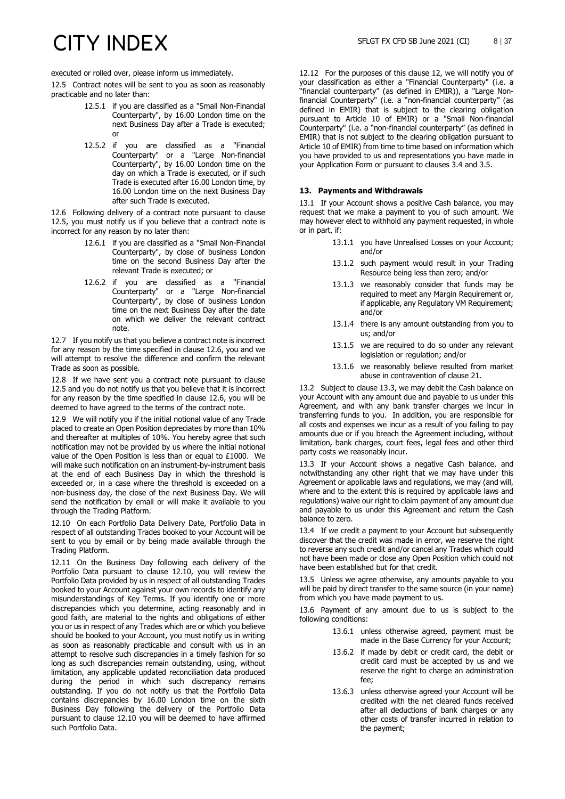executed or rolled over, please inform us immediately.

<span id="page-7-0"></span>12.5 Contract notes will be sent to you as soon as reasonably practicable and no later than:

- 12.5.1 if you are classified as a "Small Non-Financial Counterparty", by 16.00 London time on the next Business Day after a Trade is executed; or
- 12.5.2 if you are classified as a "Financial Counterparty" or a "Large Non-financial Counterparty", by 16.00 London time on the day on which a Trade is executed, or if such Trade is executed after 16.00 London time, by 16.00 London time on the next Business Day after such Trade is executed.

<span id="page-7-1"></span>12.6 Following delivery of a contract note pursuant to clause [12.5,](#page-7-0) you must notify us if you believe that a contract note is incorrect for any reason by no later than:

- 12.6.1 if you are classified as a "Small Non-Financial Counterparty", by close of business London time on the second Business Day after the relevant Trade is executed; or
- 12.6.2 if you are classified as a "Financial Counterparty" or a "Large Non-financial Counterparty", by close of business London time on the next Business Day after the date on which we deliver the relevant contract note.

12.7 If you notify us that you believe a contract note is incorrect for any reason by the time specified in clause [12.6,](#page-7-1) you and we will attempt to resolve the difference and confirm the relevant Trade as soon as possible.

12.8 If we have sent you a contract note pursuant to clause [12.5](#page-7-0) and you do not notify us that you believe that it is incorrect for any reason by the time specified in clause [12.6,](#page-7-1) you will be deemed to have agreed to the terms of the contract note.

12.9 We will notify you if the initial notional value of any Trade placed to create an Open Position depreciates by more than 10% and thereafter at multiples of 10%. You hereby agree that such notification may not be provided by us where the initial notional value of the Open Position is less than or equal to £1000. We will make such notification on an instrument-by-instrument basis at the end of each Business Day in which the threshold is exceeded or, in a case where the threshold is exceeded on a non-business day, the close of the next Business Day. We will send the notification by email or will make it available to you through the Trading Platform.

<span id="page-7-2"></span>12.10 On each Portfolio Data Delivery Date, Portfolio Data in respect of all outstanding Trades booked to your Account will be sent to you by email or by being made available through the Trading Platform.

12.11 On the Business Day following each delivery of the Portfolio Data pursuant to clause [12.10,](#page-7-2) you will review the Portfolio Data provided by us in respect of all outstanding Trades booked to your Account against your own records to identify any misunderstandings of Key Terms. If you identify one or more discrepancies which you determine, acting reasonably and in good faith, are material to the rights and obligations of either you or us in respect of any Trades which are or which you believe should be booked to your Account, you must notify us in writing as soon as reasonably practicable and consult with us in an attempt to resolve such discrepancies in a timely fashion for so long as such discrepancies remain outstanding, using, without limitation, any applicable updated reconciliation data produced during the period in which such discrepancy remains outstanding. If you do not notify us that the Portfolio Data contains discrepancies by 16.00 London time on the sixth Business Day following the delivery of the Portfolio Data pursuant to clause [12.10](#page-7-2) you will be deemed to have affirmed such Portfolio Data.

<span id="page-7-3"></span>12.12 For the purposes of this clause [12,](#page-6-0) we will notify you of your classification as either a "Financial Counterparty" (i.e. a "financial counterparty" (as defined in EMIR)), a "Large Nonfinancial Counterparty" (i.e. a "non-financial counterparty" (as defined in EMIR) that is subject to the clearing obligation pursuant to Article 10 of EMIR) or a "Small Non-financial Counterparty" (i.e. a "non-financial counterparty" (as defined in EMIR) that is not subject to the clearing obligation pursuant to Article 10 of EMIR) from time to time based on information which you have provided to us and representations you have made in your Application Form or pursuant to clauses [3.4](#page-1-1) an[d 3.5.](#page-1-2)

### **13. Payments and Withdrawals**

13.1 If your Account shows a positive Cash balance, you may request that we make a payment to you of such amount. We may however elect to withhold any payment requested, in whole or in part, if:

- 13.1.1 you have Unrealised Losses on your Account; and/or
- 13.1.2 such payment would result in your Trading Resource being less than zero; and/or
- 13.1.3 we reasonably consider that funds may be required to meet any Margin Requirement or, if applicable, any Regulatory VM Requirement; and/or
- 13.1.4 there is any amount outstanding from you to us; and/or
- 13.1.5 we are required to do so under any relevant legislation or regulation; and/or
- 13.1.6 we reasonably believe resulted from market abuse in contravention of clause 21.

13.2 Subject to clause 13.3, we may debit the Cash balance on your Account with any amount due and payable to us under this Agreement, and with any bank transfer charges we incur in transferring funds to you. In addition, you are responsible for all costs and expenses we incur as a result of you failing to pay amounts due or if you breach the Agreement including, without limitation, bank charges, court fees, legal fees and other third party costs we reasonably incur.

13.3 If your Account shows a negative Cash balance, and notwithstanding any other right that we may have under this Agreement or applicable laws and regulations, we may (and will, where and to the extent this is required by applicable laws and regulations) waive our right to claim payment of any amount due and payable to us under this Agreement and return the Cash balance to zero.

13.4 If we credit a payment to your Account but subsequently discover that the credit was made in error, we reserve the right to reverse any such credit and/or cancel any Trades which could not have been made or close any Open Position which could not have been established but for that credit.

13.5 Unless we agree otherwise, any amounts payable to you will be paid by direct transfer to the same source (in your name) from which you have made payment to us.

13.6 Payment of any amount due to us is subject to the following conditions:

- 13.6.1 unless otherwise agreed, payment must be made in the Base Currency for your Account;
- 13.6.2 if made by debit or credit card, the debit or credit card must be accepted by us and we reserve the right to charge an administration fee;
- 13.6.3 unless otherwise agreed your Account will be credited with the net cleared funds received after all deductions of bank charges or any other costs of transfer incurred in relation to the payment;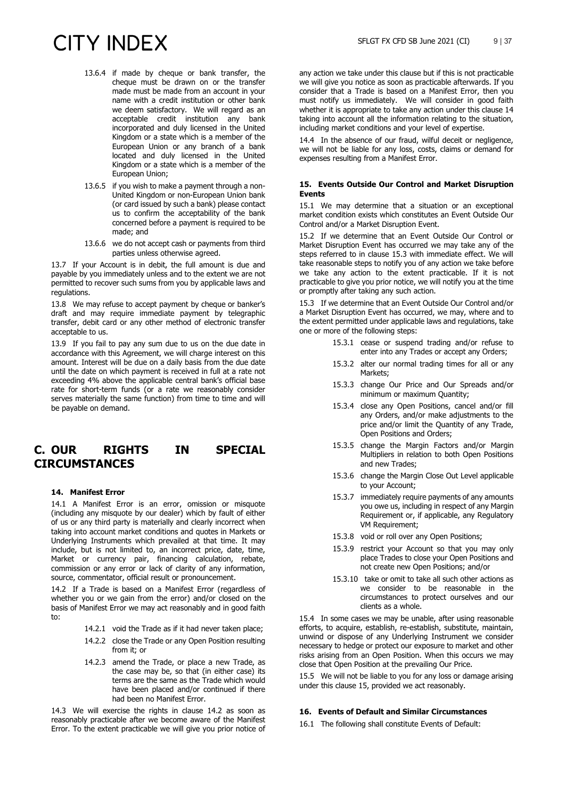- 13.6.4 if made by cheque or bank transfer, the cheque must be drawn on or the transfer made must be made from an account in your name with a credit institution or other bank we deem satisfactory. We will regard as an acceptable credit institution any bank incorporated and duly licensed in the United Kingdom or a state which is a member of the European Union or any branch of a bank located and duly licensed in the United Kingdom or a state which is a member of the European Union;
- 13.6.5 if you wish to make a payment through a non-United Kingdom or non-European Union bank (or card issued by such a bank) please contact us to confirm the acceptability of the bank concerned before a payment is required to be made; and
- 13.6.6 we do not accept cash or payments from third parties unless otherwise agreed.

13.7 If your Account is in debit, the full amount is due and payable by you immediately unless and to the extent we are not permitted to recover such sums from you by applicable laws and regulations.

13.8 We may refuse to accept payment by cheque or banker's draft and may require immediate payment by telegraphic transfer, debit card or any other method of electronic transfer acceptable to us.

13.9 If you fail to pay any sum due to us on the due date in accordance with this Agreement, we will charge interest on this amount. Interest will be due on a daily basis from the due date until the date on which payment is received in full at a rate not exceeding 4% above the applicable central bank's official base rate for short-term funds (or a rate we reasonably consider serves materially the same function) from time to time and will be payable on demand.

### **C. OUR RIGHTS IN SPECIAL CIRCUMSTANCES**

### **14. Manifest Error**

14.1 A Manifest Error is an error, omission or misquote (including any misquote by our dealer) which by fault of either of us or any third party is materially and clearly incorrect when taking into account market conditions and quotes in Markets or Underlying Instruments which prevailed at that time. It may include, but is not limited to, an incorrect price, date, time, Market or currency pair, financing calculation, rebate, commission or any error or lack of clarity of any information, source, commentator, official result or pronouncement.

14.2 If a Trade is based on a Manifest Error (regardless of whether you or we gain from the error) and/or closed on the basis of Manifest Error we may act reasonably and in good faith to:

- 14.2.1 void the Trade as if it had never taken place;
- 14.2.2 close the Trade or any Open Position resulting from it; or
- 14.2.3 amend the Trade, or place a new Trade, as the case may be, so that (in either case) its terms are the same as the Trade which would have been placed and/or continued if there had been no Manifest Error.

14.3 We will exercise the rights in clause 14.2 as soon as reasonably practicable after we become aware of the Manifest Error. To the extent practicable we will give you prior notice of

any action we take under this clause but if this is not practicable we will give you notice as soon as practicable afterwards. If you consider that a Trade is based on a Manifest Error, then you must notify us immediately. We will consider in good faith whether it is appropriate to take any action under this clause 14 taking into account all the information relating to the situation, including market conditions and your level of expertise.

14.4 In the absence of our fraud, wilful deceit or negligence, we will not be liable for any loss, costs, claims or demand for expenses resulting from a Manifest Error.

### **15. Events Outside Our Control and Market Disruption Events**

15.1 We may determine that a situation or an exceptional market condition exists which constitutes an Event Outside Our Control and/or a Market Disruption Event.

15.2 If we determine that an Event Outside Our Control or Market Disruption Event has occurred we may take any of the steps referred to in clause 15.3 with immediate effect. We will take reasonable steps to notify you of any action we take before we take any action to the extent practicable. If it is not practicable to give you prior notice, we will notify you at the time or promptly after taking any such action.

15.3 If we determine that an Event Outside Our Control and/or a Market Disruption Event has occurred, we may, where and to the extent permitted under applicable laws and regulations, take one or more of the following steps:

- 15.3.1 cease or suspend trading and/or refuse to enter into any Trades or accept any Orders;
- 15.3.2 alter our normal trading times for all or any Markets;
- 15.3.3 change Our Price and Our Spreads and/or minimum or maximum Quantity;
- 15.3.4 close any Open Positions, cancel and/or fill any Orders, and/or make adjustments to the price and/or limit the Quantity of any Trade, Open Positions and Orders;
- 15.3.5 change the Margin Factors and/or Margin Multipliers in relation to both Open Positions and new Trades;
- 15.3.6 change the Margin Close Out Level applicable to your Account;
- 15.3.7 immediately require payments of any amounts you owe us, including in respect of any Margin Requirement or, if applicable, any Regulatory VM Requirement;
- 15.3.8 void or roll over any Open Positions;
- 15.3.9 restrict your Account so that you may only place Trades to close your Open Positions and not create new Open Positions; and/or
- 15.3.10 take or omit to take all such other actions as we consider to be reasonable in the circumstances to protect ourselves and our clients as a whole.

15.4 In some cases we may be unable, after using reasonable efforts, to acquire, establish, re-establish, substitute, maintain, unwind or dispose of any Underlying Instrument we consider necessary to hedge or protect our exposure to market and other risks arising from an Open Position. When this occurs we may close that Open Position at the prevailing Our Price.

15.5 We will not be liable to you for any loss or damage arising under this clause 15, provided we act reasonably.

### <span id="page-8-0"></span>**16. Events of Default and Similar Circumstances**

16.1 The following shall constitute Events of Default: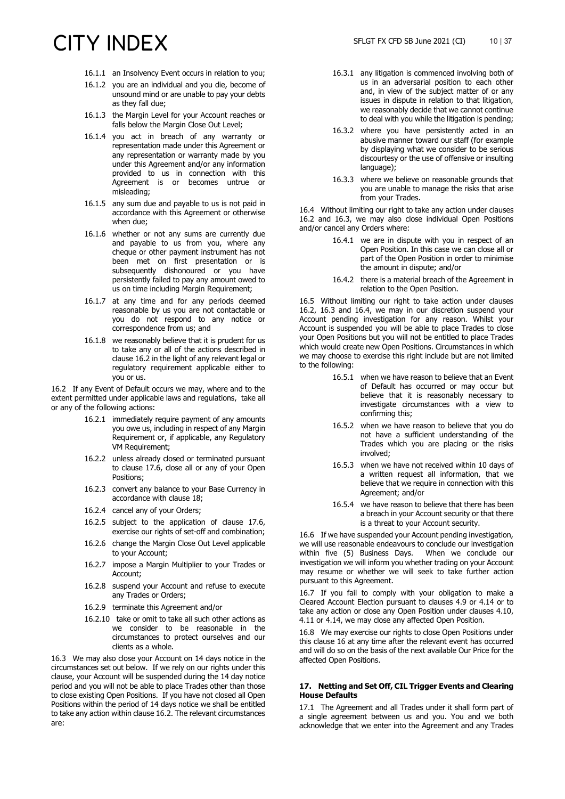- 16.1.1 an Insolvency Event occurs in relation to you;
- 16.1.2 you are an individual and you die, become of unsound mind or are unable to pay your debts as they fall due;
- 16.1.3 the Margin Level for your Account reaches or falls below the Margin Close Out Level;
- 16.1.4 you act in breach of any warranty or representation made under this Agreement or any representation or warranty made by you under this Agreement and/or any information provided to us in connection with this Agreement is or becomes untrue or misleading;
- 16.1.5 any sum due and payable to us is not paid in accordance with this Agreement or otherwise when due;
- 16.1.6 whether or not any sums are currently due and payable to us from you, where any cheque or other payment instrument has not been met on first presentation or is subsequently dishonoured or you have persistently failed to pay any amount owed to us on time including Margin Requirement;
- 16.1.7 at any time and for any periods deemed reasonable by us you are not contactable or you do not respond to any notice or correspondence from us; and
- 16.1.8 we reasonably believe that it is prudent for us to take any or all of the actions described in clause 16.2 in the light of any relevant legal or regulatory requirement applicable either to you or us.

16.2 If any Event of Default occurs we may, where and to the extent permitted under applicable laws and regulations, take all or any of the following actions:

- 16.2.1 immediately require payment of any amounts you owe us, including in respect of any Margin Requirement or, if applicable, any Regulatory VM Requirement;
- 16.2.2 unless already closed or terminated pursuant to clause [17.6,](#page-10-1) close all or any of your Open Positions;
- 16.2.3 convert any balance to your Base Currency in accordance with clause 18;
- 16.2.4 cancel any of your Orders;
- 16.2.5 subject to the application of clause [17.6,](#page-10-1) exercise our rights of set-off and combination;
- 16.2.6 change the Margin Close Out Level applicable to your Account;
- 16.2.7 impose a Margin Multiplier to your Trades or Account;
- 16.2.8 suspend your Account and refuse to execute any Trades or Orders;
- 16.2.9 terminate this Agreement and/or
- 16.2.10 take or omit to take all such other actions as we consider to be reasonable in the circumstances to protect ourselves and our clients as a whole.

16.3 We may also close your Account on 14 days notice in the circumstances set out below. If we rely on our rights under this clause, your Account will be suspended during the 14 day notice period and you will not be able to place Trades other than those to close existing Open Positions. If you have not closed all Open Positions within the period of 14 days notice we shall be entitled to take any action within clause 16.2. The relevant circumstances are:

- 16.3.1 any litigation is commenced involving both of us in an adversarial position to each other and, in view of the subject matter of or any issues in dispute in relation to that litigation, we reasonably decide that we cannot continue to deal with you while the litigation is pending;
- 16.3.2 where you have persistently acted in an abusive manner toward our staff (for example by displaying what we consider to be serious discourtesy or the use of offensive or insulting language);
- 16.3.3 where we believe on reasonable grounds that you are unable to manage the risks that arise from your Trades.

16.4 Without limiting our right to take any action under clauses 16.2 and 16.3, we may also close individual Open Positions and/or cancel any Orders where:

- 16.4.1 we are in dispute with you in respect of an Open Position. In this case we can close all or part of the Open Position in order to minimise the amount in dispute; and/or
- 16.4.2 there is a material breach of the Agreement in relation to the Open Position.

16.5 Without limiting our right to take action under clauses 16.2, 16.3 and 16.4, we may in our discretion suspend your Account pending investigation for any reason. Whilst your Account is suspended you will be able to place Trades to close your Open Positions but you will not be entitled to place Trades which would create new Open Positions. Circumstances in which we may choose to exercise this right include but are not limited to the following:

- 16.5.1 when we have reason to believe that an Event of Default has occurred or may occur but believe that it is reasonably necessary to investigate circumstances with a view to confirming this;
- 16.5.2 when we have reason to believe that you do not have a sufficient understanding of the Trades which you are placing or the risks involved;
- 16.5.3 when we have not received within 10 days of a written request all information, that we believe that we require in connection with this Agreement; and/or
- 16.5.4 we have reason to believe that there has been a breach in your Account security or that there is a threat to your Account security.

16.6 If we have suspended your Account pending investigation, we will use reasonable endeavours to conclude our investigation within five (5) Business Days. When we conclude our investigation we will inform you whether trading on your Account may resume or whether we will seek to take further action pursuant to this Agreement.

<span id="page-9-0"></span>16.7 If you fail to comply with your obligation to make a Cleared Account Election pursuant to clauses [4.9](#page-3-3) or [4.14](#page-3-4) or to take any action or close any Open Position under clauses [4.10,](#page-3-5) [4.11](#page-3-6) or [4.14,](#page-3-4) we may close any affected Open Position.

16.8 We may exercise our rights to close Open Positions under this clause 16 at any time after the relevant event has occurred and will do so on the basis of the next available Our Price for the affected Open Positions.

### **17. Netting and Set Off, CIL Trigger Events and Clearing House Defaults**

17.1 The Agreement and all Trades under it shall form part of a single agreement between us and you. You and we both acknowledge that we enter into the Agreement and any Trades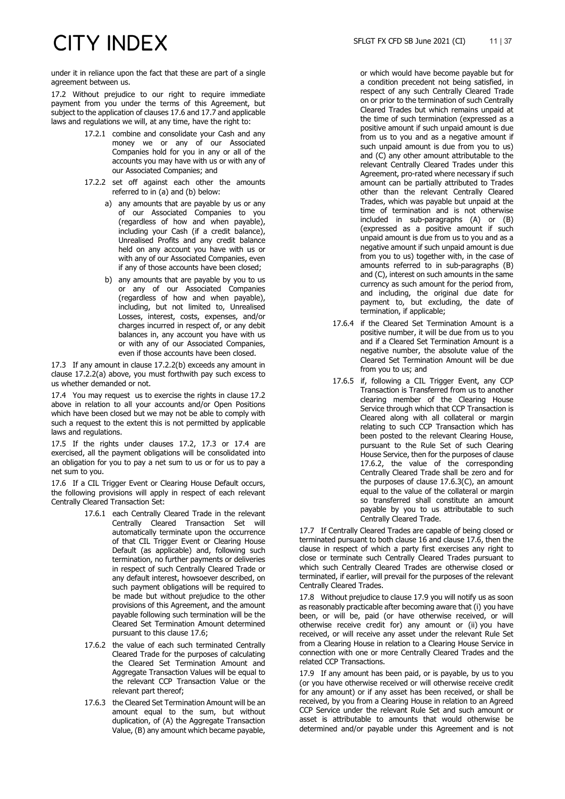under it in reliance upon the fact that these are part of a single agreement between us.

17.2 Without prejudice to our right to require immediate payment from you under the terms of this Agreement, but subject to the application of clause[s 17.6](#page-10-1) an[d 17.7](#page-10-2) and applicable laws and regulations we will, at any time, have the right to:

- 17.2.1 combine and consolidate your Cash and any money we or any of our Associated Companies hold for you in any or all of the accounts you may have with us or with any of our Associated Companies; and
- 17.2.2 set off against each other the amounts referred to in (a) and (b) below:
	- a) any amounts that are payable by us or any of our Associated Companies to you (regardless of how and when payable), including your Cash (if a credit balance), Unrealised Profits and any credit balance held on any account you have with us or with any of our Associated Companies, even if any of those accounts have been closed;
	- b) any amounts that are payable by you to us or any of our Associated Companies (regardless of how and when payable), including, but not limited to, Unrealised Losses, interest, costs, expenses, and/or charges incurred in respect of, or any debit balances in, any account you have with us or with any of our Associated Companies, even if those accounts have been closed.

17.3 If any amount in clause 17.2.2(b) exceeds any amount in clause 17.2.2(a) above, you must forthwith pay such excess to us whether demanded or not.

17.4 You may request us to exercise the rights in clause 17.2 above in relation to all your accounts and/or Open Positions which have been closed but we may not be able to comply with such a request to the extent this is not permitted by applicable laws and regulations.

17.5 If the rights under clauses 17.2, 17.3 or 17.4 are exercised, all the payment obligations will be consolidated into an obligation for you to pay a net sum to us or for us to pay a net sum to you.

<span id="page-10-1"></span>17.6 If a CIL Trigger Event or Clearing House Default occurs, the following provisions will apply in respect of each relevant Centrally Cleared Transaction Set:

- 17.6.1 each Centrally Cleared Trade in the relevant Centrally Cleared Transaction Set will automatically terminate upon the occurrence of that CIL Trigger Event or Clearing House Default (as applicable) and, following such termination, no further payments or deliveries in respect of such Centrally Cleared Trade or any default interest, howsoever described, on such payment obligations will be required to be made but without prejudice to the other provisions of this Agreement, and the amount payable following such termination will be the Cleared Set Termination Amount determined pursuant to this clause [17.6;](#page-10-1)
- <span id="page-10-3"></span>17.6.2 the value of each such terminated Centrally Cleared Trade for the purposes of calculating the Cleared Set Termination Amount and Aggregate Transaction Values will be equal to the relevant CCP Transaction Value or the relevant part thereof;
- <span id="page-10-4"></span>17.6.3 the Cleared Set Termination Amount will be an amount equal to the sum, but without duplication, of (A) the Aggregate Transaction Value, (B) any amount which became payable,

or which would have become payable but for a condition precedent not being satisfied, in respect of any such Centrally Cleared Trade on or prior to the termination of such Centrally Cleared Trades but which remains unpaid at the time of such termination (expressed as a positive amount if such unpaid amount is due from us to you and as a negative amount if such unpaid amount is due from you to us) and (C) any other amount attributable to the relevant Centrally Cleared Trades under this Agreement, pro-rated where necessary if such amount can be partially attributed to Trades other than the relevant Centrally Cleared Trades, which was payable but unpaid at the time of termination and is not otherwise included in sub-paragraphs (A) or (B) (expressed as a positive amount if such unpaid amount is due from us to you and as a negative amount if such unpaid amount is due from you to us) together with, in the case of amounts referred to in sub-paragraphs (B) and (C), interest on such amounts in the same currency as such amount for the period from, and including, the original due date for payment to, but excluding, the date of termination, if applicable;

- 17.6.4 if the Cleared Set Termination Amount is a positive number, it will be due from us to you and if a Cleared Set Termination Amount is a negative number, the absolute value of the Cleared Set Termination Amount will be due from you to us; and
- 17.6.5 if, following a CIL Trigger Event, any CCP Transaction is Transferred from us to another clearing member of the Clearing House Service through which that CCP Transaction is Cleared along with all collateral or margin relating to such CCP Transaction which has been posted to the relevant Clearing House, pursuant to the Rule Set of such Clearing House Service, then for the purposes of clause [17.6.2,](#page-10-3) the value of the corresponding Centrally Cleared Trade shall be zero and for the purposes of clause [17.6.3\(](#page-10-4)C), an amount equal to the value of the collateral or margin so transferred shall constitute an amount payable by you to us attributable to such Centrally Cleared Trade.

<span id="page-10-2"></span>17.7 If Centrally Cleared Trades are capable of being closed or terminated pursuant to both clause [16](#page-8-0) and claus[e 17.6,](#page-10-1) then the clause in respect of which a party first exercises any right to close or terminate such Centrally Cleared Trades pursuant to which such Centrally Cleared Trades are otherwise closed or terminated, if earlier, will prevail for the purposes of the relevant Centrally Cleared Trades.

17.8 Without prejudice to clause [17.9](#page-10-0) you will notify us as soon as reasonably practicable after becoming aware that (i) you have been, or will be, paid (or have otherwise received, or will otherwise receive credit for) any amount or (ii) you have received, or will receive any asset under the relevant Rule Set from a Clearing House in relation to a Clearing House Service in connection with one or more Centrally Cleared Trades and the related CCP Transactions.

<span id="page-10-0"></span>17.9 If any amount has been paid, or is payable, by us to you (or you have otherwise received or will otherwise receive credit for any amount) or if any asset has been received, or shall be received, by you from a Clearing House in relation to an Agreed CCP Service under the relevant Rule Set and such amount or asset is attributable to amounts that would otherwise be determined and/or payable under this Agreement and is not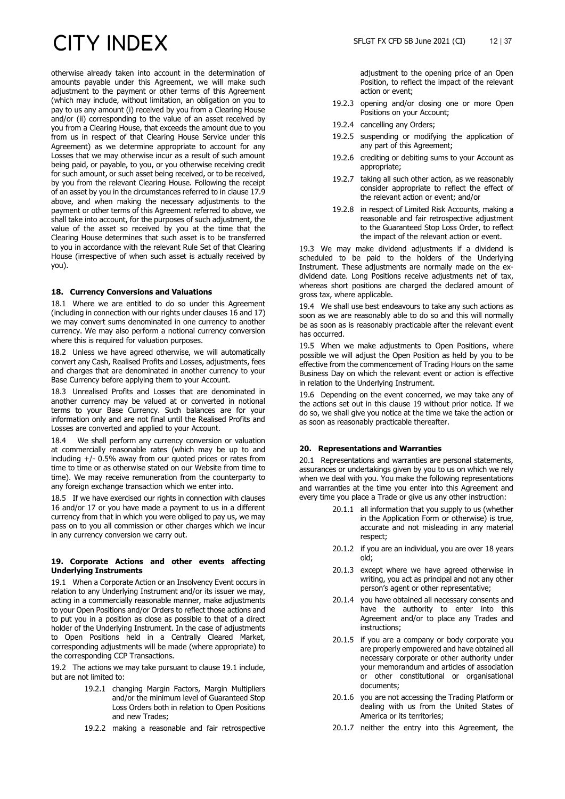otherwise already taken into account in the determination of amounts payable under this Agreement, we will make such adjustment to the payment or other terms of this Agreement (which may include, without limitation, an obligation on you to pay to us any amount (i) received by you from a Clearing House and/or (ii) corresponding to the value of an asset received by you from a Clearing House, that exceeds the amount due to you from us in respect of that Clearing House Service under this Agreement) as we determine appropriate to account for any Losses that we may otherwise incur as a result of such amount being paid, or payable, to you, or you otherwise receiving credit for such amount, or such asset being received, or to be received, by you from the relevant Clearing House. Following the receipt of an asset by you in the circumstances referred to in claus[e 17.9](#page-10-0) above, and when making the necessary adjustments to the payment or other terms of this Agreement referred to above, we shall take into account, for the purposes of such adjustment, the value of the asset so received by you at the time that the Clearing House determines that such asset is to be transferred to you in accordance with the relevant Rule Set of that Clearing House (irrespective of when such asset is actually received by you).

### **18. Currency Conversions and Valuations**

18.1 Where we are entitled to do so under this Agreement (including in connection with our rights under clauses 16 and 17) we may convert sums denominated in one currency to another currency. We may also perform a notional currency conversion where this is required for valuation purposes.

18.2 Unless we have agreed otherwise, we will automatically convert any Cash, Realised Profits and Losses, adjustments, fees and charges that are denominated in another currency to your Base Currency before applying them to your Account.

18.3 Unrealised Profits and Losses that are denominated in another currency may be valued at or converted in notional terms to your Base Currency. Such balances are for your information only and are not final until the Realised Profits and Losses are converted and applied to your Account.

18.4 We shall perform any currency conversion or valuation at commercially reasonable rates (which may be up to and including +/- 0.5% away from our quoted prices or rates from time to time or as otherwise stated on our Website from time to time). We may receive remuneration from the counterparty to any foreign exchange transaction which we enter into.

18.5 If we have exercised our rights in connection with clauses 16 and/or 17 or you have made a payment to us in a different currency from that in which you were obliged to pay us, we may pass on to you all commission or other charges which we incur in any currency conversion we carry out.

### **19. Corporate Actions and other events affecting Underlying Instruments**

19.1 When a Corporate Action or an Insolvency Event occurs in relation to any Underlying Instrument and/or its issuer we may, acting in a commercially reasonable manner, make adjustments to your Open Positions and/or Orders to reflect those actions and to put you in a position as close as possible to that of a direct holder of the Underlying Instrument. In the case of adjustments to Open Positions held in a Centrally Cleared Market, corresponding adjustments will be made (where appropriate) to the corresponding CCP Transactions.

19.2 The actions we may take pursuant to clause 19.1 include, but are not limited to:

- 19.2.1 changing Margin Factors, Margin Multipliers and/or the minimum level of Guaranteed Stop Loss Orders both in relation to Open Positions and new Trades;
- 19.2.2 making a reasonable and fair retrospective

adjustment to the opening price of an Open Position, to reflect the impact of the relevant action or event;

- 19.2.3 opening and/or closing one or more Open Positions on your Account;
- 19.2.4 cancelling any Orders;
- 19.2.5 suspending or modifying the application of any part of this Agreement;
- 19.2.6 crediting or debiting sums to your Account as appropriate;
- 19.2.7 taking all such other action, as we reasonably consider appropriate to reflect the effect of the relevant action or event; and/or
- 19.2.8 in respect of Limited Risk Accounts, making a reasonable and fair retrospective adjustment to the Guaranteed Stop Loss Order, to reflect the impact of the relevant action or event.

19.3 We may make dividend adjustments if a dividend is scheduled to be paid to the holders of the Underlying Instrument. These adjustments are normally made on the exdividend date. Long Positions receive adjustments net of tax, whereas short positions are charged the declared amount of gross tax, where applicable.

19.4 We shall use best endeavours to take any such actions as soon as we are reasonably able to do so and this will normally be as soon as is reasonably practicable after the relevant event has occurred.

19.5 When we make adjustments to Open Positions, where possible we will adjust the Open Position as held by you to be effective from the commencement of Trading Hours on the same Business Day on which the relevant event or action is effective in relation to the Underlying Instrument.

19.6 Depending on the event concerned, we may take any of the actions set out in this clause 19 without prior notice. If we do so, we shall give you notice at the time we take the action or as soon as reasonably practicable thereafter.

### **20. Representations and Warranties**

20.1 Representations and warranties are personal statements, assurances or undertakings given by you to us on which we rely when we deal with you. You make the following representations and warranties at the time you enter into this Agreement and every time you place a Trade or give us any other instruction:

- 20.1.1 all information that you supply to us (whether in the Application Form or otherwise) is true, accurate and not misleading in any material respect;
- 20.1.2 if you are an individual, you are over 18 years old;
- 20.1.3 except where we have agreed otherwise in writing, you act as principal and not any other person's agent or other representative;
- 20.1.4 you have obtained all necessary consents and have the authority to enter into this Agreement and/or to place any Trades and instructions;
- 20.1.5 if you are a company or body corporate you are properly empowered and have obtained all necessary corporate or other authority under your memorandum and articles of association or other constitutional or organisational documents;
- 20.1.6 you are not accessing the Trading Platform or dealing with us from the United States of America or its territories;
- 20.1.7 neither the entry into this Agreement, the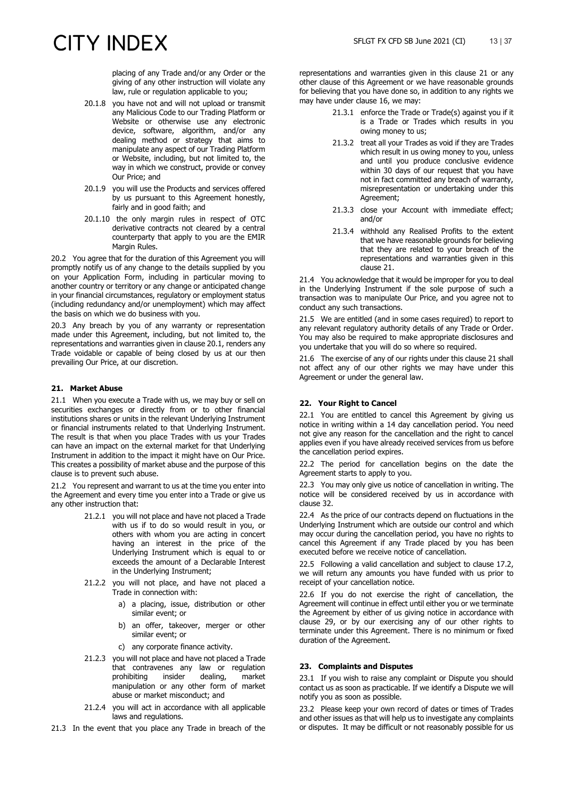placing of any Trade and/or any Order or the giving of any other instruction will violate any law, rule or regulation applicable to you;

- 20.1.8 you have not and will not upload or transmit any Malicious Code to our Trading Platform or Website or otherwise use any electronic device, software, algorithm, and/or any dealing method or strategy that aims to manipulate any aspect of our Trading Platform or Website, including, but not limited to, the way in which we construct, provide or convey Our Price; and
- 20.1.9 you will use the Products and services offered by us pursuant to this Agreement honestly, fairly and in good faith; and
- 20.1.10 the only margin rules in respect of OTC derivative contracts not cleared by a central counterparty that apply to you are the EMIR Margin Rules.

20.2 You agree that for the duration of this Agreement you will promptly notify us of any change to the details supplied by you on your Application Form, including in particular moving to another country or territory or any change or anticipated change in your financial circumstances, regulatory or employment status (including redundancy and/or unemployment) which may affect the basis on which we do business with you.

20.3 Any breach by you of any warranty or representation made under this Agreement, including, but not limited to, the representations and warranties given in clause 20.1, renders any Trade voidable or capable of being closed by us at our then prevailing Our Price, at our discretion.

### **21. Market Abuse**

21.1 When you execute a Trade with us, we may buy or sell on securities exchanges or directly from or to other financial institutions shares or units in the relevant Underlying Instrument or financial instruments related to that Underlying Instrument. The result is that when you place Trades with us your Trades can have an impact on the external market for that Underlying Instrument in addition to the impact it might have on Our Price. This creates a possibility of market abuse and the purpose of this clause is to prevent such abuse.

21.2 You represent and warrant to us at the time you enter into the Agreement and every time you enter into a Trade or give us any other instruction that:

- 21.2.1 you will not place and have not placed a Trade with us if to do so would result in you, or others with whom you are acting in concert having an interest in the price of the Underlying Instrument which is equal to or exceeds the amount of a Declarable Interest in the Underlying Instrument;
- 21.2.2 you will not place, and have not placed a Trade in connection with:
	- a) a placing, issue, distribution or other similar event; or
	- b) an offer, takeover, merger or other similar event; or
	- c) any corporate finance activity.
- 21.2.3 you will not place and have not placed a Trade that contravenes any law or regulation<br>prohibiting insider dealing, market prohibiting manipulation or any other form of market abuse or market misconduct; and
- 21.2.4 you will act in accordance with all applicable laws and regulations.
- 21.3 In the event that you place any Trade in breach of the

representations and warranties given in this clause 21 or any other clause of this Agreement or we have reasonable grounds for believing that you have done so, in addition to any rights we may have under clause 16, we may:

- 21.3.1 enforce the Trade or Trade(s) against you if it is a Trade or Trades which results in you owing money to us;
- 21.3.2 treat all your Trades as void if they are Trades which result in us owing money to you, unless and until you produce conclusive evidence within 30 days of our request that you have not in fact committed any breach of warranty, misrepresentation or undertaking under this Agreement;
- 21.3.3 close your Account with immediate effect; and/or
- 21.3.4 withhold any Realised Profits to the extent that we have reasonable grounds for believing that they are related to your breach of the representations and warranties given in this clause 21.

21.4 You acknowledge that it would be improper for you to deal in the Underlying Instrument if the sole purpose of such a transaction was to manipulate Our Price, and you agree not to conduct any such transactions.

21.5 We are entitled (and in some cases required) to report to any relevant regulatory authority details of any Trade or Order. You may also be required to make appropriate disclosures and you undertake that you will do so where so required.

21.6 The exercise of any of our rights under this clause 21 shall not affect any of our other rights we may have under this Agreement or under the general law.

### **22. Your Right to Cancel**

22.1 You are entitled to cancel this Agreement by giving us notice in writing within a 14 day cancellation period. You need not give any reason for the cancellation and the right to cancel applies even if you have already received services from us before the cancellation period expires.

22.2 The period for cancellation begins on the date the Agreement starts to apply to you.

22.3 You may only give us notice of cancellation in writing. The notice will be considered received by us in accordance with clause 32.

22.4 As the price of our contracts depend on fluctuations in the Underlying Instrument which are outside our control and which may occur during the cancellation period, you have no rights to cancel this Agreement if any Trade placed by you has been executed before we receive notice of cancellation.

22.5 Following a valid cancellation and subject to clause 17.2, we will return any amounts you have funded with us prior to receipt of your cancellation notice.

22.6 If you do not exercise the right of cancellation, the Agreement will continue in effect until either you or we terminate the Agreement by either of us giving notice in accordance with clause 29, or by our exercising any of our other rights to terminate under this Agreement. There is no minimum or fixed duration of the Agreement.

### <span id="page-12-0"></span>**23. Complaints and Disputes**

23.1 If you wish to raise any complaint or Dispute you should contact us as soon as practicable. If we identify a Dispute we will notify you as soon as possible.

23.2 Please keep your own record of dates or times of Trades and other issues as that will help us to investigate any complaints or disputes. It may be difficult or not reasonably possible for us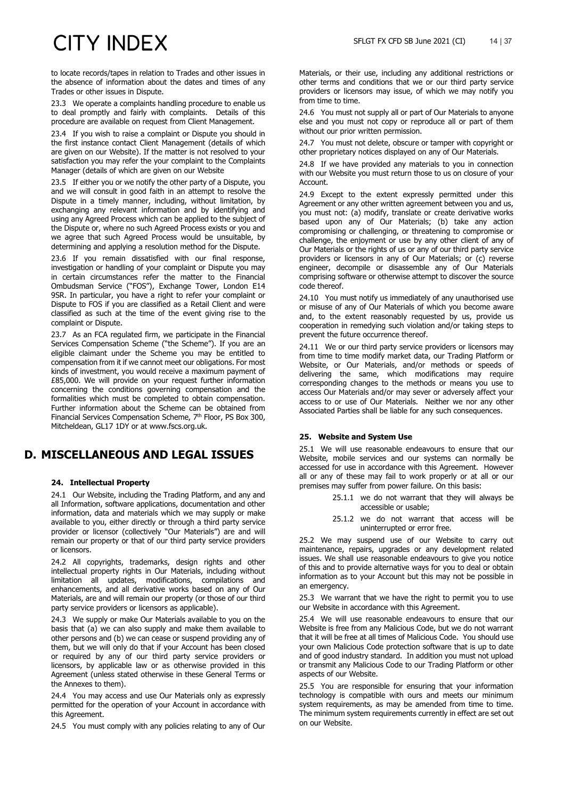to locate records/tapes in relation to Trades and other issues in the absence of information about the dates and times of any Trades or other issues in Dispute.

23.3 We operate a complaints handling procedure to enable us to deal promptly and fairly with complaints. Details of this procedure are available on request from Client Management.

23.4 If you wish to raise a complaint or Dispute you should in the first instance contact Client Management (details of which are given on our Website). If the matter is not resolved to your satisfaction you may refer the your complaint to the Complaints Manager (details of which are given on our Website

23.5 If either you or we notify the other party of a Dispute, you and we will consult in good faith in an attempt to resolve the Dispute in a timely manner, including, without limitation, by exchanging any relevant information and by identifying and using any Agreed Process which can be applied to the subject of the Dispute or, where no such Agreed Process exists or you and we agree that such Agreed Process would be unsuitable, by determining and applying a resolution method for the Dispute.

23.6 If you remain dissatisfied with our final response, investigation or handling of your complaint or Dispute you may in certain circumstances refer the matter to the Financial Ombudsman Service ("FOS"), Exchange Tower, London E14 9SR. In particular, you have a right to refer your complaint or Dispute to FOS if you are classified as a Retail Client and were classified as such at the time of the event giving rise to the complaint or Dispute.

<span id="page-13-3"></span>23.7 As an FCA regulated firm, we participate in the Financial Services Compensation Scheme ("the Scheme"). If you are an eligible claimant under the Scheme you may be entitled to compensation from it if we cannot meet our obligations. For most kinds of investment, you would receive a maximum payment of £85,000. We will provide on your request further information concerning the conditions governing compensation and the formalities which must be completed to obtain compensation. Further information about the Scheme can be obtained from Financial Services Compensation Scheme, 7<sup>th</sup> Floor, PS Box 300, Mitcheldean, GL17 1DY or at www.fscs.org.uk.

### **D. MISCELLANEOUS AND LEGAL ISSUES**

### <span id="page-13-1"></span>**24. Intellectual Property**

<span id="page-13-2"></span>24.1 Our Website, including the Trading Platform, and any and all Information, software applications, documentation and other information, data and materials which we may supply or make available to you, either directly or through a third party service provider or licensor (collectively "Our Materials") are and will remain our property or that of our third party service providers or licensors.

24.2 All copyrights, trademarks, design rights and other intellectual property rights in Our Materials, including without limitation all updates, modifications, compilations and enhancements, and all derivative works based on any of Our Materials, are and will remain our property (or those of our third party service providers or licensors as applicable).

24.3 We supply or make Our Materials available to you on the basis that (a) we can also supply and make them available to other persons and (b) we can cease or suspend providing any of them, but we will only do that if your Account has been closed or required by any of our third party service providers or licensors, by applicable law or as otherwise provided in this Agreement (unless stated otherwise in these General Terms or the Annexes to them).

24.4 You may access and use Our Materials only as expressly permitted for the operation of your Account in accordance with this Agreement.

24.5 You must comply with any policies relating to any of Our

Materials, or their use, including any additional restrictions or other terms and conditions that we or our third party service providers or licensors may issue, of which we may notify you from time to time.

24.6 You must not supply all or part of Our Materials to anyone else and you must not copy or reproduce all or part of them without our prior written permission.

24.7 You must not delete, obscure or tamper with copyright or other proprietary notices displayed on any of Our Materials.

24.8 If we have provided any materials to you in connection with our Website you must return those to us on closure of your Account.

24.9 Except to the extent expressly permitted under this Agreement or any other written agreement between you and us, you must not: (a) modify, translate or create derivative works based upon any of Our Materials; (b) take any action compromising or challenging, or threatening to compromise or challenge, the enjoyment or use by any other client of any of Our Materials or the rights of us or any of our third party service providers or licensors in any of Our Materials; or (c) reverse engineer, decompile or disassemble any of Our Materials comprising software or otherwise attempt to discover the source code thereof.

24.10 You must notify us immediately of any unauthorised use or misuse of any of Our Materials of which you become aware and, to the extent reasonably requested by us, provide us cooperation in remedying such violation and/or taking steps to prevent the future occurrence thereof.

24.11 We or our third party service providers or licensors may from time to time modify market data, our Trading Platform or Website, or Our Materials, and/or methods or speeds of delivering the same, which modifications may require corresponding changes to the methods or means you use to access Our Materials and/or may sever or adversely affect your access to or use of Our Materials. Neither we nor any other Associated Parties shall be liable for any such consequences.

### <span id="page-13-0"></span>**25. Website and System Use**

25.1 We will use reasonable endeavours to ensure that our Website, mobile services and our systems can normally be accessed for use in accordance with this Agreement. However all or any of these may fail to work properly or at all or our premises may suffer from power failure. On this basis:

- 25.1.1 we do not warrant that they will always be accessible or usable;
- 25.1.2 we do not warrant that access will be uninterrupted or error free.

25.2 We may suspend use of our Website to carry out maintenance, repairs, upgrades or any development related issues. We shall use reasonable endeavours to give you notice of this and to provide alternative ways for you to deal or obtain information as to your Account but this may not be possible in an emergency.

25.3 We warrant that we have the right to permit you to use our Website in accordance with this Agreement.

25.4 We will use reasonable endeavours to ensure that our Website is free from any Malicious Code, but we do not warrant that it will be free at all times of Malicious Code. You should use your own Malicious Code protection software that is up to date and of good industry standard. In addition you must not upload or transmit any Malicious Code to our Trading Platform or other aspects of our Website.

25.5 You are responsible for ensuring that your information technology is compatible with ours and meets our minimum system requirements, as may be amended from time to time. The minimum system requirements currently in effect are set out on our Website.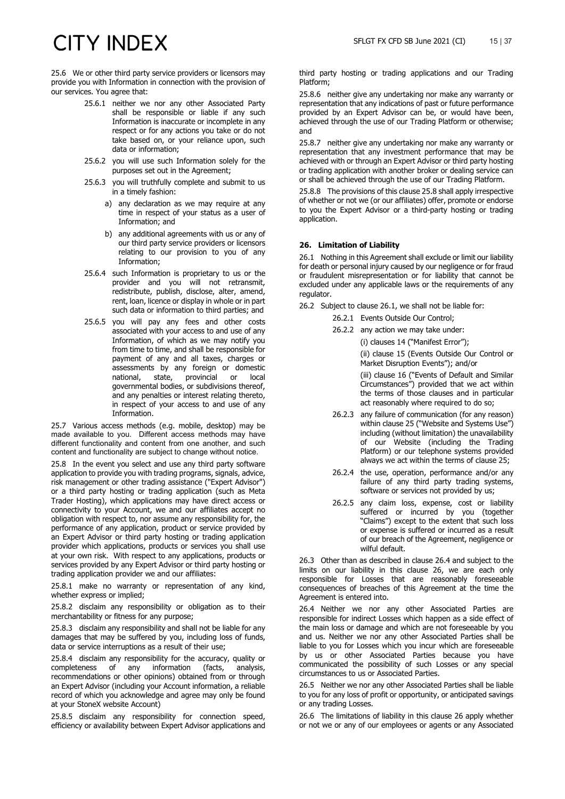25.6 We or other third party service providers or licensors may provide you with Information in connection with the provision of our services. You agree that:

- 25.6.1 neither we nor any other Associated Party shall be responsible or liable if any such Information is inaccurate or incomplete in any respect or for any actions you take or do not take based on, or your reliance upon, such data or information;
- 25.6.2 you will use such Information solely for the purposes set out in the Agreement;
- 25.6.3 you will truthfully complete and submit to us in a timely fashion:
	- a) any declaration as we may require at any time in respect of your status as a user of Information; and
	- b) any additional agreements with us or any of our third party service providers or licensors relating to our provision to you of any Information;
- 25.6.4 such Information is proprietary to us or the provider and you will not retransmit, redistribute, publish, disclose, alter, amend, rent, loan, licence or display in whole or in part such data or information to third parties; and
- 25.6.5 you will pay any fees and other costs associated with your access to and use of any Information, of which as we may notify you from time to time, and shall be responsible for payment of any and all taxes, charges or assessments by any foreign or domestic<br>national, state, provincial or local provincial or governmental bodies, or subdivisions thereof, and any penalties or interest relating thereto, in respect of your access to and use of any Information.

25.7 Various access methods (e.g. mobile, desktop) may be made available to you. Different access methods may have different functionality and content from one another, and such content and functionality are subject to change without notice.

<span id="page-14-0"></span>25.8 In the event you select and use any third party software application to provide you with trading programs, signals, advice, risk management or other trading assistance ("Expert Advisor") or a third party hosting or trading application (such as Meta Trader Hosting), which applications may have direct access or connectivity to your Account, we and our affiliates accept no obligation with respect to, nor assume any responsibility for, the performance of any application, product or service provided by an Expert Advisor or third party hosting or trading application provider which applications, products or services you shall use at your own risk. With respect to any applications, products or services provided by any Expert Advisor or third party hosting or trading application provider we and our affiliates:

25.8.1 make no warranty or representation of any kind, whether express or implied;

25.8.2 disclaim any responsibility or obligation as to their merchantability or fitness for any purpose;

25.8.3 disclaim any responsibility and shall not be liable for any damages that may be suffered by you, including loss of funds, data or service interruptions as a result of their use;

25.8.4 disclaim any responsibility for the accuracy, quality or completeness of any information (facts, analysis, completeness of any recommendations or other opinions) obtained from or through an Expert Advisor (including your Account information, a reliable record of which you acknowledge and agree may only be found at your StoneX website Account)

25.8.5 disclaim any responsibility for connection speed, efficiency or availability between Expert Advisor applications and third party hosting or trading applications and our Trading Platform;

25.8.6 neither give any undertaking nor make any warranty or representation that any indications of past or future performance provided by an Expert Advisor can be, or would have been, achieved through the use of our Trading Platform or otherwise; and

25.8.7 neither give any undertaking nor make any warranty or representation that any investment performance that may be achieved with or through an Expert Advisor or third party hosting or trading application with another broker or dealing service can or shall be achieved through the use of our Trading Platform.

25.8.8 The provisions of this clause [25.8](#page-14-0) shall apply irrespective of whether or not we (or our affiliates) offer, promote or endorse to you the Expert Advisor or a third-party hosting or trading application.

### <span id="page-14-3"></span>**26. Limitation of Liability**

<span id="page-14-1"></span>26.1 Nothing in this Agreement shall exclude or limit our liability for death or personal injury caused by our negligence or for fraud or fraudulent misrepresentation or for liability that cannot be excluded under any applicable laws or the requirements of any regulator.

26.2 Subject to clause [26.1,](#page-14-1) we shall not be liable for:

- 26.2.1 Events Outside Our Control;
- 26.2.2 any action we may take under:
	- (i) clauses 14 ("Manifest Error");

(ii) clause 15 (Events Outside Our Control or Market Disruption Events"); and/or

(iii) clause 16 ("Events of Default and Similar Circumstances") provided that we act within the terms of those clauses and in particular act reasonably where required to do so;

- 26.2.3 any failure of communication (for any reason) within claus[e 25](#page-13-0) ("Website and Systems Use") including (without limitation) the unavailability of our Website (including the Trading Platform) or our telephone systems provided always we act within the terms of clause [25;](#page-13-0)
- 26.2.4 the use, operation, performance and/or any failure of any third party trading systems, software or services not provided by us;
- 26.2.5 any claim loss, expense, cost or liability suffered or incurred by you (together "Claims") except to the extent that such loss or expense is suffered or incurred as a result of our breach of the Agreement, negligence or wilful default.

26.3 Other than as described in clause [26.4](#page-14-2) and subject to the limits on our liability in this clause [26,](#page-14-3) we are each only responsible for Losses that are reasonably foreseeable consequences of breaches of this Agreement at the time the Agreement is entered into.

<span id="page-14-2"></span>26.4 Neither we nor any other Associated Parties are responsible for indirect Losses which happen as a side effect of the main loss or damage and which are not foreseeable by you and us. Neither we nor any other Associated Parties shall be liable to you for Losses which you incur which are foreseeable by us or other Associated Parties because you have communicated the possibility of such Losses or any special circumstances to us or Associated Parties.

26.5 Neither we nor any other Associated Parties shall be liable to you for any loss of profit or opportunity, or anticipated savings or any trading Losses.

26.6 The limitations of liability in this clause [26](#page-14-3) apply whether or not we or any of our employees or agents or any Associated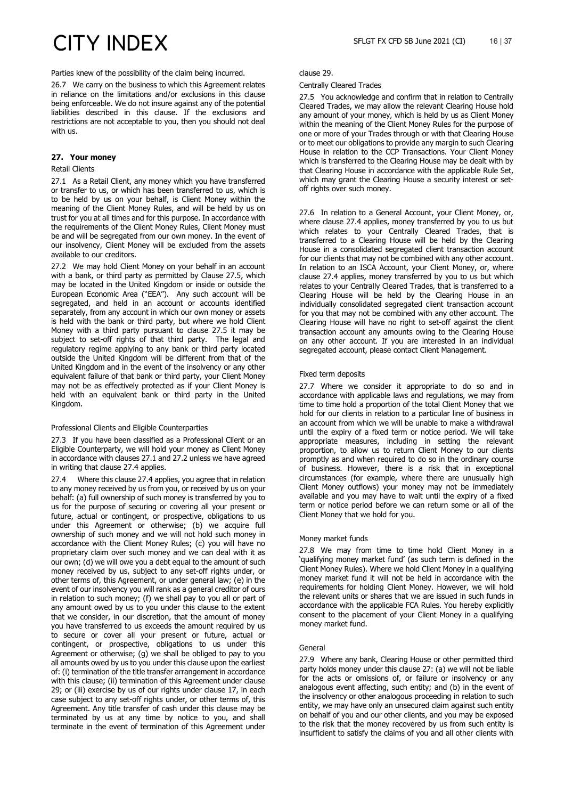Parties knew of the possibility of the claim being incurred.

26.7 We carry on the business to which this Agreement relates in reliance on the limitations and/or exclusions in this clause being enforceable. We do not insure against any of the potential liabilities described in this clause. If the exclusions and restrictions are not acceptable to you, then you should not deal with us.

### <span id="page-15-4"></span>**27. Your money**

### Retail Clients

<span id="page-15-1"></span>27.1 As a Retail Client, any money which you have transferred or transfer to us, or which has been transferred to us, which is to be held by us on your behalf, is Client Money within the meaning of the Client Money Rules, and will be held by us on trust for you at all times and for this purpose. In accordance with the requirements of the Client Money Rules, Client Money must be and will be segregated from our own money. In the event of our insolvency, Client Money will be excluded from the assets available to our creditors.

<span id="page-15-2"></span>27.2 We may hold Client Money on your behalf in an account with a bank, or third party as permitted by Clause [27.5,](#page-15-0) which may be located in the United Kingdom or inside or outside the European Economic Area ("EEA"). Any such account will be segregated, and held in an account or accounts identified separately, from any account in which our own money or assets is held with the bank or third party, but where we hold Client Money with a third party pursuant to clause [27.5](#page-15-0) it may be subject to set-off rights of that third party. The legal and regulatory regime applying to any bank or third party located outside the United Kingdom will be different from that of the United Kingdom and in the event of the insolvency or any other equivalent failure of that bank or third party, your Client Money may not be as effectively protected as if your Client Money is held with an equivalent bank or third party in the United Kingdom.

### Professional Clients and Eligible Counterparties

27.3 If you have been classified as a Professional Client or an Eligible Counterparty, we will hold your money as Client Money in accordance with clause[s 27.1](#page-15-1) and [27.2](#page-15-2) unless we have agreed in writing that clause [27.4](#page-15-3) applies.

<span id="page-15-3"></span>27.4 Where this claus[e 27.4](#page-15-3) applies, you agree that in relation to any money received by us from you, or received by us on your behalf: (a) full ownership of such money is transferred by you to us for the purpose of securing or covering all your present or future, actual or contingent, or prospective, obligations to us under this Agreement or otherwise; (b) we acquire full ownership of such money and we will not hold such money in accordance with the Client Money Rules; (c) you will have no proprietary claim over such money and we can deal with it as our own; (d) we will owe you a debt equal to the amount of such money received by us, subject to any set-off rights under, or other terms of, this Agreement, or under general law; (e) in the event of our insolvency you will rank as a general creditor of ours in relation to such money; (f) we shall pay to you all or part of any amount owed by us to you under this clause to the extent that we consider, in our discretion, that the amount of money you have transferred to us exceeds the amount required by us to secure or cover all your present or future, actual or contingent, or prospective, obligations to us under this Agreement or otherwise; (g) we shall be obliged to pay to you all amounts owed by us to you under this clause upon the earliest of: (i) termination of the title transfer arrangement in accordance with this clause; (ii) termination of this Agreement under clause [29;](#page-16-0) or (iii) exercise by us of our rights under clause 17, in each case subject to any set-off rights under, or other terms of, this Agreement. Any title transfer of cash under this clause may be terminated by us at any time by notice to you, and shall terminate in the event of termination of this Agreement under

#### clause [29.](#page-16-0)

#### Centrally Cleared Trades

<span id="page-15-0"></span>27.5 You acknowledge and confirm that in relation to Centrally Cleared Trades, we may allow the relevant Clearing House hold any amount of your money, which is held by us as Client Money within the meaning of the Client Money Rules for the purpose of one or more of your Trades through or with that Clearing House or to meet our obligations to provide any margin to such Clearing House in relation to the CCP Transactions. Your Client Money which is transferred to the Clearing House may be dealt with by that Clearing House in accordance with the applicable Rule Set, which may grant the Clearing House a security interest or setoff rights over such money.

27.6 In relation to a General Account, your Client Money, or, where clause [27.4](#page-15-3) applies, money transferred by you to us but which relates to your Centrally Cleared Trades, that is transferred to a Clearing House will be held by the Clearing House in a consolidated segregated client transaction account for our clients that may not be combined with any other account. In relation to an ISCA Account, your Client Money, or, where clause [27.4](#page-15-3) applies, money transferred by you to us but which relates to your Centrally Cleared Trades, that is transferred to a Clearing House will be held by the Clearing House in an individually consolidated segregated client transaction account for you that may not be combined with any other account. The Clearing House will have no right to set-off against the client transaction account any amounts owing to the Clearing House on any other account. If you are interested in an individual segregated account, please contact Client Management.

#### Fixed term deposits

27.7 Where we consider it appropriate to do so and in accordance with applicable laws and regulations, we may from time to time hold a proportion of the total Client Money that we hold for our clients in relation to a particular line of business in an account from which we will be unable to make a withdrawal until the expiry of a fixed term or notice period. We will take appropriate measures, including in setting the relevant proportion, to allow us to return Client Money to our clients promptly as and when required to do so in the ordinary course of business. However, there is a risk that in exceptional circumstances (for example, where there are unusually high Client Money outflows) your money may not be immediately available and you may have to wait until the expiry of a fixed term or notice period before we can return some or all of the Client Money that we hold for you.

### Money market funds

27.8 We may from time to time hold Client Money in a 'qualifying money market fund' (as such term is defined in the Client Money Rules). Where we hold Client Money in a qualifying money market fund it will not be held in accordance with the requirements for holding Client Money. However, we will hold the relevant units or shares that we are issued in such funds in accordance with the applicable FCA Rules. You hereby explicitly consent to the placement of your Client Money in a qualifying money market fund.

### General

27.9 Where any bank, Clearing House or other permitted third party holds money under this clause [27:](#page-15-4) (a) we will not be liable for the acts or omissions of, or failure or insolvency or any analogous event affecting, such entity; and (b) in the event of the insolvency or other analogous proceeding in relation to such entity, we may have only an unsecured claim against such entity on behalf of you and our other clients, and you may be exposed to the risk that the money recovered by us from such entity is insufficient to satisfy the claims of you and all other clients with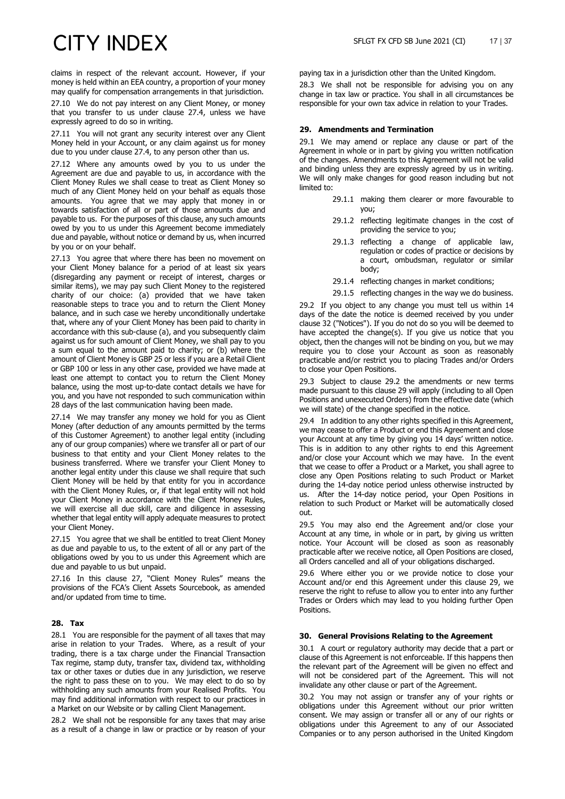claims in respect of the relevant account. However, if your money is held within an EEA country, a proportion of your money may qualify for compensation arrangements in that jurisdiction.

27.10 We do not pay interest on any Client Money, or money that you transfer to us under clause [27.4,](#page-15-3) unless we have expressly agreed to do so in writing.

27.11 You will not grant any security interest over any Client Money held in your Account, or any claim against us for money due to you under clause [27.4,](#page-15-3) to any person other than us.

27.12 Where any amounts owed by you to us under the Agreement are due and payable to us, in accordance with the Client Money Rules we shall cease to treat as Client Money so much of any Client Money held on your behalf as equals those amounts. You agree that we may apply that money in or towards satisfaction of all or part of those amounts due and payable to us. For the purposes of this clause, any such amounts owed by you to us under this Agreement become immediately due and payable, without notice or demand by us, when incurred by you or on your behalf.

27.13 You agree that where there has been no movement on your Client Money balance for a period of at least six years (disregarding any payment or receipt of interest, charges or similar items), we may pay such Client Money to the registered charity of our choice: (a) provided that we have taken reasonable steps to trace you and to return the Client Money balance, and in such case we hereby unconditionally undertake that, where any of your Client Money has been paid to charity in accordance with this sub-clause (a), and you subsequently claim against us for such amount of Client Money, we shall pay to you a sum equal to the amount paid to charity; or (b) where the amount of Client Money is GBP 25 or less if you are a Retail Client or GBP 100 or less in any other case, provided we have made at least one attempt to contact you to return the Client Money balance, using the most up-to-date contact details we have for you, and you have not responded to such communication within 28 days of the last communication having been made.

27.14 We may transfer any money we hold for you as Client Money (after deduction of any amounts permitted by the terms of this Customer Agreement) to another legal entity (including any of our group companies) where we transfer all or part of our business to that entity and your Client Money relates to the business transferred. Where we transfer your Client Money to another legal entity under this clause we shall require that such Client Money will be held by that entity for you in accordance with the Client Money Rules, or, if that legal entity will not hold your Client Money in accordance with the Client Money Rules, we will exercise all due skill, care and diligence in assessing whether that legal entity will apply adequate measures to protect your Client Money.

27.15 You agree that we shall be entitled to treat Client Money as due and payable to us, to the extent of all or any part of the obligations owed by you to us under this Agreement which are due and payable to us but unpaid.

<span id="page-16-2"></span>27.16 In this clause [27,](#page-15-4) "Client Money Rules" means the provisions of the FCA's Client Assets Sourcebook, as amended and/or updated from time to time.

### **28. Tax**

28.1 You are responsible for the payment of all taxes that may arise in relation to your Trades. Where, as a result of your trading, there is a tax charge under the Financial Transaction Tax regime, stamp duty, transfer tax, dividend tax, withholding tax or other taxes or duties due in any jurisdiction, we reserve the right to pass these on to you. We may elect to do so by withholding any such amounts from your Realised Profits. You may find additional information with respect to our practices in a Market on our Website or by calling Client Management.

28.2 We shall not be responsible for any taxes that may arise as a result of a change in law or practice or by reason of your

paying tax in a jurisdiction other than the United Kingdom.

28.3 We shall not be responsible for advising you on any change in tax law or practice. You shall in all circumstances be responsible for your own tax advice in relation to your Trades.

### <span id="page-16-0"></span>**29. Amendments and Termination**

29.1 We may amend or replace any clause or part of the Agreement in whole or in part by giving you written notification of the changes. Amendments to this Agreement will not be valid and binding unless they are expressly agreed by us in writing. We will only make changes for good reason including but not limited to:

- 29.1.1 making them clearer or more favourable to you;
- 29.1.2 reflecting legitimate changes in the cost of providing the service to you;
- 29.1.3 reflecting a change of applicable law, regulation or codes of practice or decisions by a court, ombudsman, regulator or similar body;
- 29.1.4 reflecting changes in market conditions;
- 29.1.5 reflecting changes in the way we do business.

<span id="page-16-1"></span>29.2 If you object to any change you must tell us within 14 days of the date the notice is deemed received by you under clause 32 ("Notices"). If you do not do so you will be deemed to have accepted the change(s). If you give us notice that you object, then the changes will not be binding on you, but we may require you to close your Account as soon as reasonably practicable and/or restrict you to placing Trades and/or Orders to close your Open Positions.

29.3 Subject to clause [29.2](#page-16-1) the amendments or new terms made pursuant to this clause [29](#page-16-0) will apply (including to all Open Positions and unexecuted Orders) from the effective date (which we will state) of the change specified in the notice.

29.4 In addition to any other rights specified in this Agreement, we may cease to offer a Product or end this Agreement and close your Account at any time by giving you 14 days' written notice. This is in addition to any other rights to end this Agreement and/or close your Account which we may have. In the event that we cease to offer a Product or a Market, you shall agree to close any Open Positions relating to such Product or Market during the 14-day notice period unless otherwise instructed by us. After the 14-day notice period, your Open Positions in relation to such Product or Market will be automatically closed out.

29.5 You may also end the Agreement and/or close your Account at any time, in whole or in part, by giving us written notice. Your Account will be closed as soon as reasonably practicable after we receive notice, all Open Positions are closed, all Orders cancelled and all of your obligations discharged.

29.6 Where either you or we provide notice to close your Account and/or end this Agreement under this clause [29,](#page-16-0) we reserve the right to refuse to allow you to enter into any further Trades or Orders which may lead to you holding further Open Positions.

### **30. General Provisions Relating to the Agreement**

30.1 A court or regulatory authority may decide that a part or clause of this Agreement is not enforceable. If this happens then the relevant part of the Agreement will be given no effect and will not be considered part of the Agreement. This will not invalidate any other clause or part of the Agreement.

30.2 You may not assign or transfer any of your rights or obligations under this Agreement without our prior written consent. We may assign or transfer all or any of our rights or obligations under this Agreement to any of our Associated Companies or to any person authorised in the United Kingdom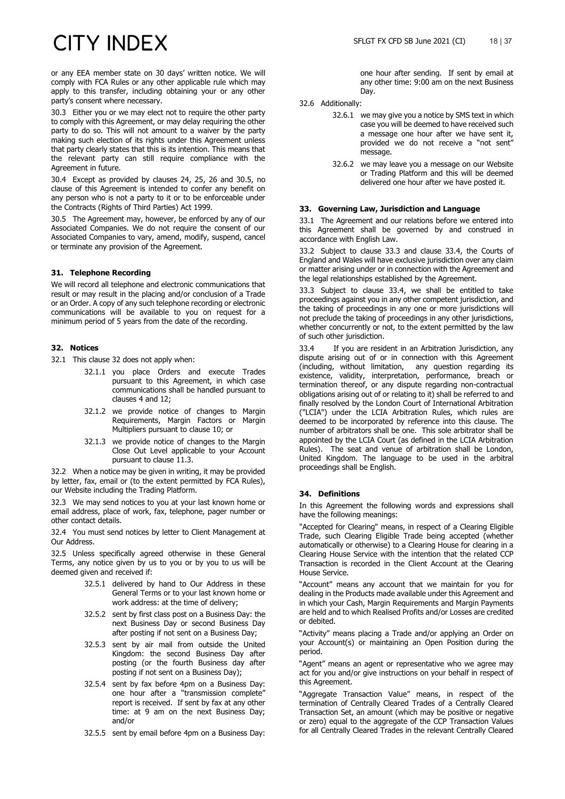or any EEA member state on 30 days' written notice. We will comply with FCA Rules or any other applicable rule which may apply to this transfer, including obtaining your or any other party's consent where necessary.

30.3 Either you or we may elect not to require the other party to comply with this Agreement, or may delay requiring the other party to do so. This will not amount to a waiver by the party making such election of its rights under this Agreement unless that party clearly states that this is its intention. This means that the relevant party can still require compliance with the Agreement in future.

30.4 Except as provided by clauses [24,](#page-13-1) [25,](#page-13-0) [26](#page-14-3) and [30.5,](#page-17-1) no clause of this Agreement is intended to confer any benefit on any person who is not a party to it or to be enforceable under the Contracts (Rights of Third Parties) Act 1999.

<span id="page-17-1"></span>30.5 The Agreement may, however, be enforced by any of our Associated Companies. We do not require the consent of our Associated Companies to vary, amend, modify, suspend, cancel or terminate any provision of the Agreement.

### **31. Telephone Recording**

We will record all telephone and electronic communications that result or may result in the placing and/or conclusion of a Trade or an Order. A copy of any such telephone recording or electronic communications will be available to you on request for a minimum period of 5 years from the date of the recording.

### <span id="page-17-2"></span>**32. Notices**

- 32.1 This clause 32 does not apply when:
	- 32.1.1 you place Orders and execute Trades pursuant to this Agreement, in which case communications shall be handled pursuant to clauses 4 and 12;
	- 32.1.2 we provide notice of changes to Margin Requirements, Margin Factors or Margin Multipliers pursuant to clause 10; or
	- 32.1.3 we provide notice of changes to the Margin Close Out Level applicable to your Account pursuant to clause 11.3.

32.2 When a notice may be given in writing, it may be provided by letter, fax, email or (to the extent permitted by FCA Rules), our Website including the Trading Platform.

32.3 We may send notices to you at your last known home or email address, place of work, fax, telephone, pager number or other contact details.

32.4 You must send notices by letter to Client Management at Our Address.

32.5 Unless specifically agreed otherwise in these General Terms, any notice given by us to you or by you to us will be deemed given and received if:

- 32.5.1 delivered by hand to Our Address in these General Terms or to your last known home or work address: at the time of delivery;
- 32.5.2 sent by first class post on a Business Day: the next Business Day or second Business Day after posting if not sent on a Business Day;
- 32.5.3 sent by air mail from outside the United Kingdom: the second Business Day after posting (or the fourth Business day after posting if not sent on a Business Day);
- 32.5.4 sent by fax before 4pm on a Business Day: one hour after a "transmission complete" report is received. If sent by fax at any other time: at 9 am on the next Business Day; and/or
- 32.5.5 sent by email before 4pm on a Business Day:

one hour after sending. If sent by email at any other time: 9:00 am on the next Business Day.

- 32.6 Additionally:
	- 32.6.1 we may give you a notice by SMS text in which case you will be deemed to have received such a message one hour after we have sent it, provided we do not receive a "not sent" message.
	- 32.6.2 we may leave you a message on our Website or Trading Platform and this will be deemed delivered one hour after we have posted it.

### **33. Governing Law, Jurisdiction and Language**

33.1 The Agreement and our relations before we entered into this Agreement shall be governed by and construed in accordance with English Law.

33.2 Subject to clause 33.3 and clause 33.4, the Courts of England and Wales will have exclusive jurisdiction over any claim or matter arising under or in connection with the Agreement and the legal relationships established by the Agreement.

33.3 Subject to clause 33.4, we shall be entitled to take proceedings against you in any other competent jurisdiction, and the taking of proceedings in any one or more jurisdictions will not preclude the taking of proceedings in any other jurisdictions, whether concurrently or not, to the extent permitted by the law of such other jurisdiction.

33.4 If you are resident in an Arbitration Jurisdiction, any dispute arising out of or in connection with this Agreement (including, without limitation, any question regarding its existence, validity, interpretation, performance, breach or termination thereof, or any dispute regarding non-contractual obligations arising out of or relating to it) shall be referred to and finally resolved by the London Court of International Arbitration ("LCIA") under the LCIA Arbitration Rules, which rules are deemed to be incorporated by reference into this clause. The number of arbitrators shall be one. This sole arbitrator shall be appointed by the LCIA Court (as defined in the LCIA Arbitration Rules). The seat and venue of arbitration shall be London, United Kingdom. The language to be used in the arbitral proceedings shall be English.

### <span id="page-17-0"></span>**34. Definitions**

In this Agreement the following words and expressions shall have the following meanings:

"Accepted for Clearing" means, in respect of a Clearing Eligible Trade, such Clearing Eligible Trade being accepted (whether automatically or otherwise) to a Clearing House for clearing in a Clearing House Service with the intention that the related CCP Transaction is recorded in the Client Account at the Clearing House Service.

"Account" means any account that we maintain for you for dealing in the Products made available under this Agreement and in which your Cash, Margin Requirements and Margin Payments are held and to which Realised Profits and/or Losses are credited or debited.

"Activity" means placing a Trade and/or applying an Order on your Account(s) or maintaining an Open Position during the period.

"Agent" means an agent or representative who we agree may act for you and/or give instructions on your behalf in respect of this Agreement.

"Aggregate Transaction Value" means, in respect of the termination of Centrally Cleared Trades of a Centrally Cleared Transaction Set, an amount (which may be positive or negative or zero) equal to the aggregate of the CCP Transaction Values for all Centrally Cleared Trades in the relevant Centrally Cleared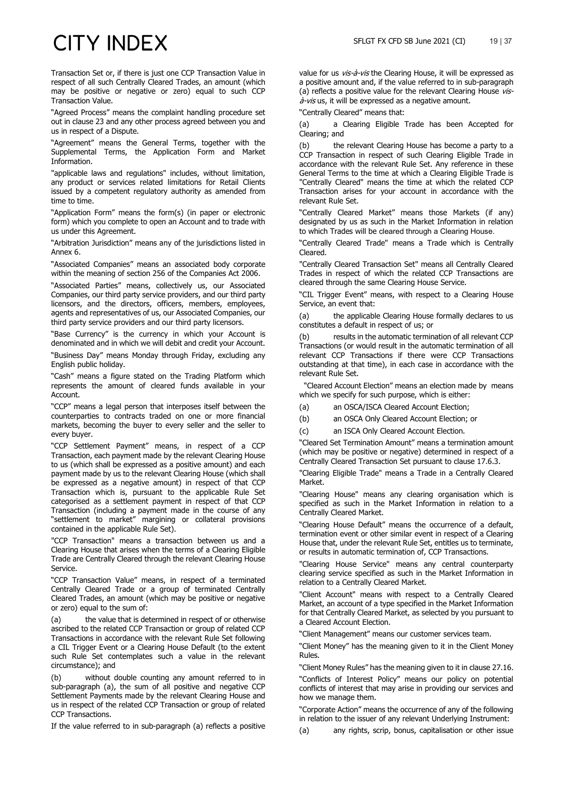Transaction Set or, if there is just one CCP Transaction Value in respect of all such Centrally Cleared Trades, an amount (which may be positive or negative or zero) equal to such CCP Transaction Value.

"Agreed Process" means the complaint handling procedure set out in clause [23](#page-12-0) and any other process agreed between you and us in respect of a Dispute.

"Agreement" means the General Terms, together with the Supplemental Terms, the Application Form and Market Information.

"applicable laws and regulations" includes, without limitation, any product or services related limitations for Retail Clients issued by a competent regulatory authority as amended from time to time.

"Application Form" means the form(s) (in paper or electronic form) which you complete to open an Account and to trade with us under this Agreement.

"Arbitration Jurisdiction" means any of the jurisdictions listed in Annex 6.

"Associated Companies" means an associated body corporate within the meaning of section 256 of the Companies Act 2006.

"Associated Parties" means, collectively us, our Associated Companies, our third party service providers, and our third party licensors, and the directors, officers, members, employees, agents and representatives of us, our Associated Companies, our third party service providers and our third party licensors.

"Base Currency" is the currency in which your Account is denominated and in which we will debit and credit your Account.

"Business Day" means Monday through Friday, excluding any English public holiday.

"Cash" means a figure stated on the Trading Platform which represents the amount of cleared funds available in your Account.

"CCP" means a legal person that interposes itself between the counterparties to contracts traded on one or more financial markets, becoming the buyer to every seller and the seller to every buyer.

"CCP Settlement Payment" means, in respect of a CCP Transaction, each payment made by the relevant Clearing House to us (which shall be expressed as a positive amount) and each payment made by us to the relevant Clearing House (which shall be expressed as a negative amount) in respect of that CCP Transaction which is, pursuant to the applicable Rule Set categorised as a settlement payment in respect of that CCP Transaction (including a payment made in the course of any "settlement to market" margining or collateral provisions contained in the applicable Rule Set).

"CCP Transaction" means a transaction between us and a Clearing House that arises when the terms of a Clearing Eligible Trade are Centrally Cleared through the relevant Clearing House Service.

"CCP Transaction Value" means, in respect of a terminated Centrally Cleared Trade or a group of terminated Centrally Cleared Trades, an amount (which may be positive or negative or zero) equal to the sum of:

(a) the value that is determined in respect of or otherwise ascribed to the related CCP Transaction or group of related CCP Transactions in accordance with the relevant Rule Set following a CIL Trigger Event or a Clearing House Default (to the extent such Rule Set contemplates such a value in the relevant circumstance); and

(b) without double counting any amount referred to in sub-paragraph (a), the sum of all positive and negative CCP Settlement Payments made by the relevant Clearing House and us in respect of the related CCP Transaction or group of related CCP Transactions.

If the value referred to in sub-paragraph (a) reflects a positive

value for us vis-à-vis the Clearing House, it will be expressed as a positive amount and, if the value referred to in sub-paragraph (a) reflects a positive value for the relevant Clearing House  $vis \dot{a}$ -vis us, it will be expressed as a negative amount.

"Centrally Cleared" means that:

(a) a Clearing Eligible Trade has been Accepted for Clearing; and

the relevant Clearing House has become a party to a CCP Transaction in respect of such Clearing Eligible Trade in accordance with the relevant Rule Set. Any reference in these General Terms to the time at which a Clearing Eligible Trade is "Centrally Cleared" means the time at which the related CCP Transaction arises for your account in accordance with the relevant Rule Set.

"Centrally Cleared Market" means those Markets (if any) designated by us as such in the Market Information in relation to which Trades will be cleared through a Clearing House.

"Centrally Cleared Trade" means a Trade which is Centrally Cleared.

"Centrally Cleared Transaction Set" means all Centrally Cleared Trades in respect of which the related CCP Transactions are cleared through the same Clearing House Service.

"CIL Trigger Event" means, with respect to a Clearing House Service, an event that:

(a) the applicable Clearing House formally declares to us constitutes a default in respect of us; or

(b) results in the automatic termination of all relevant CCP Transactions (or would result in the automatic termination of all relevant CCP Transactions if there were CCP Transactions outstanding at that time), in each case in accordance with the relevant Rule Set.

 "Cleared Account Election" means an election made by means which we specify for such purpose, which is either:

(a) an OSCA/ISCA Cleared Account Election;

(b) an OSCA Only Cleared Account Election; or

(c) an ISCA Only Cleared Account Election.

"Cleared Set Termination Amount" means a termination amount (which may be positive or negative) determined in respect of a Centrally Cleared Transaction Set pursuant to clause [17.6.3.](#page-10-4)

"Clearing Eligible Trade" means a Trade in a Centrally Cleared Market.

"Clearing House" means any clearing organisation which is specified as such in the Market Information in relation to a Centrally Cleared Market.

"Clearing House Default" means the occurrence of a default, termination event or other similar event in respect of a Clearing House that, under the relevant Rule Set, entitles us to terminate, or results in automatic termination of, CCP Transactions.

"Clearing House Service" means any central counterparty clearing service specified as such in the Market Information in relation to a Centrally Cleared Market.

"Client Account" means with respect to a Centrally Cleared Market, an account of a type specified in the Market Information for that Centrally Cleared Market, as selected by you pursuant to a Cleared Account Election.

"Client Management" means our customer services team.

"Client Money" has the meaning given to it in the Client Money Rules.

"Client Money Rules" has the meaning given to it in clause [27.16.](#page-16-2) "Conflicts of Interest Policy" means our policy on potential conflicts of interest that may arise in providing our services and how we manage them.

"Corporate Action" means the occurrence of any of the following in relation to the issuer of any relevant Underlying Instrument:

(a) any rights, scrip, bonus, capitalisation or other issue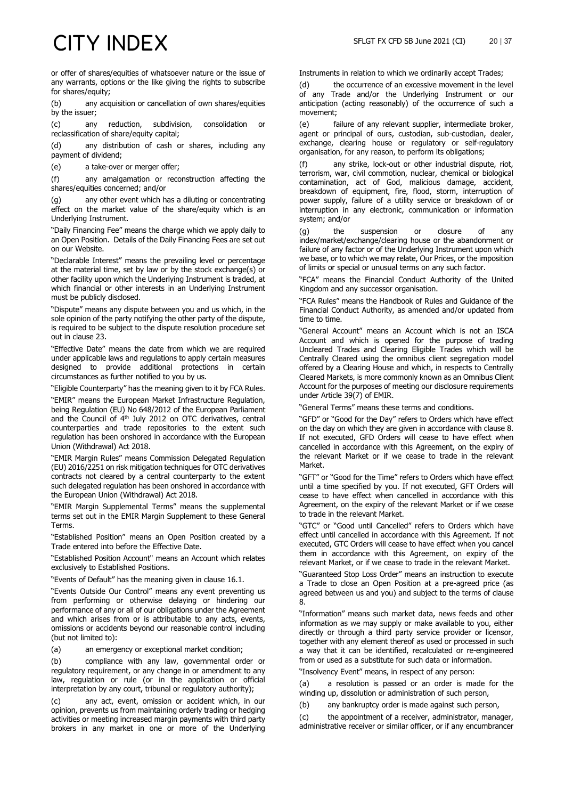for shares/equity; (b) any acquisition or cancellation of own shares/equities by the issuer;

(c) any reduction, subdivision, consolidation or reclassification of share/equity capital;

(d) any distribution of cash or shares, including any payment of dividend;

(e) a take-over or merger offer;

(f) any amalgamation or reconstruction affecting the shares/equities concerned; and/or

(g) any other event which has a diluting or concentrating effect on the market value of the share/equity which is an Underlying Instrument.

"Daily Financing Fee" means the charge which we apply daily to an Open Position. Details of the Daily Financing Fees are set out on our Website.

"Declarable Interest" means the prevailing level or percentage at the material time, set by law or by the stock exchange(s) or other facility upon which the Underlying Instrument is traded, at which financial or other interests in an Underlying Instrument must be publicly disclosed.

"Dispute" means any dispute between you and us which, in the sole opinion of the party notifying the other party of the dispute, is required to be subject to the dispute resolution procedure set out in clause [23.](#page-12-0)

"Effective Date" means the date from which we are required under applicable laws and regulations to apply certain measures designed to provide additional protections in certain circumstances as further notified to you by us.

"Eligible Counterparty" has the meaning given to it by FCA Rules.

"EMIR" means the European Market Infrastructure Regulation, being Regulation (EU) No 648/2012 of the European Parliament and the Council of  $4<sup>th</sup>$  July 2012 on OTC derivatives, central counterparties and trade repositories to the extent such regulation has been onshored in accordance with the European Union (Withdrawal) Act 2018.

"EMIR Margin Rules" means Commission Delegated Regulation (EU) 2016/2251 on risk mitigation techniques for OTC derivatives contracts not cleared by a central counterparty to the extent such delegated regulation has been onshored in accordance with the European Union (Withdrawal) Act 2018.

"EMIR Margin Supplemental Terms" means the supplemental terms set out in the EMIR Margin Supplement to these General Terms.

"Established Position" means an Open Position created by a Trade entered into before the Effective Date.

"Established Position Account" means an Account which relates exclusively to Established Positions.

"Events of Default" has the meaning given in clause 16.1.

"Events Outside Our Control" means any event preventing us from performing or otherwise delaying or hindering our performance of any or all of our obligations under the Agreement and which arises from or is attributable to any acts, events, omissions or accidents beyond our reasonable control including (but not limited to):

(a) an emergency or exceptional market condition;

(b) compliance with any law, governmental order or regulatory requirement, or any change in or amendment to any law, regulation or rule (or in the application or official interpretation by any court, tribunal or regulatory authority);

(c) any act, event, omission or accident which, in our opinion, prevents us from maintaining orderly trading or hedging activities or meeting increased margin payments with third party brokers in any market in one or more of the Underlying

Instruments in relation to which we ordinarily accept Trades;

(d) the occurrence of an excessive movement in the level of any Trade and/or the Underlying Instrument or our anticipation (acting reasonably) of the occurrence of such a movement;

(e) failure of any relevant supplier, intermediate broker, agent or principal of ours, custodian, sub-custodian, dealer, exchange, clearing house or regulatory or self-regulatory organisation, for any reason, to perform its obligations;

(f) any strike, lock-out or other industrial dispute, riot, terrorism, war, civil commotion, nuclear, chemical or biological contamination, act of God, malicious damage, accident, breakdown of equipment, fire, flood, storm, interruption of power supply, failure of a utility service or breakdown of or interruption in any electronic, communication or information system; and/or

(g) the suspension or closure of any index/market/exchange/clearing house or the abandonment or failure of any factor or of the Underlying Instrument upon which we base, or to which we may relate, Our Prices, or the imposition of limits or special or unusual terms on any such factor.

"FCA" means the Financial Conduct Authority of the United Kingdom and any successor organisation.

"FCA Rules" means the Handbook of Rules and Guidance of the Financial Conduct Authority, as amended and/or updated from time to time.

"General Account" means an Account which is not an ISCA Account and which is opened for the purpose of trading Uncleared Trades and Clearing Eligible Trades which will be Centrally Cleared using the omnibus client segregation model offered by a Clearing House and which, in respects to Centrally Cleared Markets, is more commonly known as an Omnibus Client Account for the purposes of meeting our disclosure requirements under Article 39(7) of EMIR.

"General Terms" means these terms and conditions.

"GFD" or "Good for the Day" refers to Orders which have effect on the day on which they are given in accordance with clause 8. If not executed, GFD Orders will cease to have effect when cancelled in accordance with this Agreement, on the expiry of the relevant Market or if we cease to trade in the relevant Market.

"GFT" or "Good for the Time" refers to Orders which have effect until a time specified by you. If not executed, GFT Orders will cease to have effect when cancelled in accordance with this Agreement, on the expiry of the relevant Market or if we cease to trade in the relevant Market.

"GTC" or "Good until Cancelled" refers to Orders which have effect until cancelled in accordance with this Agreement. If not executed, GTC Orders will cease to have effect when you cancel them in accordance with this Agreement, on expiry of the relevant Market, or if we cease to trade in the relevant Market.

"Guaranteed Stop Loss Order" means an instruction to execute a Trade to close an Open Position at a pre-agreed price (as agreed between us and you) and subject to the terms of clause 8.

"Information" means such market data, news feeds and other information as we may supply or make available to you, either directly or through a third party service provider or licensor, together with any element thereof as used or processed in such a way that it can be identified, recalculated or re-engineered from or used as a substitute for such data or information.

"Insolvency Event" means, in respect of any person:

(a) a resolution is passed or an order is made for the winding up, dissolution or administration of such person,

(b) any bankruptcy order is made against such person,

(c) the appointment of a receiver, administrator, manager, administrative receiver or similar officer, or if any encumbrancer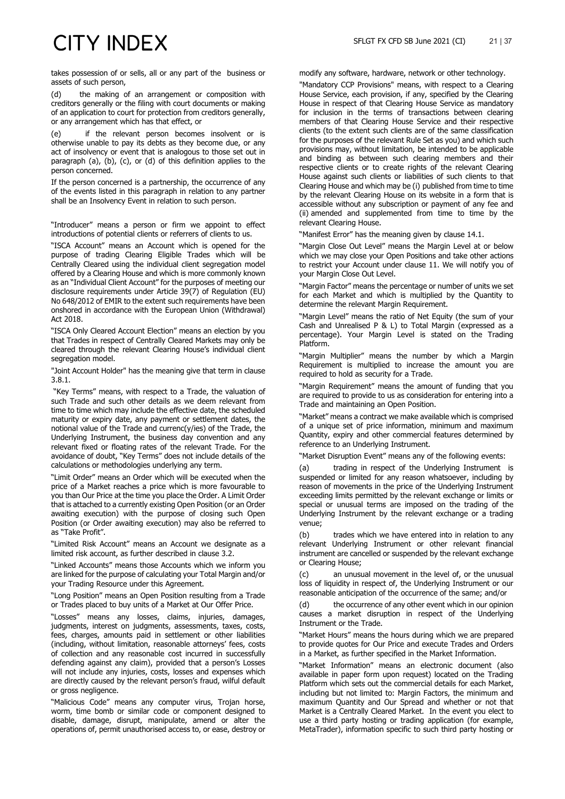takes possession of or sells, all or any part of the business or assets of such person,

(d) the making of an arrangement or composition with creditors generally or the filing with court documents or making of an application to court for protection from creditors generally, or any arrangement which has that effect, or

(e) if the relevant person becomes insolvent or is otherwise unable to pay its debts as they become due, or any act of insolvency or event that is analogous to those set out in paragraph (a), (b), (c), or (d) of this definition applies to the person concerned.

If the person concerned is a partnership, the occurrence of any of the events listed in this paragraph in relation to any partner shall be an Insolvency Event in relation to such person.

"Introducer" means a person or firm we appoint to effect introductions of potential clients or referrers of clients to us.

"ISCA Account" means an Account which is opened for the purpose of trading Clearing Eligible Trades which will be Centrally Cleared using the individual client segregation model offered by a Clearing House and which is more commonly known as an "Individual Client Account" for the purposes of meeting our disclosure requirements under Article 39(7) of Regulation (EU) No 648/2012 of EMIR to the extent such requirements have been onshored in accordance with the European Union (Withdrawal) Act 2018.

"ISCA Only Cleared Account Election" means an election by you that Trades in respect of Centrally Cleared Markets may only be cleared through the relevant Clearing House's individual client segregation model.

"Joint Account Holder" has the meaning give that term in clause [3.8.1.](#page-2-3)

"Key Terms" means, with respect to a Trade, the valuation of such Trade and such other details as we deem relevant from time to time which may include the effective date, the scheduled maturity or expiry date, any payment or settlement dates, the notional value of the Trade and currenc(y/ies) of the Trade, the Underlying Instrument, the business day convention and any relevant fixed or floating rates of the relevant Trade. For the avoidance of doubt, "Key Terms" does not include details of the calculations or methodologies underlying any term.

"Limit Order" means an Order which will be executed when the price of a Market reaches a price which is more favourable to you than Our Price at the time you place the Order. A Limit Order that is attached to a currently existing Open Position (or an Order awaiting execution) with the purpose of closing such Open Position (or Order awaiting execution) may also be referred to as "Take Profit".

"Limited Risk Account" means an Account we designate as a limited risk account, as further described in clause 3.2.

"Linked Accounts" means those Accounts which we inform you are linked for the purpose of calculating your Total Margin and/or your Trading Resource under this Agreement.

"Long Position" means an Open Position resulting from a Trade or Trades placed to buy units of a Market at Our Offer Price.

"Losses" means any losses, claims, injuries, damages, judgments, interest on judgments, assessments, taxes, costs, fees, charges, amounts paid in settlement or other liabilities (including, without limitation, reasonable attorneys' fees, costs of collection and any reasonable cost incurred in successfully defending against any claim), provided that a person's Losses will not include any injuries, costs, losses and expenses which are directly caused by the relevant person's fraud, wilful default or gross negligence.

"Malicious Code" means any computer virus, Trojan horse, worm, time bomb or similar code or component designed to disable, damage, disrupt, manipulate, amend or alter the operations of, permit unauthorised access to, or ease, destroy or modify any software, hardware, network or other technology.

"Mandatory CCP Provisions" means, with respect to a Clearing House Service, each provision, if any, specified by the Clearing House in respect of that Clearing House Service as mandatory for inclusion in the terms of transactions between clearing members of that Clearing House Service and their respective clients (to the extent such clients are of the same classification for the purposes of the relevant Rule Set as you) and which such provisions may, without limitation, be intended to be applicable and binding as between such clearing members and their respective clients or to create rights of the relevant Clearing House against such clients or liabilities of such clients to that Clearing House and which may be (i) published from time to time by the relevant Clearing House on its website in a form that is accessible without any subscription or payment of any fee and (ii) amended and supplemented from time to time by the relevant Clearing House.

"Manifest Error" has the meaning given by clause 14.1.

"Margin Close Out Level" means the Margin Level at or below which we may close your Open Positions and take other actions to restrict your Account under clause 11. We will notify you of your Margin Close Out Level.

"Margin Factor" means the percentage or number of units we set for each Market and which is multiplied by the Quantity to determine the relevant Margin Requirement.

"Margin Level" means the ratio of Net Equity (the sum of your Cash and Unrealised P & L) to Total Margin (expressed as a percentage). Your Margin Level is stated on the Trading Platform.

"Margin Multiplier" means the number by which a Margin Requirement is multiplied to increase the amount you are required to hold as security for a Trade.

"Margin Requirement" means the amount of funding that you are required to provide to us as consideration for entering into a Trade and maintaining an Open Position.

"Market" means a contract we make available which is comprised of a unique set of price information, minimum and maximum Quantity, expiry and other commercial features determined by reference to an Underlying Instrument.

"Market Disruption Event" means any of the following events:

(a) trading in respect of the Underlying Instrument is suspended or limited for any reason whatsoever, including by reason of movements in the price of the Underlying Instrument exceeding limits permitted by the relevant exchange or limits or special or unusual terms are imposed on the trading of the Underlying Instrument by the relevant exchange or a trading venue;

(b) trades which we have entered into in relation to any relevant Underlying Instrument or other relevant financial instrument are cancelled or suspended by the relevant exchange or Clearing House;

an unusual movement in the level of, or the unusual loss of liquidity in respect of, the Underlying Instrument or our reasonable anticipation of the occurrence of the same; and/or

(d) the occurrence of any other event which in our opinion causes a market disruption in respect of the Underlying Instrument or the Trade.

"Market Hours" means the hours during which we are prepared to provide quotes for Our Price and execute Trades and Orders in a Market, as further specified in the Market Information.

"Market Information" means an electronic document (also available in paper form upon request) located on the Trading Platform which sets out the commercial details for each Market, including but not limited to: Margin Factors, the minimum and maximum Quantity and Our Spread and whether or not that Market is a Centrally Cleared Market. In the event you elect to use a third party hosting or trading application (for example, MetaTrader), information specific to such third party hosting or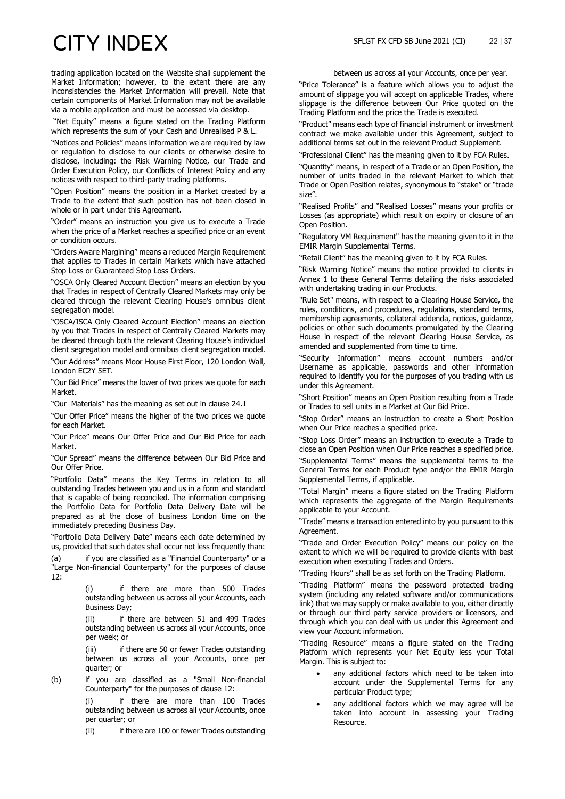trading application located on the Website shall supplement the Market Information; however, to the extent there are any inconsistencies the Market Information will prevail. Note that certain components of Market Information may not be available via a mobile application and must be accessed via desktop.

"Net Equity" means a figure stated on the Trading Platform which represents the sum of your Cash and Unrealised P & L.

"Notices and Policies" means information we are required by law or regulation to disclose to our clients or otherwise desire to disclose, including: the Risk Warning Notice, our Trade and Order Execution Policy, our Conflicts of Interest Policy and any notices with respect to third-party trading platforms.

"Open Position" means the position in a Market created by a Trade to the extent that such position has not been closed in whole or in part under this Agreement.

"Order" means an instruction you give us to execute a Trade when the price of a Market reaches a specified price or an event or condition occurs.

"Orders Aware Margining" means a reduced Margin Requirement that applies to Trades in certain Markets which have attached Stop Loss or Guaranteed Stop Loss Orders.

"OSCA Only Cleared Account Election" means an election by you that Trades in respect of Centrally Cleared Markets may only be cleared through the relevant Clearing House's omnibus client segregation model.

"OSCA/ISCA Only Cleared Account Election" means an election by you that Trades in respect of Centrally Cleared Markets may be cleared through both the relevant Clearing House's individual client segregation model and omnibus client segregation model.

"Our Address" means Moor House First Floor, 120 London Wall, London EC2Y 5ET.

"Our Bid Price" means the lower of two prices we quote for each Market.

"Our Materials" has the meaning as set out in clause [24.1](#page-13-2)

"Our Offer Price" means the higher of the two prices we quote for each Market.

"Our Price" means Our Offer Price and Our Bid Price for each Market.

"Our Spread" means the difference between Our Bid Price and Our Offer Price.

"Portfolio Data" means the Key Terms in relation to all outstanding Trades between you and us in a form and standard that is capable of being reconciled. The information comprising the Portfolio Data for Portfolio Data Delivery Date will be prepared as at the close of business London time on the immediately preceding Business Day.

"Portfolio Data Delivery Date" means each date determined by us, provided that such dates shall occur not less frequently than:

(a) if you are classified as a "Financial Counterparty" or a "Large Non-financial Counterparty" for the purposes of clause [12:](#page-6-0)

> (i) if there are more than 500 Trades outstanding between us across all your Accounts, each Business Day;

> (ii) if there are between 51 and 499 Trades outstanding between us across all your Accounts, once per week; or

> (iii) if there are 50 or fewer Trades outstanding between us across all your Accounts, once per quarter; or

(b) if you are classified as a "Small Non-financial Counterparty" for the purposes of clause [12:](#page-6-0)

> (i) if there are more than 100 Trades outstanding between us across all your Accounts, once per quarter; or

> (ii) if there are 100 or fewer Trades outstanding

between us across all your Accounts, once per year.

"Price Tolerance" is a feature which allows you to adjust the amount of slippage you will accept on applicable Trades, where slippage is the difference between Our Price quoted on the Trading Platform and the price the Trade is executed.

"Product" means each type of financial instrument or investment contract we make available under this Agreement, subject to additional terms set out in the relevant Product Supplement.

"Professional Client" has the meaning given to it by FCA Rules.

"Quantity" means, in respect of a Trade or an Open Position, the number of units traded in the relevant Market to which that Trade or Open Position relates, synonymous to "stake" or "trade size".

"Realised Profits" and "Realised Losses" means your profits or Losses (as appropriate) which result on expiry or closure of an Open Position.

"Regulatory VM Requirement" has the meaning given to it in the EMIR Margin Supplemental Terms.

"Retail Client" has the meaning given to it by FCA Rules.

"Risk Warning Notice" means the notice provided to clients in Annex 1 to these General Terms detailing the risks associated with undertaking trading in our Products.

"Rule Set" means, with respect to a Clearing House Service, the rules, conditions, and procedures, regulations, standard terms, membership agreements, collateral addenda, notices, guidance, policies or other such documents promulgated by the Clearing House in respect of the relevant Clearing House Service, as amended and supplemented from time to time.

"Security Information" means account numbers and/or Username as applicable, passwords and other information required to identify you for the purposes of you trading with us under this Agreement.

"Short Position" means an Open Position resulting from a Trade or Trades to sell units in a Market at Our Bid Price.

"Stop Order" means an instruction to create a Short Position when Our Price reaches a specified price.

"Stop Loss Order" means an instruction to execute a Trade to close an Open Position when Our Price reaches a specified price.

"Supplemental Terms" means the supplemental terms to the General Terms for each Product type and/or the EMIR Margin Supplemental Terms, if applicable.

"Total Margin" means a figure stated on the Trading Platform which represents the aggregate of the Margin Requirements applicable to your Account.

"Trade" means a transaction entered into by you pursuant to this Agreement.

"Trade and Order Execution Policy" means our policy on the extent to which we will be required to provide clients with best execution when executing Trades and Orders.

"Trading Hours" shall be as set forth on the Trading Platform.

"Trading Platform" means the password protected trading system (including any related software and/or communications link) that we may supply or make available to you, either directly or through our third party service providers or licensors, and through which you can deal with us under this Agreement and view your Account information.

"Trading Resource" means a figure stated on the Trading Platform which represents your Net Equity less your Total Margin. This is subject to:

- any additional factors which need to be taken into account under the Supplemental Terms for any particular Product type;
- any additional factors which we may agree will be taken into account in assessing your Trading Resource.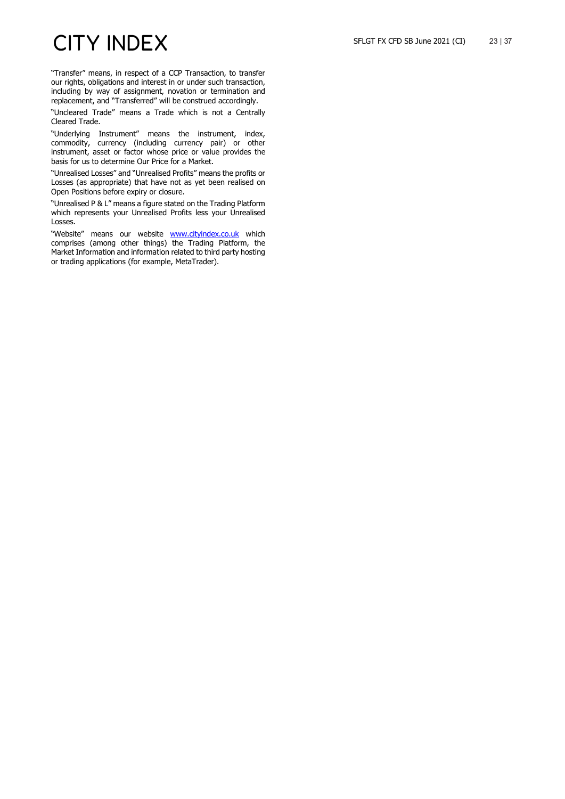"Transfer" means, in respect of a CCP Transaction, to transfer our rights, obligations and interest in or under such transaction, including by way of assignment, novation or termination and replacement, and "Transferred" will be construed accordingly.

"Uncleared Trade" means a Trade which is not a Centrally Cleared Trade.

"Underlying Instrument" means the instrument, index, commodity, currency (including currency pair) or other instrument, asset or factor whose price or value provides the basis for us to determine Our Price for a Market.

"Unrealised Losses" and "Unrealised Profits" means the profits or Losses (as appropriate) that have not as yet been realised on Open Positions before expiry or closure.

"Unrealised P & L" means a figure stated on the Trading Platform which represents your Unrealised Profits less your Unrealised Losses.

"Website" means our website **[www.cityindex.co.uk](http://www.cityindex.co.uk/)** which comprises (among other things) the Trading Platform, the Market Information and information related to third party hosting or trading applications (for example, MetaTrader).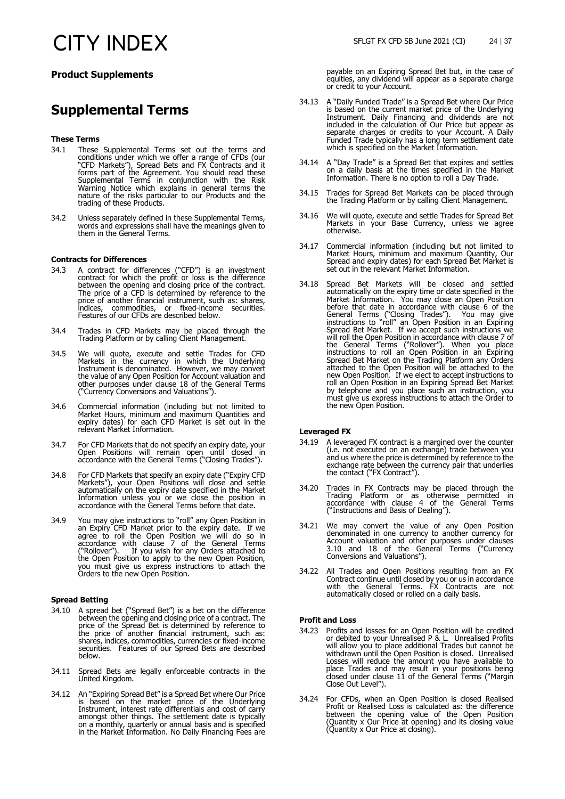### **Product Supplements**

### **Supplemental Terms**

### **These Terms**

- 34.1 These Supplemental Terms set out the terms and conditions under which we offer a range of CFDs (our conditions under which we offer a range of CFDs (our "CFD Markets"), Spread Bets and FX Contracts and it forms part of the Agreement. You should read these Supplemental Terms in conjunction with the Risk Warning Notice which explains in general terms the nature of the risks particular to our Products and the trading of these Products.
- 34.2 Unless separately defined in these Supplemental Terms, words and expressions shall have the meanings given to them in the General Terms.

### **Contracts for Differences**

- 34.3 A contract for differences ("CFD") is an investment contract for which the profit or loss is the difference between the opening and closing price of the contract. The price of a CFD is determined by reference to the price of another financial instrument, such as: shares, indices, commodities, or fixed-income securities. Features of our CFDs are described below.
- 34.4 Trades in CFD Markets may be placed through the Trading Platform or by calling Client Management.
- 34.5 We will quote, execute and settle Trades for CFD Markets in the currency in which the Underlying Instrument is denominated. However, we may convert the value of any Open Position for Account valuation and other purposes under clause 18 of the General Terms ("Currency Conversions and Valuations").
- 34.6 Commercial information (including but not limited to Market Hours, minimum and maximum Quantities and expiry dates) for each CFD Market is set out in the relevant Market Information.
- 34.7 For CFD Markets that do not specify an expiry date, your Open Positions will remain open until closed in accordance with the General Terms ("Closing Trades").
- 34.8 For CFD Markets that specify an expiry date ("Expiry CFD Markets"), your Open Positions will close and settle automatically on the expiry date specified in the Market Information unless you or we close the position in accordance with the General Terms before that date.
- 34.9 You may give instructions to "roll" any Open Position in an Expiry CFD Market prior to the expiry date. If we agree to roll the Open Position we will do so in accordance with clause 7 of the General Terms ("Rollover"). If you wish for any Orders attached to the Open Position to apply to the new Open Position, you must give us express instructions to attach the Orders to the new Open Position.

### **Spread Betting**

- 34.10 A spread bet ("Spread Bet") is a bet on the difference between the opening and closing price of a contract. The price of the Spread Bet is determined by reference to the price of another financial instrument, such as: shares, indices, commodities, currencies or fixed-income securities. Features of our Spread Bets are described below.
- 34.11 Spread Bets are legally enforceable contracts in the United Kingdom.
- 34.12 An "Expiring Spread Bet" is a Spread Bet where Our Price is based on the market price of the Underlying Instrument, interest rate differentials and cost of carry amongst other things. The settlement date is typically on a monthly, quarterly or annual basis and is specified in the Market Information. No Daily Financing Fees are

payable on an Expiring Spread Bet but, in the case of equities, any dividend will appear as a separate charge or credit to your Account.

- 34.13 A "Daily Funded Trade" is a Spread Bet where Our Price is based on the current market price of the Underlying Instrument. Daily Financing and dividends are not included in the calculation of Our Price but appear as separate charges or credits to your Account. A Daily Funded Trade typically has a long term settlement date which is specified on the Market Information.
- 34.14 A "Day Trade" is a Spread Bet that expires and settles on a daily basis at the times specified in the Market Information. There is no option to roll a Day Trade.
- 34.15 Trades for Spread Bet Markets can be placed through the Trading Platform or by calling Client Management.
- 34.16 We will quote, execute and settle Trades for Spread Bet Markets in your Base Currency, unless we agree otherwise.
- 34.17 Commercial information (including but not limited to Market Hours, minimum and maximum Quantity, Our Spread and expiry dates) for each Spread Bet Market is set out in the relevant Market Information.
- 34.18 Spread Bet Markets will be closed and settled automatically on the expiry time or date specified in the Market Information. You may close an Open Position before that date in accordance with clause 6 of the General Terms ("Closing Trades"). You may give instructions to "roll" an Open Position in an Expiring Spread Bet Market. If we accept such instructions we will roll the Open Position in accordance with clause 7 of the General Terms ("Rollover"). When you place instructions to roll an Open Position in an Expiring Spread Bet Market on the Trading Platform any Orders attached to the Open Position will be attached to the new Open Position. If we elect to accept instructions to roll an Open Position in an Expiring Spread Bet Market by telephone and you place such an instruction, you must give us express instructions to attach the Order to the new Open Position.

### **Leveraged FX**

- 34.19 A leveraged FX contract is a margined over the counter (i.e. not executed on an exchange) trade between you and us where the price is determined by reference to the exchange rate between the currency pair that underlies the contact ("FX Contract").
- 34.20 Trades in FX Contracts may be placed through the Trading Platform or as otherwise permitted in accordance with clause 4 of the General Terms ("Instructions and Basis of Dealing").
- 34.21 We may convert the value of any Open Position denominated in one currency to another currency for Account valuation and other purposes under clauses 3.10 and 18 of the General Terms ("Currency Conversions and Valuations").
- 34.22 All Trades and Open Positions resulting from an FX Contract continue until closed by you or us in accordance with the General Terms. FX Contracts are not automatically closed or rolled on a daily basis.

### **Profit and Loss**

- 34.23 Profits and losses for an Open Position will be credited or debited to your Unrealised P & L. Unrealised Profits will allow you to place additional Trades but cannot be withdrawn until the Open Position is closed. Unrealised Losses will reduce the amount you have available to place Trades and may result in your positions being closed under clause 11 of the General Terms ("Margin Close Out Level").
- 34.24 For CFDs, when an Open Position is closed Realised Profit or Realised Loss is calculated as: the difference between the opening value of the Open Position (Quantity x Our Price at opening) and its closing value (Quantity x Our Price at closing).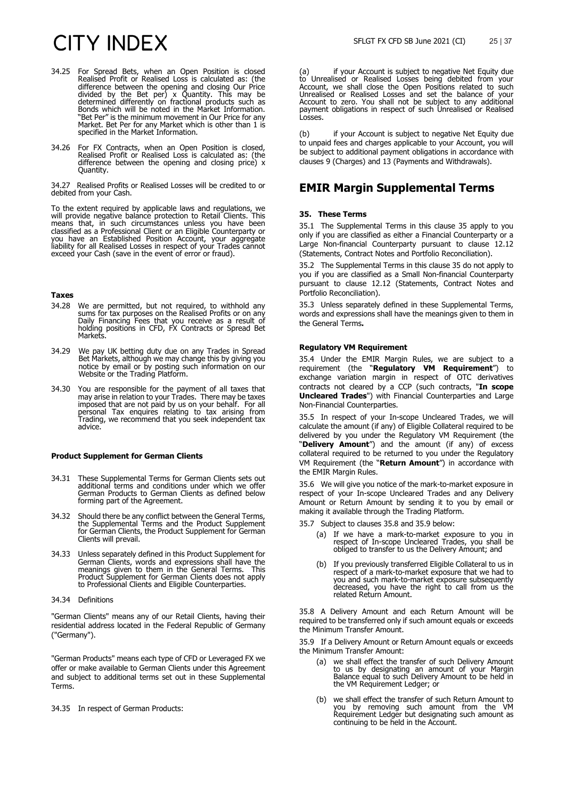- 34.25 For Spread Bets, when an Open Position is closed Realised Profit or Realised Loss is calculated as: (the difference between the opening and closing Our Price divided by the Bet per) x Quantity. This may be determined differently on fractional products such as Bonds which will be noted in the Market Information. "Bet Per" is the minimum movement in Our Price for any Market. Bet Per for any Market which is other than 1 is specified in the Market Information.
- 34.26 For FX Contracts, when an Open Position is closed, Realised Profit or Realised Loss is calculated as: (the difference between the opening and closing price) x Quantity.

34.27 Realised Profits or Realised Losses will be credited to or debited from your Cash.

To the extent required by applicable laws and regulations, we will provide negative balance protection to Retail Clients. This means that, in such circumstances unless you have been classified as a Professional Client or an Eligible Counterparty or you have an Established Position Account, your aggregate liability for all Realised Losses in respect of your Trades cannot exceed your Cash (save in the event of error or fraud).

### **Taxes**

- 34.28 We are permitted, but not required, to withhold any sums for tax purposes on the Realised Profits or on any Daily Financing Fees that you receive as a result of holding positions in CFD, FX Contracts or Spread Bet Markets.
- 34.29 We pay UK betting duty due on any Trades in Spread Bet Markets, although we may change this by giving you notice by email or by posting such information on our Website or the Trading Platform.
- 34.30 You are responsible for the payment of all taxes that may arise in relation to your Trades. There may be taxes imposed that are not paid by us on your behalf. For all personal Tax enquires relating to tax arising from Trading, we recommend that you seek independent tax advice.

#### **Product Supplement for German Clients**

- 34.31 These Supplemental Terms for German Clients sets out additional terms and conditions under which we offer German Products to German Clients as defined below forming part of the Agreement.
- 34.32 Should there be any conflict between the General Terms, the Supplemental Terms and the Product Supplement for German Clients, the Product Supplement for German Clients will prevail.
- 34.33 Unless separately defined in this Product Supplement for German Clients, words and expressions shall have the meanings given to them in the General Terms. This Product Supplement for German Clients does not apply to Professional Clients and Eligible Counterparties.
- 34.34 Definitions

"German Clients" means any of our Retail Clients, having their residential address located in the Federal Republic of Germany ("Germany").

"German Products" means each type of CFD or Leveraged FX we offer or make available to German Clients under this Agreement and subject to additional terms set out in these Supplemental Terms.

34.35 In respect of German Products:

(a) if your Account is subject to negative Net Equity due to Unrealised or Realised Losses being debited from your Account, we shall close the Open Positions related to such Unrealised or Realised Losses and set the balance of your Account to zero. You shall not be subject to any additional payment obligations in respect of such Unrealised or Realised Losses.

(b) if your Account is subject to negative Net Equity due to unpaid fees and charges applicable to your Account, you will be subject to additional payment obligations in accordance with clauses 9 (Charges) and 13 (Payments and Withdrawals).

### **EMIR Margin Supplemental Terms**

### <span id="page-24-0"></span>**35. These Terms**

35.1 The Supplemental Terms in this clause [35](#page-24-0) apply to you only if you are classified as either a Financial Counterparty or a Large Non-financial Counterparty pursuant to clause [12.12](#page-7-3) (Statements, Contract Notes and Portfolio Reconciliation).

35.2 The Supplemental Terms in this clause [35](#page-24-0) do not apply to you if you are classified as a Small Non-financial Counterparty pursuant to clause [12.12](#page-7-3) (Statements, Contract Notes and Portfolio Reconciliation).

35.3 Unless separately defined in these Supplemental Terms, words and expressions shall have the meanings given to them in the General Terms**.**

#### **Regulatory VM Requirement**

35.4 Under the EMIR Margin Rules, we are subject to a requirement (the "**Regulatory VM Requirement**") to exchange variation margin in respect of OTC derivatives contracts not cleared by a CCP (such contracts, "**In scope Uncleared Trades**") with Financial Counterparties and Large Non-Financial Counterparties.

35.5 In respect of your In-scope Uncleared Trades, we will calculate the amount (if any) of Eligible Collateral required to be delivered by you under the Regulatory VM Requirement (the "**Delivery Amount**") and the amount (if any) of excess collateral required to be returned to you under the Regulatory VM Requirement (the "**Return Amount**") in accordance with the EMIR Margin Rules.

35.6 We will give you notice of the mark-to-market exposure in respect of your In-scope Uncleared Trades and any Delivery Amount or Return Amount by sending it to you by email or making it available through the Trading Platform.

- 35.7 Subject to clauses [35.8](#page-24-1) and [35.9](#page-24-2) below:
	- (a) If we have a mark-to-market exposure to you in respect of In-scope Uncleared Trades, you shall be obliged to transfer to us the Delivery Amount; and
	- (b) If you previously transferred Eligible Collateral to us in respect of a mark-to-market exposure that we had to you and such mark-to-market exposure subsequently decreased, you have the right to call from us the related Return Amount.

<span id="page-24-1"></span>35.8 A Delivery Amount and each Return Amount will be required to be transferred only if such amount equals or exceeds the Minimum Transfer Amount.

<span id="page-24-2"></span>35.9 If a Delivery Amount or Return Amount equals or exceeds the Minimum Transfer Amount:

- (a) we shall effect the transfer of such Delivery Amount to us by designating an amount of your Margin Balance equal to such Delivery Amount to be held in the VM Requirement Ledger; or
- (b) we shall effect the transfer of such Return Amount to you by removing such amount from the VM Requirement Ledger but designating such amount as continuing to be held in the Account.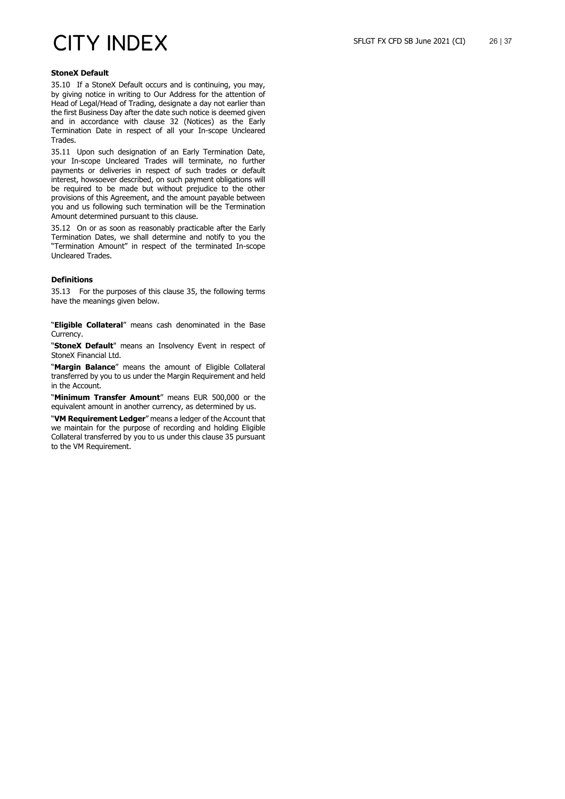### **StoneX Default**

35.10 If a StoneX Default occurs and is continuing, you may, by giving notice in writing to Our Address for the attention of Head of Legal/Head of Trading, designate a day not earlier than the first Business Day after the date such notice is deemed given and in accordance with clause [32](#page-17-2) (Notices) as the Early Termination Date in respect of all your In-scope Uncleared Trades.

35.11 Upon such designation of an Early Termination Date, your In-scope Uncleared Trades will terminate, no further payments or deliveries in respect of such trades or default interest, howsoever described, on such payment obligations will be required to be made but without prejudice to the other provisions of this Agreement, and the amount payable between you and us following such termination will be the Termination Amount determined pursuant to this clause.

35.12 On or as soon as reasonably practicable after the Early Termination Dates, we shall determine and notify to you the "Termination Amount" in respect of the terminated In-scope Uncleared Trades.

### **Definitions**

35.13 For the purposes of this clause [35,](#page-24-0) the following terms have the meanings given below.

"**Eligible Collateral**" means cash denominated in the Base **Currency** 

"**StoneX Default**" means an Insolvency Event in respect of StoneX Financial Ltd.

"**Margin Balance**" means the amount of Eligible Collateral transferred by you to us under the Margin Requirement and held in the Account.

"**Minimum Transfer Amount**" means EUR 500,000 or the equivalent amount in another currency, as determined by us.

"**VM Requirement Ledger**" means a ledger of the Account that we maintain for the purpose of recording and holding Eligible Collateral transferred by you to us under this claus[e 35](#page-24-0) pursuant to the VM Requirement.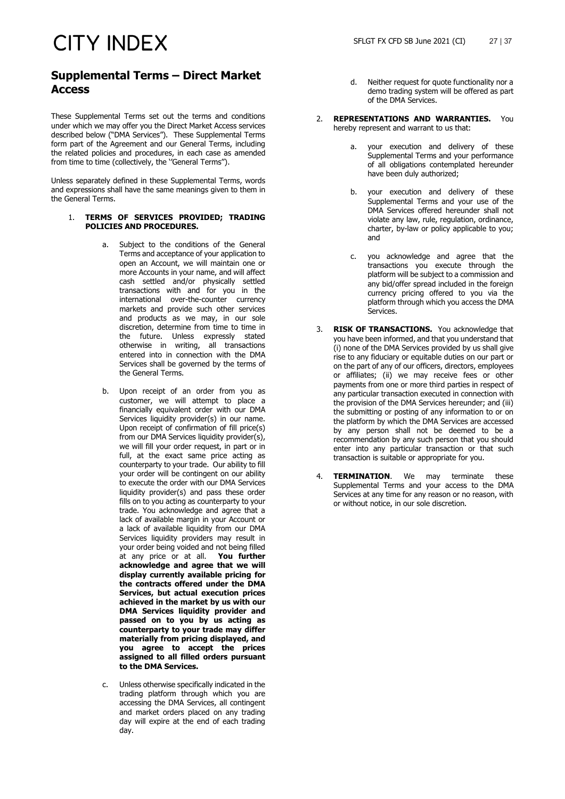### **Supplemental Terms – Direct Market Access**

These Supplemental Terms set out the terms and conditions under which we may offer you the Direct Market Access services described below ("DMA Services"). These Supplemental Terms form part of the Agreement and our General Terms, including the related policies and procedures, in each case as amended from time to time (collectively, the ''General Terms'').

Unless separately defined in these Supplemental Terms, words and expressions shall have the same meanings given to them in the General Terms.

### 1. **TERMS OF SERVICES PROVIDED; TRADING POLICIES AND PROCEDURES.**

- Subject to the conditions of the General Terms and acceptance of your application to open an Account, we will maintain one or more Accounts in your name, and will affect cash settled and/or physically settled transactions with and for you in the international over-the-counter currency markets and provide such other services and products as we may, in our sole discretion, determine from time to time in the future. Unless expressly stated otherwise in writing, all transactions entered into in connection with the DMA Services shall be governed by the terms of the General Terms.
- b. Upon receipt of an order from you as customer, we will attempt to place a financially equivalent order with our DMA Services liquidity provider(s) in our name. Upon receipt of confirmation of fill price(s) from our DMA Services liquidity provider(s), we will fill your order request, in part or in full, at the exact same price acting as counterparty to your trade. Our ability to fill your order will be contingent on our ability to execute the order with our DMA Services liquidity provider(s) and pass these order fills on to you acting as counterparty to your trade. You acknowledge and agree that a lack of available margin in your Account or a lack of available liquidity from our DMA Services liquidity providers may result in your order being voided and not being filled at any price or at all. **You further acknowledge and agree that we will display currently available pricing for the contracts offered under the DMA Services, but actual execution prices achieved in the market by us with our DMA Services liquidity provider and passed on to you by us acting as counterparty to your trade may differ materially from pricing displayed, and you agree to accept the prices assigned to all filled orders pursuant to the DMA Services.**
- c. Unless otherwise specifically indicated in the trading platform through which you are accessing the DMA Services, all contingent and market orders placed on any trading day will expire at the end of each trading day.
- d. Neither request for quote functionality nor a demo trading system will be offered as part of the DMA Services.
- 2. **REPRESENTATIONS AND WARRANTIES.** You hereby represent and warrant to us that:
	- a. your execution and delivery of these Supplemental Terms and your performance of all obligations contemplated hereunder have been duly authorized;
	- b. your execution and delivery of these Supplemental Terms and your use of the DMA Services offered hereunder shall not violate any law, rule, regulation, ordinance, charter, by-law or policy applicable to you; and
	- c. you acknowledge and agree that the transactions you execute through the platform will be subject to a commission and any bid/offer spread included in the foreign currency pricing offered to you via the platform through which you access the DMA Services.
- 3. **RISK OF TRANSACTIONS.** You acknowledge that you have been informed, and that you understand that (i) none of the DMA Services provided by us shall give rise to any fiduciary or equitable duties on our part or on the part of any of our officers, directors, employees or affiliates; (ii) we may receive fees or other payments from one or more third parties in respect of any particular transaction executed in connection with the provision of the DMA Services hereunder; and (iii) the submitting or posting of any information to or on the platform by which the DMA Services are accessed by any person shall not be deemed to be a recommendation by any such person that you should enter into any particular transaction or that such transaction is suitable or appropriate for you.
- 4. **TERMINATION**. We may terminate these Supplemental Terms and your access to the DMA Services at any time for any reason or no reason, with or without notice, in our sole discretion.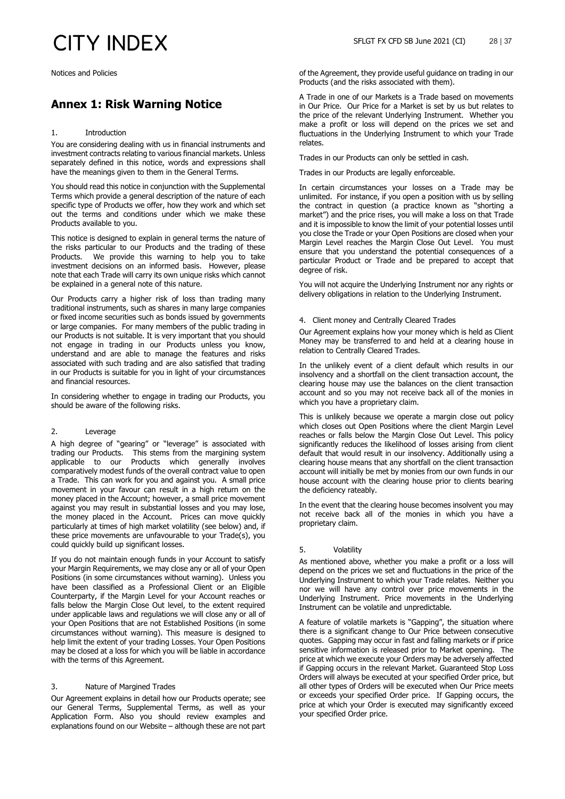Notices and Policies

### **Annex 1: Risk Warning Notice**

### 1. Introduction

You are considering dealing with us in financial instruments and investment contracts relating to various financial markets. Unless separately defined in this notice, words and expressions shall have the meanings given to them in the General Terms.

You should read this notice in conjunction with the Supplemental Terms which provide a general description of the nature of each specific type of Products we offer, how they work and which set out the terms and conditions under which we make these Products available to you.

This notice is designed to explain in general terms the nature of the risks particular to our Products and the trading of these Products. We provide this warning to help you to take investment decisions on an informed basis. However, please note that each Trade will carry its own unique risks which cannot be explained in a general note of this nature.

Our Products carry a higher risk of loss than trading many traditional instruments, such as shares in many large companies or fixed income securities such as bonds issued by governments or large companies. For many members of the public trading in our Products is not suitable. It is very important that you should not engage in trading in our Products unless you know, understand and are able to manage the features and risks associated with such trading and are also satisfied that trading in our Products is suitable for you in light of your circumstances and financial resources.

In considering whether to engage in trading our Products, you should be aware of the following risks.

#### 2. Leverage

A high degree of "gearing" or "leverage" is associated with trading our Products. This stems from the margining system applicable to our Products which generally involves comparatively modest funds of the overall contract value to open a Trade. This can work for you and against you. A small price movement in your favour can result in a high return on the money placed in the Account; however, a small price movement against you may result in substantial losses and you may lose, the money placed in the Account. Prices can move quickly particularly at times of high market volatility (see below) and, if these price movements are unfavourable to your Trade(s), you could quickly build up significant losses.

If you do not maintain enough funds in your Account to satisfy your Margin Requirements, we may close any or all of your Open Positions (in some circumstances without warning). Unless you have been classified as a Professional Client or an Eligible Counterparty, if the Margin Level for your Account reaches or falls below the Margin Close Out level, to the extent required under applicable laws and regulations we will close any or all of your Open Positions that are not Established Positions (in some circumstances without warning). This measure is designed to help limit the extent of your trading Losses. Your Open Positions may be closed at a loss for which you will be liable in accordance with the terms of this Agreement.

### 3. Nature of Margined Trades

Our Agreement explains in detail how our Products operate; see our General Terms, Supplemental Terms, as well as your Application Form. Also you should review examples and explanations found on our Website – although these are not part

of the Agreement, they provide useful guidance on trading in our Products (and the risks associated with them).

A Trade in one of our Markets is a Trade based on movements in Our Price. Our Price for a Market is set by us but relates to the price of the relevant Underlying Instrument. Whether you make a profit or loss will depend on the prices we set and fluctuations in the Underlying Instrument to which your Trade relates.

Trades in our Products can only be settled in cash.

Trades in our Products are legally enforceable.

In certain circumstances your losses on a Trade may be unlimited. For instance, if you open a position with us by selling the contract in question (a practice known as "shorting a market") and the price rises, you will make a loss on that Trade and it is impossible to know the limit of your potential losses until you close the Trade or your Open Positions are closed when your Margin Level reaches the Margin Close Out Level. You must ensure that you understand the potential consequences of a particular Product or Trade and be prepared to accept that degree of risk.

You will not acquire the Underlying Instrument nor any rights or delivery obligations in relation to the Underlying Instrument.

### 4. Client money and Centrally Cleared Trades

Our Agreement explains how your money which is held as Client Money may be transferred to and held at a clearing house in relation to Centrally Cleared Trades.

In the unlikely event of a client default which results in our insolvency and a shortfall on the client transaction account, the clearing house may use the balances on the client transaction account and so you may not receive back all of the monies in which you have a proprietary claim.

This is unlikely because we operate a margin close out policy which closes out Open Positions where the client Margin Level reaches or falls below the Margin Close Out Level. This policy significantly reduces the likelihood of losses arising from client default that would result in our insolvency. Additionally using a clearing house means that any shortfall on the client transaction account will initially be met by monies from our own funds in our house account with the clearing house prior to clients bearing the deficiency rateably.

In the event that the clearing house becomes insolvent you may not receive back all of the monies in which you have a proprietary claim.

### 5. Volatility

As mentioned above, whether you make a profit or a loss will depend on the prices we set and fluctuations in the price of the Underlying Instrument to which your Trade relates. Neither you nor we will have any control over price movements in the Underlying Instrument. Price movements in the Underlying Instrument can be volatile and unpredictable.

A feature of volatile markets is "Gapping", the situation where there is a significant change to Our Price between consecutive quotes. Gapping may occur in fast and falling markets or if price sensitive information is released prior to Market opening. The price at which we execute your Orders may be adversely affected if Gapping occurs in the relevant Market. Guaranteed Stop Loss Orders will always be executed at your specified Order price, but all other types of Orders will be executed when Our Price meets or exceeds your specified Order price. If Gapping occurs, the price at which your Order is executed may significantly exceed your specified Order price.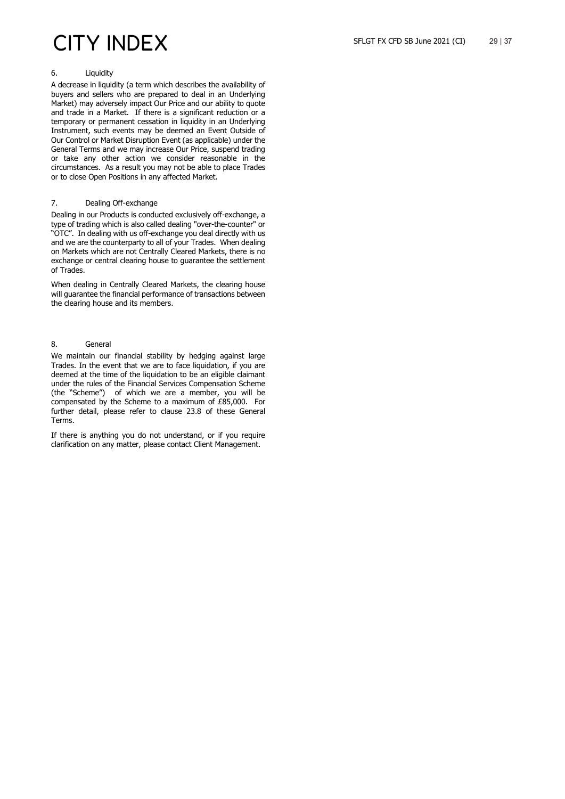### 6. Liquidity

A decrease in liquidity (a term which describes the availability of buyers and sellers who are prepared to deal in an Underlying Market) may adversely impact Our Price and our ability to quote and trade in a Market. If there is a significant reduction or a temporary or permanent cessation in liquidity in an Underlying Instrument, such events may be deemed an Event Outside of Our Control or Market Disruption Event (as applicable) under the General Terms and we may increase Our Price, suspend trading or take any other action we consider reasonable in the circumstances. As a result you may not be able to place Trades or to close Open Positions in any affected Market.

### 7. Dealing Off-exchange

Dealing in our Products is conducted exclusively off-exchange, a type of trading which is also called dealing "over-the-counter" or "OTC". In dealing with us off-exchange you deal directly with us and we are the counterparty to all of your Trades. When dealing on Markets which are not Centrally Cleared Markets, there is no exchange or central clearing house to guarantee the settlement of Trades.

When dealing in Centrally Cleared Markets, the clearing house will guarantee the financial performance of transactions between the clearing house and its members.

### 8. General

We maintain our financial stability by hedging against large Trades. In the event that we are to face liquidation, if you are deemed at the time of the liquidation to be an eligible claimant under the rules of the Financial Services Compensation Scheme (the "Scheme") of which we are a member, you will be compensated by the Scheme to a maximum of £85,000. For further detail, please refer to clause [23.8](#page-13-3) of these General Terms.

If there is anything you do not understand, or if you require clarification on any matter, please contact Client Management.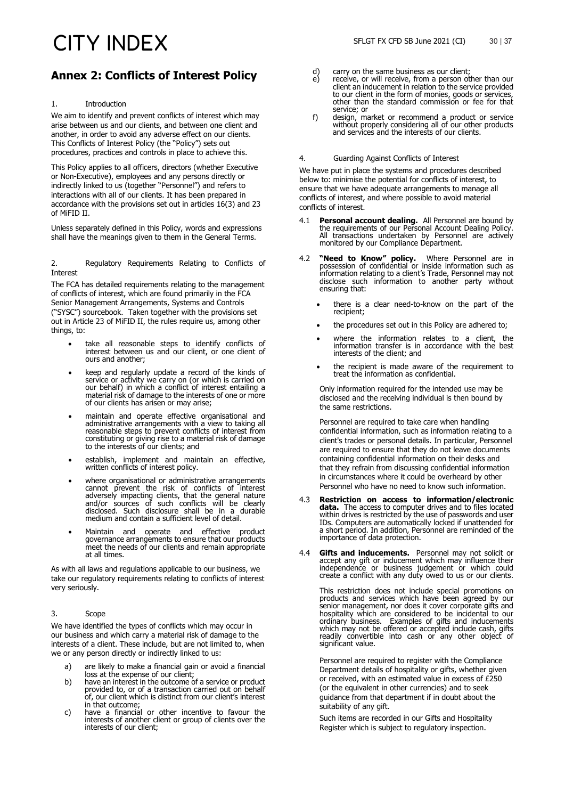### **Annex 2: Conflicts of Interest Policy**

### 1. Introduction

We aim to identify and prevent conflicts of interest which may arise between us and our clients, and between one client and another, in order to avoid any adverse effect on our clients. This Conflicts of Interest Policy (the "Policy") sets out procedures, practices and controls in place to achieve this.

This Policy applies to all officers, directors (whether Executive or Non-Executive), employees and any persons directly or indirectly linked to us (together "Personnel") and refers to interactions with all of our clients. It has been prepared in accordance with the provisions set out in articles 16(3) and 23 of MiFID II.

Unless separately defined in this Policy, words and expressions shall have the meanings given to them in the General Terms.

2. Regulatory Requirements Relating to Conflicts of Interest

The FCA has detailed requirements relating to the management of conflicts of interest, which are found primarily in the FCA Senior Management Arrangements, Systems and Controls ("SYSC") sourcebook. Taken together with the provisions set out in Article 23 of MiFID II, the rules require us, among other things, to:

- take all reasonable steps to identify conflicts of interest between us and our client, or one client of ours and another;
- keep and regularly update a record of the kinds of service or activity we carry on (or which is carried on our behalf) in which a conflict of interest entailing a material risk of damage to the interests of one or more of our clients has arisen or may arise;
- maintain and operate effective organisational and administrative arrangements with a view to taking all reasonable steps to prevent conflicts of interest from constituting or giving rise to a material risk of damage to the interests of our clients; and
- establish, implement and maintain an effective, written conflicts of interest policy.
- where organisational or administrative arrangements cannot prevent the risk of conflicts of interest adversely impacting clients, that the general nature and/or sources of such conflicts will be clearly disclosed. Such disclosure shall be in a durable medium and contain a sufficient level of detail.
- Maintain and operate and effective product governance arrangements to ensure that our products meet the needs of our clients and remain appropriate at all times.

As with all laws and regulations applicable to our business, we take our regulatory requirements relating to conflicts of interest very seriously.

### 3. Scope

We have identified the types of conflicts which may occur in our business and which carry a material risk of damage to the interests of a client. These include, but are not limited to, when we or any person directly or indirectly linked to us:

- a) are likely to make a financial gain or avoid a financial
- loss at the expense of our client; b) have an interest in the outcome of a service or product provided to, or of a transaction carried out on behalf of, our client which is distinct from our client's interest
- in that outcome;<br>have a financial or other incentive to favour the c) have a financial or other incentive to favour the interests of another client or group of clients over the interests of our client;
- d) carry on the same business as our client;<br>e) receive, or will receive, from a person of
- receive, or will receive, from a person other than our client an inducement in relation to the service provided to our client in the form of monies, goods or services, other than the standard commission or fee for that service; or
- f) design, market or recommend a product or service without properly considering all of our other products and services and the interests of our clients.

4. Guarding Against Conflicts of Interest

We have put in place the systems and procedures described below to: minimise the potential for conflicts of interest, to ensure that we have adequate arrangements to manage all conflicts of interest, and where possible to avoid material conflicts of interest.

- 4.1 **Personal account dealing.** All Personnel are bound by the requirements of our Personal Account Dealing Policy. All transactions undertaken by Personnel are actively monitored by our Compliance Department.
- 4.2 **"Need to Know" policy.** Where Personnel are in possession of confidential or inside information such as information relating to a client's Trade, Personnel may not disclose such information to another party without ensuring that:
	- there is a clear need-to-know on the part of the recipient;
	- the procedures set out in this Policy are adhered to;
	- where the information relates to a client, the information transfer is in accordance with the best interests of the client; and
	- the recipient is made aware of the requirement to treat the information as confidential.

Only information required for the intended use may be disclosed and the receiving individual is then bound by the same restrictions.

Personnel are required to take care when handling confidential information, such as information relating to a client's trades or personal details. In particular, Personnel are required to ensure that they do not leave documents containing confidential information on their desks and that they refrain from discussing confidential information in circumstances where it could be overheard by other Personnel who have no need to know such information.

- 4.3 **Restriction on access to information/electronic data.** The access to computer drives and to files located within drives is restricted by the use of passwords and user IDs. Computers are automatically locked if unattended for a short period. In addition, Personnel are reminded of the importance of data protection.
- 4.4 **Gifts and inducements.** Personnel may not solicit or accept any gift or inducement which may influence their independence or business judgement or which could create a conflict with any duty owed to us or our clients.

This restriction does not include special promotions on products and services which have been agreed by our senior management, nor does it cover corporate gifts and hospitality which are considered to be incidental to our ordinary business. Examples of gifts and inducements which may not be offered or accepted include cash, gifts readily convertible into cash or any other object of significant value.

Personnel are required to register with the Compliance Department details of hospitality or gifts, whether given or received, with an estimated value in excess of £250 (or the equivalent in other currencies) and to seek guidance from that department if in doubt about the suitability of any gift.

Such items are recorded in our Gifts and Hospitality Register which is subject to regulatory inspection.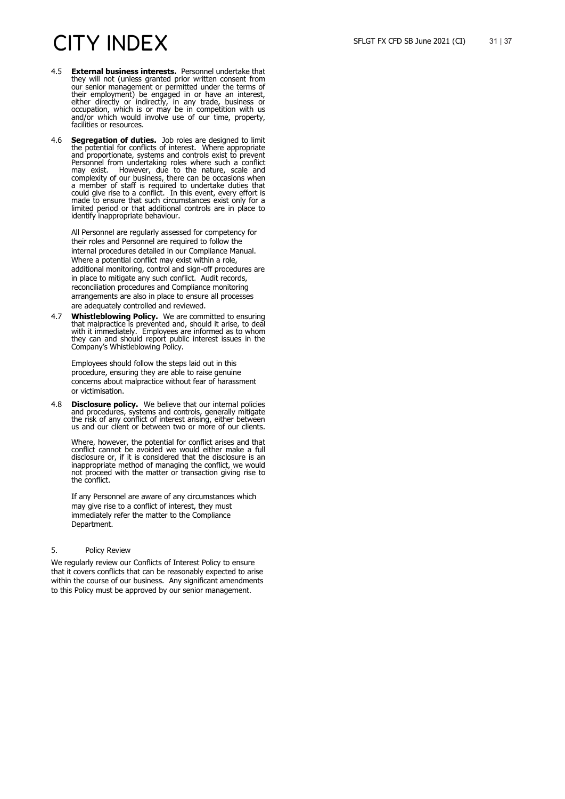- 4.5 **External business interests.** Personnel undertake that they will not (unless granted prior written consent from our senior management or permitted under the terms of their employment) be engaged in or have an interest, either directly or indirectly, in any trade, business or occupation, which is or may be in competition with us and/or which would involve use of our time, property, facilities or resources.
- 4.6 **Segregation of duties.** Job roles are designed to limit the potential for conflicts of interest. Where appropriate and proportionate, systems and controls exist to prevent Personnel from undertaking roles where such a conflict may exist. However, due to the nature, scale and complexity of our business, there can be occasions when a member of staff is required to undertake duties that could give rise to a conflict. In this event, every effort is made to ensure that such circumstances exist only for a limited period or that additional controls are in place to identify inappropriate behaviour.

All Personnel are regularly assessed for competency for their roles and Personnel are required to follow the internal procedures detailed in our Compliance Manual. Where a potential conflict may exist within a role, additional monitoring, control and sign -off procedures are in place to mitigate any such conflict. Audit records, reconciliation procedures and Compliance monitoring arrangements are also in place to ensure all processes are adequately controlled and reviewed.

4.7 **Whistleblowing Policy.** We are committed to ensuring that malpractice is prevented and, should it arise, to deal with it immediately. Employees are informed as to whom they can and should report public interest issues in the Company's Whistleblowing Policy.

Employees should follow the steps laid out in this procedure, ensuring they are able to raise genuine concerns about malpractice without fear of harassment or victimisation.

4.8 **Disclosure policy.** We believe that our internal policies and procedures, systems and controls, generally mitigate the risk of any conflict of interest arising, either between us and our client or between two or more of our clients.

Where, however, the potential for conflict arises and that conflict cannot be avoided we would either make a full disclosure or, if it is considered that the disclosure is an inappropriate method of managing the conflict, we would not proceed with the matter or transaction giving rise to the conflict.

If any Personnel are aware of any circumstances which may give rise to a conflict of interest, they must immediately refer the matter to the Compliance Department.

### 5. Policy Review

We regularly review our Conflicts of Interest Policy to ensure that it covers conflicts that can be reasonably expected to arise within the course of our business. Any significant amendments to this Policy must be approved by our senior management.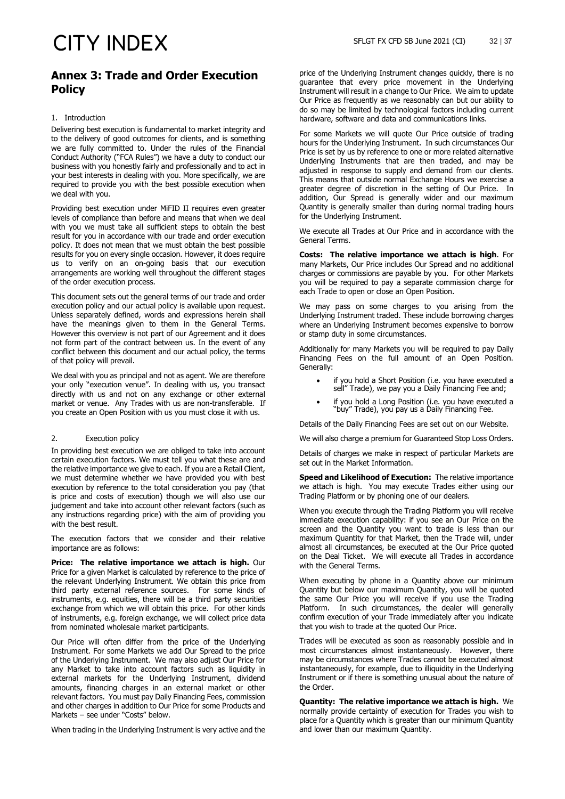### **Annex 3: Trade and Order Execution Policy**

### 1. Introduction

Delivering best execution is fundamental to market integrity and to the delivery of good outcomes for clients, and is something we are fully committed to. Under the rules of the Financial Conduct Authority ("FCA Rules") we have a duty to conduct our business with you honestly fairly and professionally and to act in your best interests in dealing with you. More specifically, we are required to provide you with the best possible execution when we deal with you.

Providing best execution under MiFID II requires even greater levels of compliance than before and means that when we deal with you we must take all sufficient steps to obtain the best result for you in accordance with our trade and order execution policy. It does not mean that we must obtain the best possible results for you on every single occasion. However, it does require us to verify on an on-going basis that our execution arrangements are working well throughout the different stages of the order execution process.

This document sets out the general terms of our trade and order execution policy and our actual policy is available upon request. Unless separately defined, words and expressions herein shall have the meanings given to them in the General Terms. However this overview is not part of our Agreement and it does not form part of the contract between us. In the event of any conflict between this document and our actual policy, the terms of that policy will prevail.

We deal with you as principal and not as agent. We are therefore your only "execution venue". In dealing with us, you transact directly with us and not on any exchange or other external market or venue. Any Trades with us are non-transferable. If you create an Open Position with us you must close it with us.

### 2. Execution policy

In providing best execution we are obliged to take into account certain execution factors. We must tell you what these are and the relative importance we give to each. If you are a Retail Client, we must determine whether we have provided you with best execution by reference to the total consideration you pay (that is price and costs of execution) though we will also use our judgement and take into account other relevant factors (such as any instructions regarding price) with the aim of providing you with the best result.

The execution factors that we consider and their relative importance are as follows:

**Price: The relative importance we attach is high.** Our Price for a given Market is calculated by reference to the price of the relevant Underlying Instrument. We obtain this price from third party external reference sources. For some kinds of instruments, e.g. equities, there will be a third party securities exchange from which we will obtain this price. For other kinds of instruments, e.g. foreign exchange, we will collect price data from nominated wholesale market participants.

Our Price will often differ from the price of the Underlying Instrument. For some Markets we add Our Spread to the price of the Underlying Instrument. We may also adjust Our Price for any Market to take into account factors such as liquidity in external markets for the Underlying Instrument, dividend amounts, financing charges in an external market or other relevant factors. You must pay Daily Financing Fees, commission and other charges in addition to Our Price for some Products and Markets – see under "Costs" below.

When trading in the Underlying Instrument is very active and the

price of the Underlying Instrument changes quickly, there is no guarantee that every price movement in the Underlying Instrument will result in a change to Our Price. We aim to update Our Price as frequently as we reasonably can but our ability to do so may be limited by technological factors including current hardware, software and data and communications links.

For some Markets we will quote Our Price outside of trading hours for the Underlying Instrument. In such circumstances Our Price is set by us by reference to one or more related alternative Underlying Instruments that are then traded, and may be adjusted in response to supply and demand from our clients. This means that outside normal Exchange Hours we exercise a greater degree of discretion in the setting of Our Price. In addition, Our Spread is generally wider and our maximum Quantity is generally smaller than during normal trading hours for the Underlying Instrument.

We execute all Trades at Our Price and in accordance with the General Terms.

**Costs: The relative importance we attach is high**. For many Markets, Our Price includes Our Spread and no additional charges or commissions are payable by you. For other Markets you will be required to pay a separate commission charge for each Trade to open or close an Open Position.

We may pass on some charges to you arising from the Underlying Instrument traded. These include borrowing charges where an Underlying Instrument becomes expensive to borrow or stamp duty in some circumstances.

Additionally for many Markets you will be required to pay Daily Financing Fees on the full amount of an Open Position. Generally:

- if you hold a Short Position (i.e. you have executed a sell" Trade), we pay you a Daily Financing Fee and;
- if you hold a Long Position (i.e. you have executed a "buy" Trade), you pay us a Daily Financing Fee.

Details of the Daily Financing Fees are set out on our Website.

We will also charge a premium for Guaranteed Stop Loss Orders.

Details of charges we make in respect of particular Markets are set out in the Market Information.

**Speed and Likelihood of Execution:** The relative importance we attach is high. You may execute Trades either using our Trading Platform or by phoning one of our dealers.

When you execute through the Trading Platform you will receive immediate execution capability: if you see an Our Price on the screen and the Quantity you want to trade is less than our maximum Quantity for that Market, then the Trade will, under almost all circumstances, be executed at the Our Price quoted on the Deal Ticket. We will execute all Trades in accordance with the General Terms.

When executing by phone in a Quantity above our minimum Quantity but below our maximum Quantity, you will be quoted the same Our Price you will receive if you use the Trading Platform. In such circumstances, the dealer will generally confirm execution of your Trade immediately after you indicate that you wish to trade at the quoted Our Price.

Trades will be executed as soon as reasonably possible and in most circumstances almost instantaneously. However, there may be circumstances where Trades cannot be executed almost instantaneously, for example, due to illiquidity in the Underlying Instrument or if there is something unusual about the nature of the Order.

**Quantity: The relative importance we attach is high.** We normally provide certainty of execution for Trades you wish to place for a Quantity which is greater than our minimum Quantity and lower than our maximum Quantity.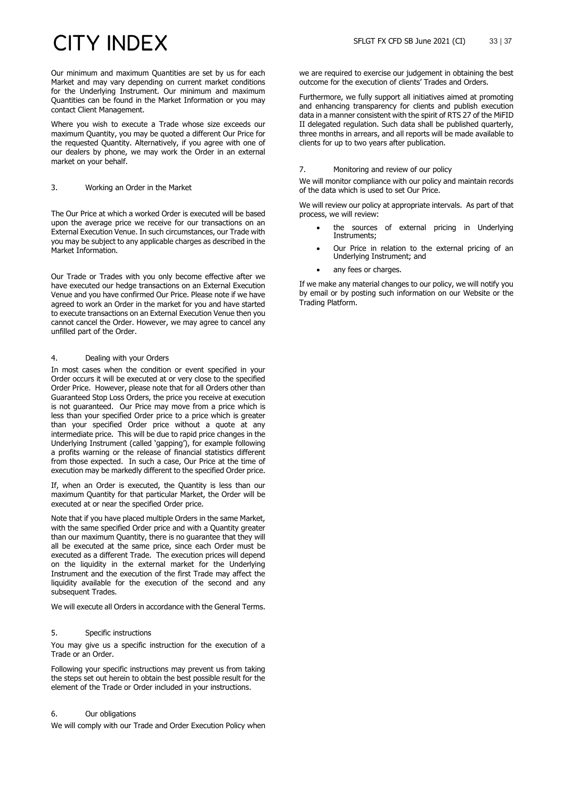Our minimum and maximum Quantities are set by us for each Market and may vary depending on current market conditions for the Underlying Instrument. Our minimum and maximum Quantities can be found in the Market Information or you may contact Client Management.

Where you wish to execute a Trade whose size exceeds our maximum Quantity, you may be quoted a different Our Price for the requested Quantity. Alternatively, if you agree with one of our dealers by phone, we may work the Order in an external market on your behalf.

### 3. Working an Order in the Market

The Our Price at which a worked Order is executed will be based upon the average price we receive for our transactions on an External Execution Venue. In such circumstances, our Trade with you may be subject to any applicable charges as described in the Market Information.

Our Trade or Trades with you only become effective after we have executed our hedge transactions on an External Execution Venue and you have confirmed Our Price. Please note if we have agreed to work an Order in the market for you and have started to execute transactions on an External Execution Venue then you cannot cancel the Order. However, we may agree to cancel any unfilled part of the Order.

### 4. Dealing with your Orders

In most cases when the condition or event specified in your Order occurs it will be executed at or very close to the specified Order Price. However, please note that for all Orders other than Guaranteed Stop Loss Orders, the price you receive at execution is not guaranteed. Our Price may move from a price which is less than your specified Order price to a price which is greater than your specified Order price without a quote at any intermediate price. This will be due to rapid price changes in the Underlying Instrument (called 'gapping'), for example following a profits warning or the release of financial statistics different from those expected. In such a case, Our Price at the time of execution may be markedly different to the specified Order price.

If, when an Order is executed, the Quantity is less than our maximum Quantity for that particular Market, the Order will be executed at or near the specified Order price.

Note that if you have placed multiple Orders in the same Market, with the same specified Order price and with a Quantity greater than our maximum Quantity, there is no guarantee that they will all be executed at the same price, since each Order must be executed as a different Trade. The execution prices will depend on the liquidity in the external market for the Underlying Instrument and the execution of the first Trade may affect the liquidity available for the execution of the second and any subsequent Trades.

We will execute all Orders in accordance with the General Terms.

### 5. Specific instructions

You may give us a specific instruction for the execution of a Trade or an Order.

Following your specific instructions may prevent us from taking the steps set out herein to obtain the best possible result for the element of the Trade or Order included in your instructions.

### 6. Our obligations

We will comply with our Trade and Order Execution Policy when

we are required to exercise our judgement in obtaining the best outcome for the execution of clients' Trades and Orders.

Furthermore, we fully support all initiatives aimed at promoting and enhancing transparency for clients and publish execution data in a manner consistent with the spirit of RTS 27 of the MiFID II delegated regulation. Such data shall be published quarterly, three months in arrears, and all reports will be made available to clients for up to two years after publication.

### 7. Monitoring and review of our policy

We will monitor compliance with our policy and maintain records of the data which is used to set Our Price.

We will review our policy at appropriate intervals. As part of that process, we will review:

- the sources of external pricing in Underlying Instruments;
- Our Price in relation to the external pricing of an Underlying Instrument; and
- any fees or charges.

If we make any material changes to our policy, we will notify you by email or by posting such information on our Website or the Trading Platform.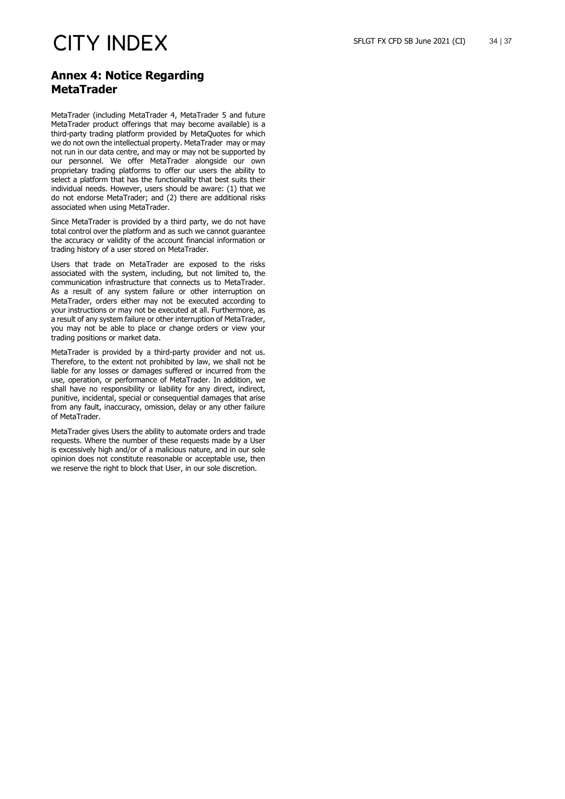### **Annex 4: Notice Regarding MetaTrader**

MetaTrader (including MetaTrader 4, MetaTrader 5 and future MetaTrader product offerings that may become available) is a third-party trading platform provided by MetaQuotes for which we do not own the intellectual property. MetaTrader may or may not run in our data centre, and may or may not be supported by our personnel. We offer MetaTrader alongside our own proprietary trading platforms to offer our users the ability to select a platform that has the functionality that best suits their individual needs. However, users should be aware: (1) that we do not endorse MetaTrader; and (2) there are additional risks associated when using MetaTrader.

Since MetaTrader is provided by a third party, we do not have total control over the platform and as such we cannot guarantee the accuracy or validity of the account financial information or trading history of a user stored on MetaTrader.

Users that trade on MetaTrader are exposed to the risks associated with the system, including, but not limited to, the communication infrastructure that connects us to MetaTrader. As a result of any system failure or other interruption on MetaTrader, orders either may not be executed according to your instructions or may not be executed at all. Furthermore, as a result of any system failure or other interruption of MetaTrader, you may not be able to place or change orders or view your trading positions or market data.

MetaTrader is provided by a third-party provider and not us. Therefore, to the extent not prohibited by law, we shall not be liable for any losses or damages suffered or incurred from the use, operation, or performance of MetaTrader. In addition, we shall have no responsibility or liability for any direct, indirect, punitive, incidental, special or consequential damages that arise from any fault, inaccuracy, omission, delay or any other failure of MetaTrader.

MetaTrader gives Users the ability to automate orders and trade requests. Where the number of these requests made by a User is excessively high and/or of a malicious nature, and in our sole opinion does not constitute reasonable or acceptable use, then we reserve the right to block that User, in our sole discretion.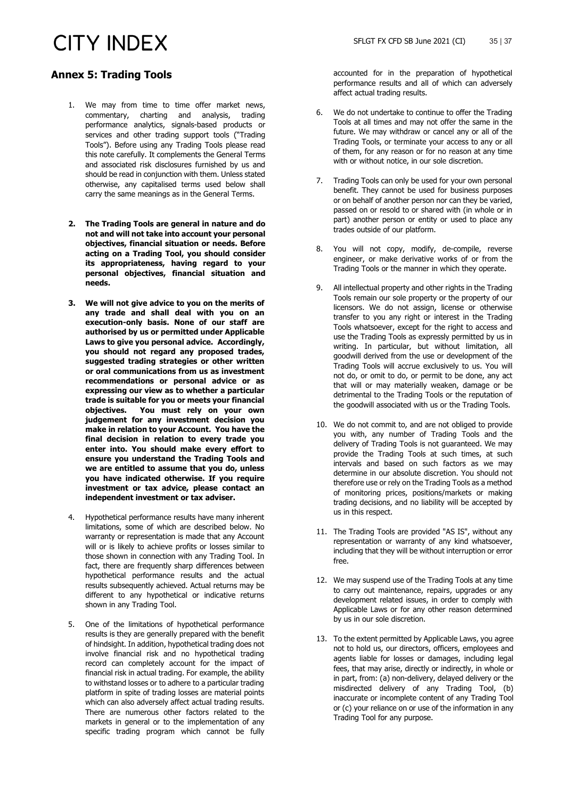### **Annex 5: Trading Tools**

- 1. We may from time to time offer market news, commentary, charting and analysis, trading performance analytics, signals-based products or services and other trading support tools ("Trading Tools"). Before using any Trading Tools please read this note carefully. It complements the General Terms and associated risk disclosures furnished by us and should be read in conjunction with them. Unless stated otherwise, any capitalised terms used below shall carry the same meanings as in the General Terms.
- **2. The Trading Tools are general in nature and do not and will not take into account your personal objectives, financial situation or needs. Before acting on a Trading Tool, you should consider its appropriateness, having regard to your personal objectives, financial situation and needs.**
- **3. We will not give advice to you on the merits of any trade and shall deal with you on an execution-only basis. None of our staff are authorised by us or permitted under Applicable Laws to give you personal advice. Accordingly, you should not regard any proposed trades, suggested trading strategies or other written or oral communications from us as investment recommendations or personal advice or as expressing our view as to whether a particular trade is suitable for you or meets your financial objectives. You must rely on your own judgement for any investment decision you make in relation to your Account. You have the final decision in relation to every trade you enter into. You should make every effort to ensure you understand the Trading Tools and we are entitled to assume that you do, unless you have indicated otherwise. If you require investment or tax advice, please contact an independent investment or tax adviser.**
- 4. Hypothetical performance results have many inherent limitations, some of which are described below. No warranty or representation is made that any Account will or is likely to achieve profits or losses similar to those shown in connection with any Trading Tool. In fact, there are frequently sharp differences between hypothetical performance results and the actual results subsequently achieved. Actual returns may be different to any hypothetical or indicative returns shown in any Trading Tool.
- 5. One of the limitations of hypothetical performance results is they are generally prepared with the benefit of hindsight. In addition, hypothetical trading does not involve financial risk and no hypothetical trading record can completely account for the impact of financial risk in actual trading. For example, the ability to withstand losses or to adhere to a particular trading platform in spite of trading losses are material points which can also adversely affect actual trading results. There are numerous other factors related to the markets in general or to the implementation of any specific trading program which cannot be fully

accounted for in the preparation of hypothetical performance results and all of which can adversely affect actual trading results.

- 6. We do not undertake to continue to offer the Trading Tools at all times and may not offer the same in the future. We may withdraw or cancel any or all of the Trading Tools, or terminate your access to any or all of them, for any reason or for no reason at any time with or without notice, in our sole discretion.
- 7. Trading Tools can only be used for your own personal benefit. They cannot be used for business purposes or on behalf of another person nor can they be varied, passed on or resold to or shared with (in whole or in part) another person or entity or used to place any trades outside of our platform.
- 8. You will not copy, modify, de-compile, reverse engineer, or make derivative works of or from the Trading Tools or the manner in which they operate.
- 9. All intellectual property and other rights in the Trading Tools remain our sole property or the property of our licensors. We do not assign, license or otherwise transfer to you any right or interest in the Trading Tools whatsoever, except for the right to access and use the Trading Tools as expressly permitted by us in writing. In particular, but without limitation, all goodwill derived from the use or development of the Trading Tools will accrue exclusively to us. You will not do, or omit to do, or permit to be done, any act that will or may materially weaken, damage or be detrimental to the Trading Tools or the reputation of the goodwill associated with us or the Trading Tools.
- 10. We do not commit to, and are not obliged to provide you with, any number of Trading Tools and the delivery of Trading Tools is not guaranteed. We may provide the Trading Tools at such times, at such intervals and based on such factors as we may determine in our absolute discretion. You should not therefore use or rely on the Trading Tools as a method of monitoring prices, positions/markets or making trading decisions, and no liability will be accepted by us in this respect.
- 11. The Trading Tools are provided "AS IS", without any representation or warranty of any kind whatsoever, including that they will be without interruption or error free.
- 12. We may suspend use of the Trading Tools at any time to carry out maintenance, repairs, upgrades or any development related issues, in order to comply with Applicable Laws or for any other reason determined by us in our sole discretion.
- 13. To the extent permitted by Applicable Laws, you agree not to hold us, our directors, officers, employees and agents liable for losses or damages, including legal fees, that may arise, directly or indirectly, in whole or in part, from: (a) non-delivery, delayed delivery or the misdirected delivery of any Trading Tool, (b) inaccurate or incomplete content of any Trading Tool or (c) your reliance on or use of the information in any Trading Tool for any purpose.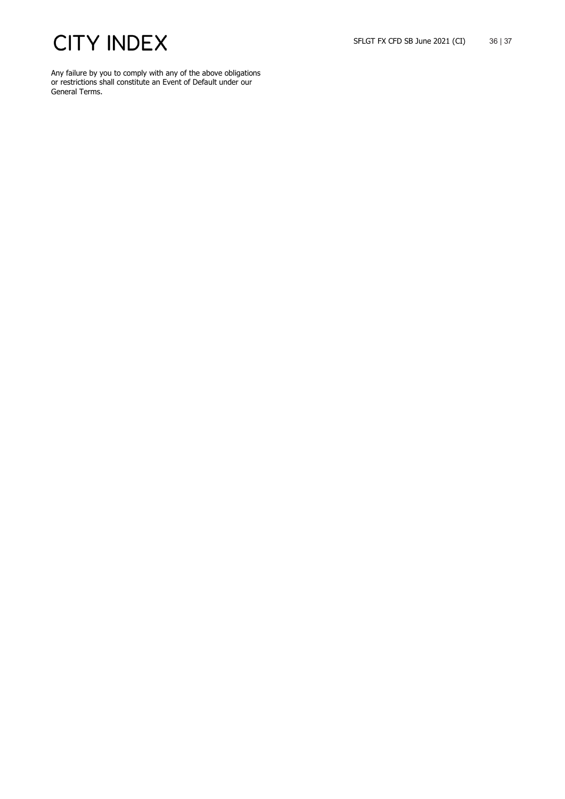Any failure by you to comply with any of the above obligations or restrictions shall constitute an Event of Default under our General Terms.